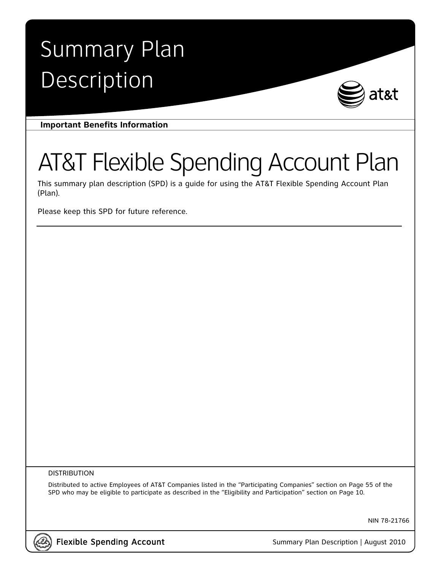# Summary Plan Description



**Important Benefits Information** 

# AT&T Flexible Spending Account Plan

This summary plan description (SPD) is a guide for using the AT&T Flexible Spending Account Plan (Plan).

Please keep this SPD for future reference.

#### DISTRIBUTION

Distributed to active Employees of AT&T Companies listed in the "Participating Companies" section on Page 55 of the SPD who may be eligible to participate as described in the "Eligibility and Participation" section on Page 10.

NIN 78-21766



Flexible Spending Account Summary Plan Description | August 2010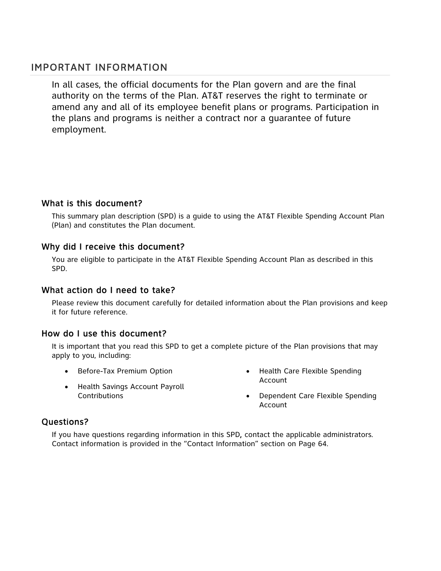## IMPORTANT INFORMATION

In all cases, the official documents for the Plan govern and are the final authority on the terms of the Plan. AT&T reserves the right to terminate or amend any and all of its employee benefit plans or programs. Participation in the plans and programs is neither a contract nor a guarantee of future employment.

## What is this document?

This summary plan description (SPD) is a guide to using the AT&T Flexible Spending Account Plan (Plan) and constitutes the Plan document.

## Why did I receive this document?

You are eligible to participate in the AT&T Flexible Spending Account Plan as described in this SPD.

## What action do I need to take?

Please review this document carefully for detailed information about the Plan provisions and keep it for future reference.

## How do I use this document?

It is important that you read this SPD to get a complete picture of the Plan provisions that may apply to you, including:

- Before-Tax Premium Option
- Health Savings Account Payroll **Contributions**
- Health Care Flexible Spending Account
- Dependent Care Flexible Spending Account

## Questions?

If you have questions regarding information in this SPD, contact the applicable administrators. Contact information is provided in the "Contact Information" section on Page 64.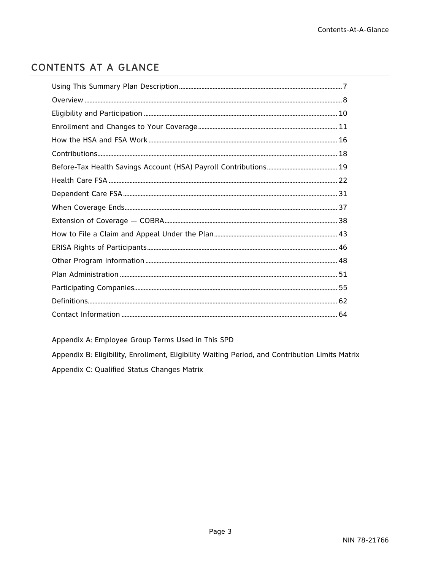# **CONTENTS AT A GLANCE**

Appendix A: Employee Group Terms Used in This SPD

Appendix B: Eligibility, Enrollment, Eligibility Waiting Period, and Contribution Limits Matrix Appendix C: Qualified Status Changes Matrix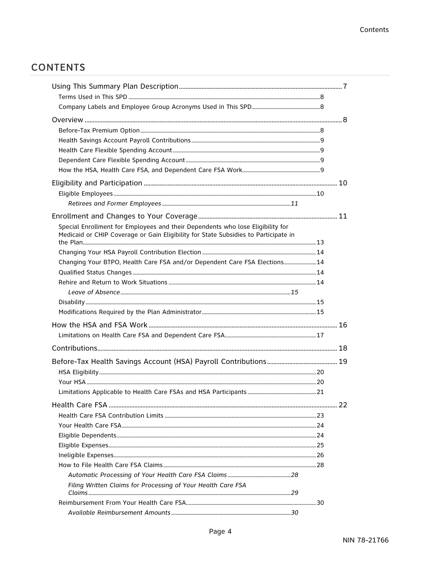# **CONTENTS**

| Special Enrollment for Employees and their Dependents who lose Eligibility for<br>Medicaid or CHIP Coverage or Gain Eligibility for State Subsidies to Participate in |  |
|-----------------------------------------------------------------------------------------------------------------------------------------------------------------------|--|
|                                                                                                                                                                       |  |
|                                                                                                                                                                       |  |
| Changing Your BTPO, Health Care FSA and/or Dependent Care FSA Elections 14                                                                                            |  |
|                                                                                                                                                                       |  |
|                                                                                                                                                                       |  |
|                                                                                                                                                                       |  |
|                                                                                                                                                                       |  |
|                                                                                                                                                                       |  |
|                                                                                                                                                                       |  |
|                                                                                                                                                                       |  |
|                                                                                                                                                                       |  |
|                                                                                                                                                                       |  |
|                                                                                                                                                                       |  |
|                                                                                                                                                                       |  |
|                                                                                                                                                                       |  |
|                                                                                                                                                                       |  |
|                                                                                                                                                                       |  |
|                                                                                                                                                                       |  |
|                                                                                                                                                                       |  |
|                                                                                                                                                                       |  |
|                                                                                                                                                                       |  |
|                                                                                                                                                                       |  |
|                                                                                                                                                                       |  |
| Filing Written Claims for Processing of Your Health Care FSA                                                                                                          |  |
|                                                                                                                                                                       |  |
|                                                                                                                                                                       |  |
|                                                                                                                                                                       |  |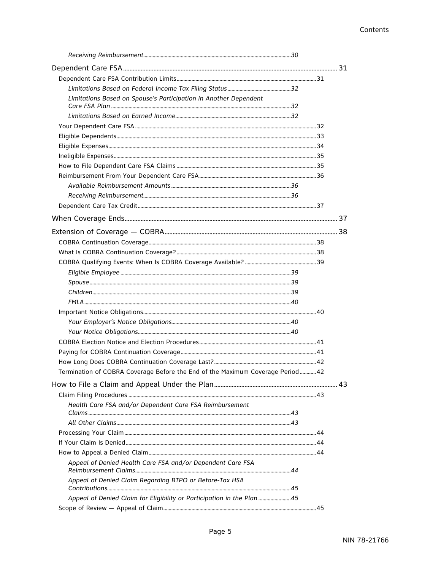| Limitations Based on Spouse's Participation in Another Dependent                |  |  |
|---------------------------------------------------------------------------------|--|--|
|                                                                                 |  |  |
|                                                                                 |  |  |
|                                                                                 |  |  |
|                                                                                 |  |  |
|                                                                                 |  |  |
|                                                                                 |  |  |
|                                                                                 |  |  |
|                                                                                 |  |  |
|                                                                                 |  |  |
|                                                                                 |  |  |
|                                                                                 |  |  |
|                                                                                 |  |  |
|                                                                                 |  |  |
|                                                                                 |  |  |
|                                                                                 |  |  |
|                                                                                 |  |  |
|                                                                                 |  |  |
|                                                                                 |  |  |
|                                                                                 |  |  |
|                                                                                 |  |  |
|                                                                                 |  |  |
|                                                                                 |  |  |
|                                                                                 |  |  |
|                                                                                 |  |  |
|                                                                                 |  |  |
|                                                                                 |  |  |
| Termination of COBRA Coverage Before the End of the Maximum Coverage Period  42 |  |  |
|                                                                                 |  |  |
|                                                                                 |  |  |
|                                                                                 |  |  |
| Health Care FSA and/or Dependent Care FSA Reimbursement                         |  |  |
|                                                                                 |  |  |
|                                                                                 |  |  |
|                                                                                 |  |  |
|                                                                                 |  |  |
| Appeal of Denied Health Care FSA and/or Dependent Care FSA                      |  |  |
| Appeal of Denied Claim Regarding BTPO or Before-Tax HSA                         |  |  |
|                                                                                 |  |  |
| Appeal of Denied Claim for Eligibility or Participation in the Plan 45          |  |  |
|                                                                                 |  |  |
|                                                                                 |  |  |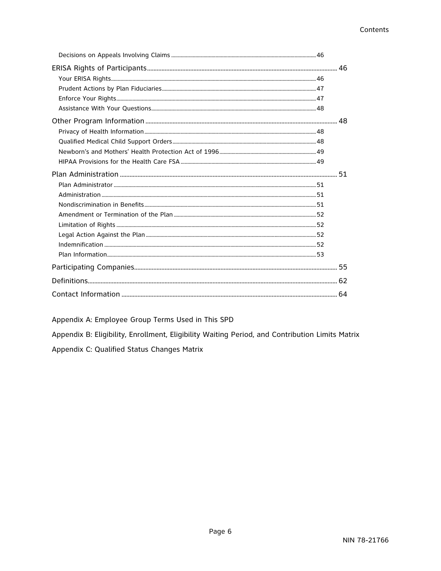Appendix A: Employee Group Terms Used in This SPD

Appendix B: Eligibility, Enrollment, Eligibility Waiting Period, and Contribution Limits Matrix

Appendix C: Qualified Status Changes Matrix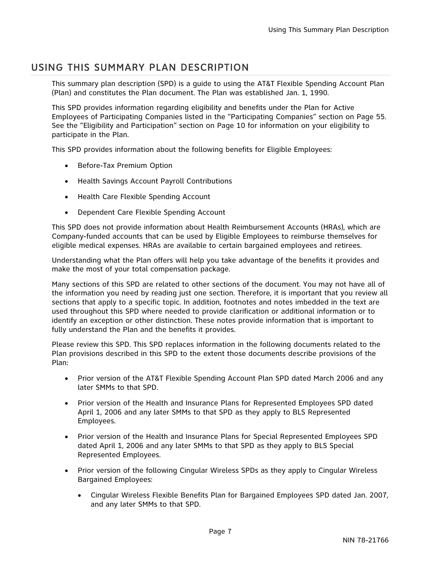# USING THIS SUMMARY PLAN DESCRIPTION

This summary plan description (SPD) is a guide to using the AT&T Flexible Spending Account Plan (Plan) and constitutes the Plan document. The Plan was established Jan. 1, 1990.

This SPD provides information regarding eligibility and benefits under the Plan for Active Employees of Participating Companies listed in the "Participating Companies" section on Page 55. See the "Eligibility and Participation" section on Page 10 for information on your eligibility to participate in the Plan.

This SPD provides information about the following benefits for Eligible Employees:

- Before-Tax Premium Option
- Health Savings Account Payroll Contributions
- Health Care Flexible Spending Account
- Dependent Care Flexible Spending Account

This SPD does not provide information about Health Reimbursement Accounts (HRAs), which are Company-funded accounts that can be used by Eligible Employees to reimburse themselves for eligible medical expenses. HRAs are available to certain bargained employees and retirees.

Understanding what the Plan offers will help you take advantage of the benefits it provides and make the most of your total compensation package.

Many sections of this SPD are related to other sections of the document. You may not have all of the information you need by reading just one section. Therefore, it is important that you review all sections that apply to a specific topic. In addition, footnotes and notes imbedded in the text are used throughout this SPD where needed to provide clarification or additional information or to identify an exception or other distinction. These notes provide information that is important to fully understand the Plan and the benefits it provides.

Please review this SPD. This SPD replaces information in the following documents related to the Plan provisions described in this SPD to the extent those documents describe provisions of the Plan:

- Prior version of the AT&T Flexible Spending Account Plan SPD dated March 2006 and any later SMMs to that SPD.
- Prior version of the Health and Insurance Plans for Represented Employees SPD dated April 1, 2006 and any later SMMs to that SPD as they apply to BLS Represented Employees.
- Prior version of the Health and Insurance Plans for Special Represented Employees SPD dated April 1, 2006 and any later SMMs to that SPD as they apply to BLS Special Represented Employees.
- Prior version of the following Cingular Wireless SPDs as they apply to Cingular Wireless Bargained Employees:
	- Cingular Wireless Flexible Benefits Plan for Bargained Employees SPD dated Jan. 2007, and any later SMMs to that SPD.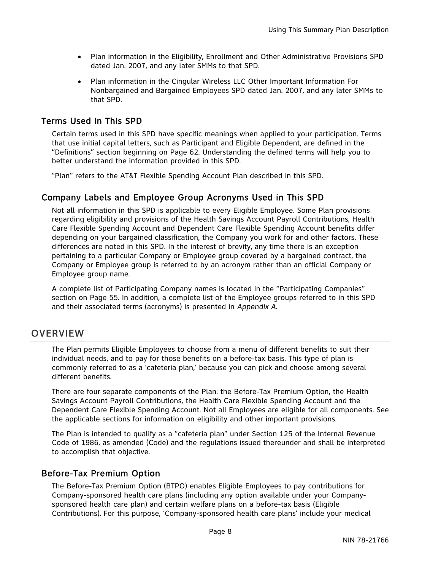- Plan information in the Eligibility, Enrollment and Other Administrative Provisions SPD dated Jan. 2007, and any later SMMs to that SPD.
- Plan information in the Cingular Wireless LLC Other Important Information For Nonbargained and Bargained Employees SPD dated Jan. 2007, and any later SMMs to that SPD.

## Terms Used in This SPD

Certain terms used in this SPD have specific meanings when applied to your participation. Terms that use initial capital letters, such as Participant and Eligible Dependent, are defined in the "Definitions" section beginning on Page 62. Understanding the defined terms will help you to better understand the information provided in this SPD.

"Plan" refers to the AT&T Flexible Spending Account Plan described in this SPD.

## Company Labels and Employee Group Acronyms Used in This SPD

Not all information in this SPD is applicable to every Eligible Employee. Some Plan provisions regarding eligibility and provisions of the Health Savings Account Payroll Contributions, Health Care Flexible Spending Account and Dependent Care Flexible Spending Account benefits differ depending on your bargained classification, the Company you work for and other factors. These differences are noted in this SPD. In the interest of brevity, any time there is an exception pertaining to a particular Company or Employee group covered by a bargained contract, the Company or Employee group is referred to by an acronym rather than an official Company or Employee group name.

A complete list of Participating Company names is located in the "Participating Companies" section on Page 55. In addition, a complete list of the Employee groups referred to in this SPD and their associated terms (acronyms) is presented in *Appendix A*.

# **OVERVIEW**

The Plan permits Eligible Employees to choose from a menu of different benefits to suit their individual needs, and to pay for those benefits on a before-tax basis. This type of plan is commonly referred to as a 'cafeteria plan,' because you can pick and choose among several different benefits.

There are four separate components of the Plan: the Before-Tax Premium Option, the Health Savings Account Payroll Contributions, the Health Care Flexible Spending Account and the Dependent Care Flexible Spending Account. Not all Employees are eligible for all components. See the applicable sections for information on eligibility and other important provisions.

The Plan is intended to qualify as a "cafeteria plan" under Section 125 of the Internal Revenue Code of 1986, as amended (Code) and the regulations issued thereunder and shall be interpreted to accomplish that objective.

## Before-Tax Premium Option

The Before-Tax Premium Option (BTPO) enables Eligible Employees to pay contributions for Company-sponsored health care plans (including any option available under your Companysponsored health care plan) and certain welfare plans on a before-tax basis (Eligible Contributions). For this purpose, 'Company-sponsored health care plans' include your medical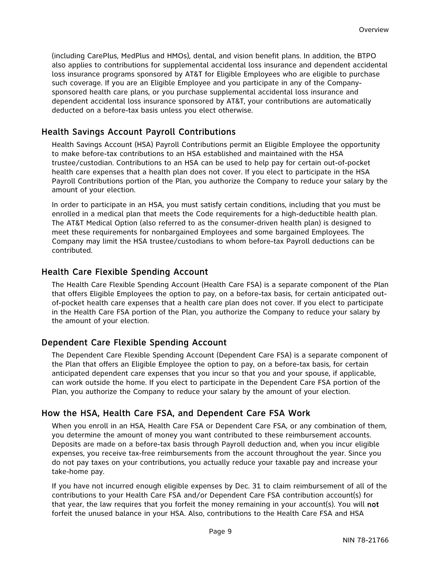(including CarePlus, MedPlus and HMOs), dental, and vision benefit plans. In addition, the BTPO also applies to contributions for supplemental accidental loss insurance and dependent accidental loss insurance programs sponsored by AT&T for Eligible Employees who are eligible to purchase such coverage. If you are an Eligible Employee and you participate in any of the Companysponsored health care plans, or you purchase supplemental accidental loss insurance and dependent accidental loss insurance sponsored by AT&T, your contributions are automatically deducted on a before-tax basis unless you elect otherwise.

## Health Savings Account Payroll Contributions

Health Savings Account (HSA) Payroll Contributions permit an Eligible Employee the opportunity to make before-tax contributions to an HSA established and maintained with the HSA trustee/custodian. Contributions to an HSA can be used to help pay for certain out-of-pocket health care expenses that a health plan does not cover. If you elect to participate in the HSA Payroll Contributions portion of the Plan, you authorize the Company to reduce your salary by the amount of your election.

In order to participate in an HSA, you must satisfy certain conditions, including that you must be enrolled in a medical plan that meets the Code requirements for a high-deductible health plan. The AT&T Medical Option (also referred to as the consumer-driven health plan) is designed to meet these requirements for nonbargained Employees and some bargained Employees. The Company may limit the HSA trustee/custodians to whom before-tax Payroll deductions can be contributed.

## Health Care Flexible Spending Account

The Health Care Flexible Spending Account (Health Care FSA) is a separate component of the Plan that offers Eligible Employees the option to pay, on a before-tax basis, for certain anticipated outof-pocket health care expenses that a health care plan does not cover. If you elect to participate in the Health Care FSA portion of the Plan, you authorize the Company to reduce your salary by the amount of your election.

## Dependent Care Flexible Spending Account

The Dependent Care Flexible Spending Account (Dependent Care FSA) is a separate component of the Plan that offers an Eligible Employee the option to pay, on a before-tax basis, for certain anticipated dependent care expenses that you incur so that you and your spouse, if applicable, can work outside the home. If you elect to participate in the Dependent Care FSA portion of the Plan, you authorize the Company to reduce your salary by the amount of your election.

## How the HSA, Health Care FSA, and Dependent Care FSA Work

When you enroll in an HSA, Health Care FSA or Dependent Care FSA, or any combination of them, you determine the amount of money you want contributed to these reimbursement accounts. Deposits are made on a before-tax basis through Payroll deduction and, when you incur eligible expenses, you receive tax-free reimbursements from the account throughout the year. Since you do not pay taxes on your contributions, you actually reduce your taxable pay and increase your take-home pay.

If you have not incurred enough eligible expenses by Dec. 31 to claim reimbursement of all of the contributions to your Health Care FSA and/or Dependent Care FSA contribution account(s) for that year, the law requires that you forfeit the money remaining in your account(s). You will not forfeit the unused balance in your HSA. Also, contributions to the Health Care FSA and HSA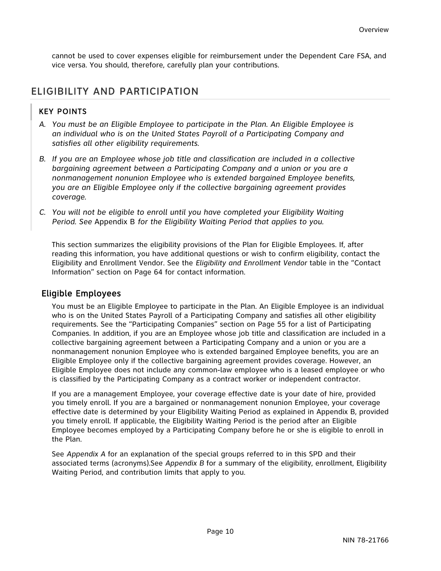cannot be used to cover expenses eligible for reimbursement under the Dependent Care FSA, and vice versa. You should, therefore, carefully plan your contributions.

# ELIGIBILITY AND PARTICIPATION

## KEY POINTS

- *A. You must be an Eligible Employee to participate in the Plan. An Eligible Employee is an individual who is on the United States Payroll of a Participating Company and satisfies all other eligibility requirements.*
- *B. If you are an Employee whose job title and classification are included in a collective bargaining agreement between a Participating Company and a union or you are a nonmanagement nonunion Employee who is extended bargained Employee benefits, you are an Eligible Employee only if the collective bargaining agreement provides coverage.*
- *C. You will not be eligible to enroll until you have completed your Eligibility Waiting Period. See* Appendix B *for the Eligibility Waiting Period that applies to you.*

This section summarizes the eligibility provisions of the Plan for Eligible Employees. If, after reading this information, you have additional questions or wish to confirm eligibility, contact the Eligibility and Enrollment Vendor. See the *Eligibility and Enrollment Vendor* table in the "Contact Information" section on Page 64 for contact information.

## Eligible Employees

You must be an Eligible Employee to participate in the Plan. An Eligible Employee is an individual who is on the United States Payroll of a Participating Company and satisfies all other eligibility requirements. See the "Participating Companies" section on Page 55 for a list of Participating Companies. In addition, if you are an Employee whose job title and classification are included in a collective bargaining agreement between a Participating Company and a union or you are a nonmanagement nonunion Employee who is extended bargained Employee benefits, you are an Eligible Employee only if the collective bargaining agreement provides coverage. However, an Eligible Employee does not include any common-law employee who is a leased employee or who is classified by the Participating Company as a contract worker or independent contractor.

If you are a management Employee, your coverage effective date is your date of hire, provided you timely enroll. If you are a bargained or nonmanagement nonunion Employee, your coverage effective date is determined by your Eligibility Waiting Period as explained in Appendix B, provided you timely enroll. If applicable, the Eligibility Waiting Period is the period after an Eligible Employee becomes employed by a Participating Company before he or she is eligible to enroll in the Plan.

See *Appendix A* for an explanation of the special groups referred to in this SPD and their associated terms (acronyms).See *Appendix B* for a summary of the eligibility, enrollment, Eligibility Waiting Period, and contribution limits that apply to you.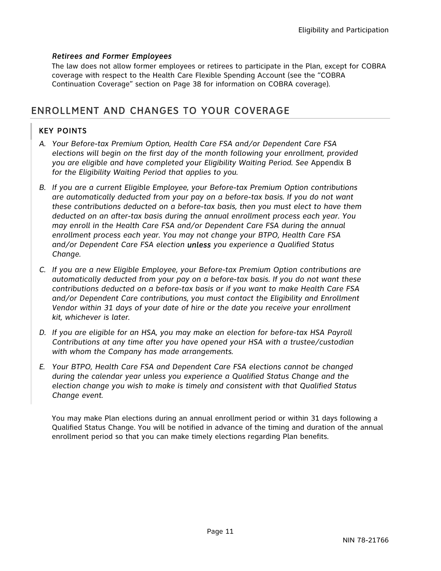## *Retirees and Former Employees*

The law does not allow former employees or retirees to participate in the Plan, except for COBRA coverage with respect to the Health Care Flexible Spending Account (see the "COBRA Continuation Coverage" section on Page 38 for information on COBRA coverage).

# ENROLLMENT AND CHANGES TO YOUR COVERAGE

## KEY POINTS

- *A. Your Before-tax Premium Option, Health Care FSA and/or Dependent Care FSA elections will begin on the first day of the month following your enrollment, provided you are eligible and have completed your Eligibility Waiting Period. See* Appendix B *for the Eligibility Waiting Period that applies to you.*
- *B. If you are a current Eligible Employee, your Before-tax Premium Option contributions are automatically deducted from your pay on a before-tax basis. If you do not want these contributions deducted on a before-tax basis, then you must elect to have them deducted on an after-tax basis during the annual enrollment process each year. You may enroll in the Health Care FSA and/or Dependent Care FSA during the annual enrollment process each year. You may not change your BTPO, Health Care FSA and/or Dependent Care FSA election unless you experience a Qualified Status Change.*
- *C. If you are a new Eligible Employee, your Before-tax Premium Option contributions are automatically deducted from your pay on a before-tax basis. If you do not want these contributions deducted on a before-tax basis or if you want to make Health Care FSA and/or Dependent Care contributions, you must contact the Eligibility and Enrollment Vendor within 31 days of your date of hire or the date you receive your enrollment kit, whichever is later.*
- *D. If you are eligible for an HSA, you may make an election for before-tax HSA Payroll Contributions at any time after you have opened your HSA with a trustee/custodian with whom the Company has made arrangements.*
- *E. Your BTPO, Health Care FSA and Dependent Care FSA elections cannot be changed during the calendar year unless you experience a Qualified Status Change and the election change you wish to make is timely and consistent with that Qualified Status Change event.*

You may make Plan elections during an annual enrollment period or within 31 days following a Qualified Status Change. You will be notified in advance of the timing and duration of the annual enrollment period so that you can make timely elections regarding Plan benefits.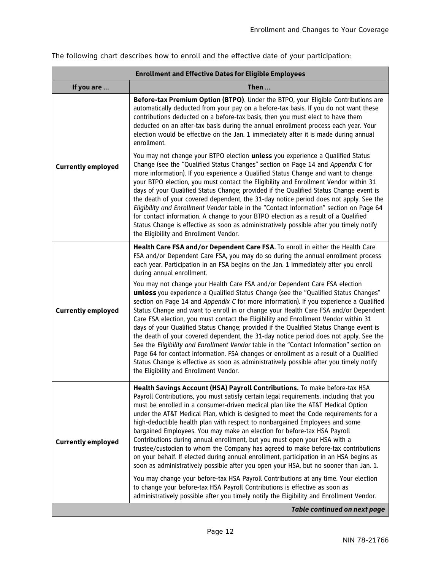| <b>Enrollment and Effective Dates for Eligible Employees</b> |                                                                                                                                                                                                                                                                                                                                                                                                                                                                                                                                                                                                                                                                                                                                                                                                                                                                                                                                                                                                                                                                                                              |  |
|--------------------------------------------------------------|--------------------------------------------------------------------------------------------------------------------------------------------------------------------------------------------------------------------------------------------------------------------------------------------------------------------------------------------------------------------------------------------------------------------------------------------------------------------------------------------------------------------------------------------------------------------------------------------------------------------------------------------------------------------------------------------------------------------------------------------------------------------------------------------------------------------------------------------------------------------------------------------------------------------------------------------------------------------------------------------------------------------------------------------------------------------------------------------------------------|--|
| If you are                                                   | Then                                                                                                                                                                                                                                                                                                                                                                                                                                                                                                                                                                                                                                                                                                                                                                                                                                                                                                                                                                                                                                                                                                         |  |
|                                                              | Before-tax Premium Option (BTPO). Under the BTPO, your Eligible Contributions are<br>automatically deducted from your pay on a before-tax basis. If you do not want these<br>contributions deducted on a before-tax basis, then you must elect to have them<br>deducted on an after-tax basis during the annual enrollment process each year. Your<br>election would be effective on the Jan. 1 immediately after it is made during annual<br>enrollment.                                                                                                                                                                                                                                                                                                                                                                                                                                                                                                                                                                                                                                                    |  |
| <b>Currently employed</b>                                    | You may not change your BTPO election unless you experience a Qualified Status<br>Change (see the "Qualified Status Changes" section on Page 14 and Appendix C for<br>more information). If you experience a Qualified Status Change and want to change<br>your BTPO election, you must contact the Eligibility and Enrollment Vendor within 31<br>days of your Qualified Status Change; provided if the Qualified Status Change event is<br>the death of your covered dependent, the 31-day notice period does not apply. See the<br>Eligibility and Enrollment Vendor table in the "Contact Information" section on Page 64<br>for contact information. A change to your BTPO election as a result of a Qualified<br>Status Change is effective as soon as administratively possible after you timely notify<br>the Eligibility and Enrollment Vendor.                                                                                                                                                                                                                                                     |  |
| <b>Currently employed</b>                                    | Health Care FSA and/or Dependent Care FSA. To enroll in either the Health Care<br>FSA and/or Dependent Care FSA, you may do so during the annual enrollment process<br>each year. Participation in an FSA begins on the Jan. 1 immediately after you enroll<br>during annual enrollment.<br>You may not change your Health Care FSA and/or Dependent Care FSA election<br>unless you experience a Qualified Status Change (see the "Qualified Status Changes"<br>section on Page 14 and Appendix C for more information). If you experience a Qualified<br>Status Change and want to enroll in or change your Health Care FSA and/or Dependent<br>Care FSA election, you must contact the Eligibility and Enrollment Vendor within 31<br>days of your Qualified Status Change; provided if the Qualified Status Change event is<br>the death of your covered dependent, the 31-day notice period does not apply. See the<br>See the Eligibility and Enrollment Vendor table in the "Contact Information" section on<br>Page 64 for contact information. FSA changes or enrollment as a result of a Qualified |  |
|                                                              | Status Change is effective as soon as administratively possible after you timely notify<br>the Eliqibility and Enrollment Vendor.                                                                                                                                                                                                                                                                                                                                                                                                                                                                                                                                                                                                                                                                                                                                                                                                                                                                                                                                                                            |  |
| <b>Currently employed</b>                                    | Health Savings Account (HSA) Payroll Contributions. To make before-tax HSA<br>Payroll Contributions, you must satisfy certain legal requirements, including that you<br>must be enrolled in a consumer-driven medical plan like the AT&T Medical Option<br>under the AT&T Medical Plan, which is designed to meet the Code requirements for a<br>high-deductible health plan with respect to nonbargained Employees and some<br>bargained Employees. You may make an election for before-tax HSA Payroll<br>Contributions during annual enrollment, but you must open your HSA with a<br>trustee/custodian to whom the Company has agreed to make before-tax contributions<br>on your behalf. If elected during annual enrollment, participation in an HSA begins as<br>soon as administratively possible after you open your HSA, but no sooner than Jan. 1.                                                                                                                                                                                                                                                |  |
|                                                              | You may change your before-tax HSA Payroll Contributions at any time. Your election<br>to change your before-tax HSA Payroll Contributions is effective as soon as<br>administratively possible after you timely notify the Eligibility and Enrollment Vendor.                                                                                                                                                                                                                                                                                                                                                                                                                                                                                                                                                                                                                                                                                                                                                                                                                                               |  |
|                                                              | <b>Table continued on next page</b>                                                                                                                                                                                                                                                                                                                                                                                                                                                                                                                                                                                                                                                                                                                                                                                                                                                                                                                                                                                                                                                                          |  |

The following chart describes how to enroll and the effective date of your participation: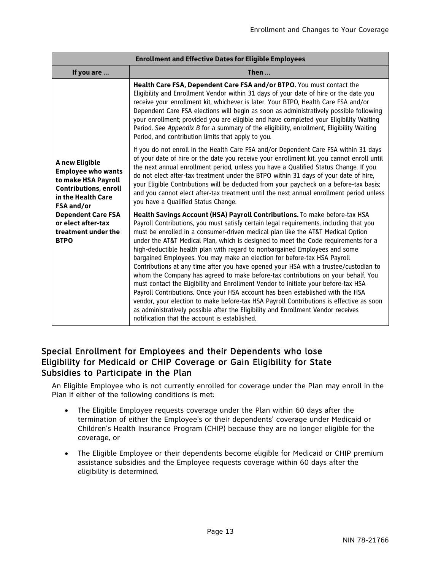| <b>Enrollment and Effective Dates for Eligible Employees</b>                                                                           |                                                                                                                                                                                                                                                                                                                                                                                                                                                                                                                                                                                                                                                                                                                                                                                                                                                                                                                                                                                                                                                                                              |  |
|----------------------------------------------------------------------------------------------------------------------------------------|----------------------------------------------------------------------------------------------------------------------------------------------------------------------------------------------------------------------------------------------------------------------------------------------------------------------------------------------------------------------------------------------------------------------------------------------------------------------------------------------------------------------------------------------------------------------------------------------------------------------------------------------------------------------------------------------------------------------------------------------------------------------------------------------------------------------------------------------------------------------------------------------------------------------------------------------------------------------------------------------------------------------------------------------------------------------------------------------|--|
| If you are                                                                                                                             | Then                                                                                                                                                                                                                                                                                                                                                                                                                                                                                                                                                                                                                                                                                                                                                                                                                                                                                                                                                                                                                                                                                         |  |
|                                                                                                                                        | Health Care FSA, Dependent Care FSA and/or BTPO. You must contact the<br>Eligibility and Enrollment Vendor within 31 days of your date of hire or the date you<br>receive your enrollment kit, whichever is later. Your BTPO, Health Care FSA and/or<br>Dependent Care FSA elections will begin as soon as administratively possible following<br>your enrollment; provided you are eligible and have completed your Eligibility Waiting<br>Period. See Appendix B for a summary of the eligibility, enrollment, Eligibility Waiting<br>Period, and contribution limits that apply to you.                                                                                                                                                                                                                                                                                                                                                                                                                                                                                                   |  |
| A new Eligible<br><b>Employee who wants</b><br>to make HSA Payroll<br><b>Contributions, enroll</b><br>in the Health Care<br>FSA and/or | If you do not enroll in the Health Care FSA and/or Dependent Care FSA within 31 days<br>of your date of hire or the date you receive your enrollment kit, you cannot enroll until<br>the next annual enrollment period, unless you have a Qualified Status Change. If you<br>do not elect after-tax treatment under the BTPO within 31 days of your date of hire,<br>your Eligible Contributions will be deducted from your paycheck on a before-tax basis;<br>and you cannot elect after-tax treatment until the next annual enrollment period unless<br>you have a Qualified Status Change.                                                                                                                                                                                                                                                                                                                                                                                                                                                                                                |  |
| <b>Dependent Care FSA</b><br>or elect after-tax<br>treatment under the<br><b>BTPO</b>                                                  | Health Savings Account (HSA) Payroll Contributions. To make before-tax HSA<br>Payroll Contributions, you must satisfy certain legal requirements, including that you<br>must be enrolled in a consumer-driven medical plan like the AT&T Medical Option<br>under the AT&T Medical Plan, which is designed to meet the Code requirements for a<br>high-deductible health plan with regard to nonbargained Employees and some<br>bargained Employees. You may make an election for before-tax HSA Payroll<br>Contributions at any time after you have opened your HSA with a trustee/custodian to<br>whom the Company has agreed to make before-tax contributions on your behalf. You<br>must contact the Eligibility and Enrollment Vendor to initiate your before-tax HSA<br>Payroll Contributions. Once your HSA account has been established with the HSA<br>vendor, your election to make before-tax HSA Payroll Contributions is effective as soon<br>as administratively possible after the Eliqibility and Enrollment Vendor receives<br>notification that the account is established. |  |

## Special Enrollment for Employees and their Dependents who lose Eligibility for Medicaid or CHIP Coverage or Gain Eligibility for State Subsidies to Participate in the Plan

An Eligible Employee who is not currently enrolled for coverage under the Plan may enroll in the Plan if either of the following conditions is met:

- The Eligible Employee requests coverage under the Plan within 60 days after the termination of either the Employee's or their dependents' coverage under Medicaid or Children's Health Insurance Program (CHIP) because they are no longer eligible for the coverage, or
- The Eligible Employee or their dependents become eligible for Medicaid or CHIP premium assistance subsidies and the Employee requests coverage within 60 days after the eligibility is determined.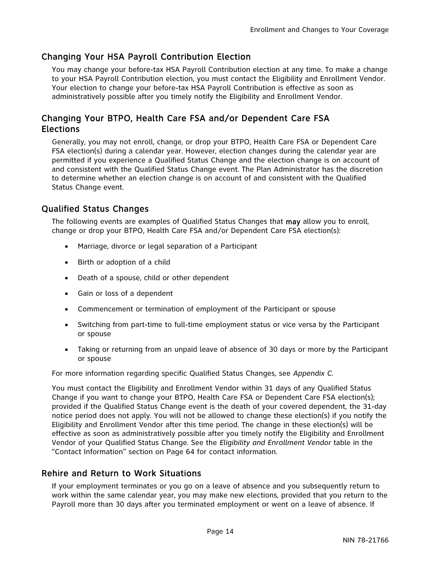## Changing Your HSA Payroll Contribution Election

You may change your before-tax HSA Payroll Contribution election at any time. To make a change to your HSA Payroll Contribution election, you must contact the Eligibility and Enrollment Vendor. Your election to change your before-tax HSA Payroll Contribution is effective as soon as administratively possible after you timely notify the Eligibility and Enrollment Vendor.

## Changing Your BTPO, Health Care FSA and/or Dependent Care FSA Elections

Generally, you may not enroll, change, or drop your BTPO, Health Care FSA or Dependent Care FSA election(s) during a calendar year. However, election changes during the calendar year are permitted if you experience a Qualified Status Change and the election change is on account of and consistent with the Qualified Status Change event. The Plan Administrator has the discretion to determine whether an election change is on account of and consistent with the Qualified Status Change event.

## Qualified Status Changes

The following events are examples of Qualified Status Changes that may allow you to enroll, change or drop your BTPO, Health Care FSA and/or Dependent Care FSA election(s):

- Marriage, divorce or legal separation of a Participant
- Birth or adoption of a child
- Death of a spouse, child or other dependent
- Gain or loss of a dependent
- Commencement or termination of employment of the Participant or spouse
- Switching from part-time to full-time employment status or vice versa by the Participant or spouse
- Taking or returning from an unpaid leave of absence of 30 days or more by the Participant or spouse

For more information regarding specific Qualified Status Changes, see *Appendix C.*

You must contact the Eligibility and Enrollment Vendor within 31 days of any Qualified Status Change if you want to change your BTPO, Health Care FSA or Dependent Care FSA election(s); provided if the Qualified Status Change event is the death of your covered dependent, the 31-day notice period does not apply. You will not be allowed to change these election(s) if you notify the Eligibility and Enrollment Vendor after this time period. The change in these election(s) will be effective as soon as administratively possible after you timely notify the Eligibility and Enrollment Vendor of your Qualified Status Change. See the *Eligibility and Enrollment Vendor* table in the "Contact Information" section on Page 64 for contact information.

## Rehire and Return to Work Situations

If your employment terminates or you go on a leave of absence and you subsequently return to work within the same calendar year, you may make new elections, provided that you return to the Payroll more than 30 days after you terminated employment or went on a leave of absence. If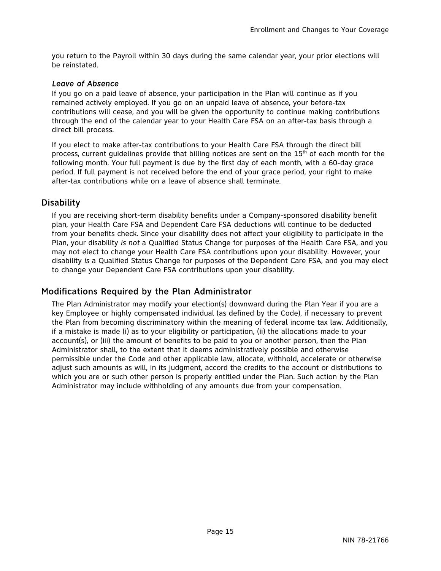you return to the Payroll within 30 days during the same calendar year, your prior elections will be reinstated.

#### *Leave of Absence*

If you go on a paid leave of absence, your participation in the Plan will continue as if you remained actively employed. If you go on an unpaid leave of absence, your before-tax contributions will cease, and you will be given the opportunity to continue making contributions through the end of the calendar year to your Health Care FSA on an after-tax basis through a direct bill process.

If you elect to make after-tax contributions to your Health Care FSA through the direct bill process, current guidelines provide that billing notices are sent on the  $15<sup>th</sup>$  of each month for the following month. Your full payment is due by the first day of each month, with a 60-day grace period. If full payment is not received before the end of your grace period, your right to make after-tax contributions while on a leave of absence shall terminate.

## **Disability**

If you are receiving short-term disability benefits under a Company-sponsored disability benefit plan, your Health Care FSA and Dependent Care FSA deductions will continue to be deducted from your benefits check. Since your disability does not affect your eligibility to participate in the Plan, your disability *is not* a Qualified Status Change for purposes of the Health Care FSA, and you may not elect to change your Health Care FSA contributions upon your disability. However, your disability *is* a Qualified Status Change for purposes of the Dependent Care FSA, and you may elect to change your Dependent Care FSA contributions upon your disability.

## Modifications Required by the Plan Administrator

The Plan Administrator may modify your election(s) downward during the Plan Year if you are a key Employee or highly compensated individual (as defined by the Code), if necessary to prevent the Plan from becoming discriminatory within the meaning of federal income tax law. Additionally, if a mistake is made (i) as to your eligibility or participation, (ii) the allocations made to your account(s), or (iii) the amount of benefits to be paid to you or another person, then the Plan Administrator shall, to the extent that it deems administratively possible and otherwise permissible under the Code and other applicable law, allocate, withhold, accelerate or otherwise adjust such amounts as will, in its judgment, accord the credits to the account or distributions to which you are or such other person is properly entitled under the Plan. Such action by the Plan Administrator may include withholding of any amounts due from your compensation.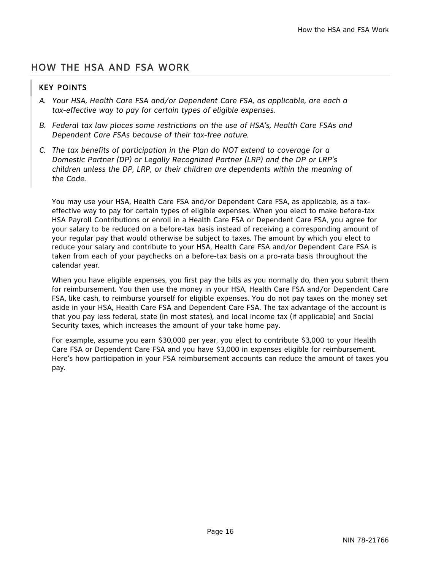# HOW THE HSA AND FSA WORK

## KEY POINTS

- *A. Your HSA, Health Care FSA and/or Dependent Care FSA, as applicable, are each a tax-effective way to pay for certain types of eligible expenses.*
- *B. Federal tax law places some restrictions on the use of HSA's, Health Care FSAs and Dependent Care FSAs because of their tax-free nature.*
- *C. The tax benefits of participation in the Plan do NOT extend to coverage for a Domestic Partner (DP) or Legally Recognized Partner (LRP) and the DP or LRP's children unless the DP, LRP, or their children are dependents within the meaning of the Code.*

You may use your HSA, Health Care FSA and/or Dependent Care FSA, as applicable, as a taxeffective way to pay for certain types of eligible expenses. When you elect to make before-tax HSA Payroll Contributions or enroll in a Health Care FSA or Dependent Care FSA, you agree for your salary to be reduced on a before-tax basis instead of receiving a corresponding amount of your regular pay that would otherwise be subject to taxes. The amount by which you elect to reduce your salary and contribute to your HSA, Health Care FSA and/or Dependent Care FSA is taken from each of your paychecks on a before-tax basis on a pro-rata basis throughout the calendar year.

When you have eligible expenses, you first pay the bills as you normally do, then you submit them for reimbursement. You then use the money in your HSA, Health Care FSA and/or Dependent Care FSA, like cash, to reimburse yourself for eligible expenses. You do not pay taxes on the money set aside in your HSA, Health Care FSA and Dependent Care FSA. The tax advantage of the account is that you pay less federal, state (in most states), and local income tax (if applicable) and Social Security taxes, which increases the amount of your take home pay.

For example, assume you earn \$30,000 per year, you elect to contribute \$3,000 to your Health Care FSA or Dependent Care FSA and you have \$3,000 in expenses eligible for reimbursement. Here's how participation in your FSA reimbursement accounts can reduce the amount of taxes you pay.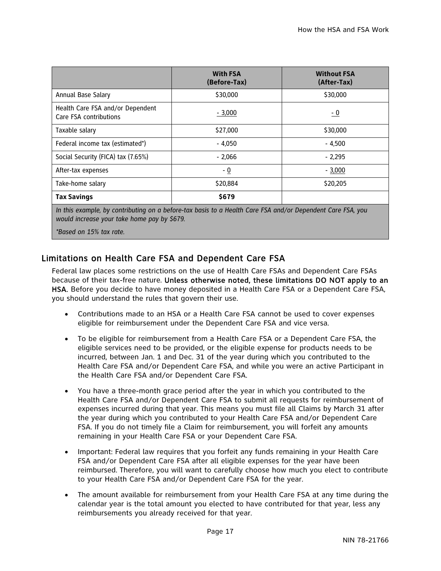|                                                                                                            | <b>With FSA</b><br>(Before-Tax) | <b>Without FSA</b><br>(After-Tax) |
|------------------------------------------------------------------------------------------------------------|---------------------------------|-----------------------------------|
| Annual Base Salary                                                                                         | \$30,000                        | \$30,000                          |
| Health Care FSA and/or Dependent<br>Care FSA contributions                                                 | $-3,000$                        | $-0$                              |
| Taxable salary                                                                                             | \$27,000                        | \$30,000                          |
| Federal income tax (estimated*)                                                                            | $-4.050$                        | $-4.500$                          |
| Social Security (FICA) tax (7.65%)                                                                         | $-2.066$                        | $-2,295$                          |
| After-tax expenses                                                                                         | - 0                             | $-3,000$                          |
| Take-home salary                                                                                           | \$20,884                        | \$20,205                          |
| <b>Tax Savings</b>                                                                                         | \$679                           |                                   |
| In this example, by contributing on a before-tax basis to a Health Care FSA and/or Dependent Care FSA, you |                                 |                                   |

*In this example, by contributing on a before-tax basis to a Health Care FSA and/or Dependent Care FSA, you would increase your take home pay by \$679.* 

*\*Based on 15% tax rate.*

## Limitations on Health Care FSA and Dependent Care FSA

Federal law places some restrictions on the use of Health Care FSAs and Dependent Care FSAs because of their tax-free nature. Unless otherwise noted, these limitations DO NOT apply to an HSA. Before you decide to have money deposited in a Health Care FSA or a Dependent Care FSA, you should understand the rules that govern their use.

- Contributions made to an HSA or a Health Care FSA cannot be used to cover expenses eligible for reimbursement under the Dependent Care FSA and vice versa.
- To be eligible for reimbursement from a Health Care FSA or a Dependent Care FSA, the eligible services need to be provided, or the eligible expense for products needs to be incurred, between Jan. 1 and Dec. 31 of the year during which you contributed to the Health Care FSA and/or Dependent Care FSA, and while you were an active Participant in the Health Care FSA and/or Dependent Care FSA.
- You have a three-month grace period after the year in which you contributed to the Health Care FSA and/or Dependent Care FSA to submit all requests for reimbursement of expenses incurred during that year. This means you must file all Claims by March 31 after the year during which you contributed to your Health Care FSA and/or Dependent Care FSA. If you do not timely file a Claim for reimbursement, you will forfeit any amounts remaining in your Health Care FSA or your Dependent Care FSA.
- Important: Federal law requires that you forfeit any funds remaining in your Health Care FSA and/or Dependent Care FSA after all eligible expenses for the year have been reimbursed. Therefore, you will want to carefully choose how much you elect to contribute to your Health Care FSA and/or Dependent Care FSA for the year.
- The amount available for reimbursement from your Health Care FSA at any time during the calendar year is the total amount you elected to have contributed for that year, less any reimbursements you already received for that year.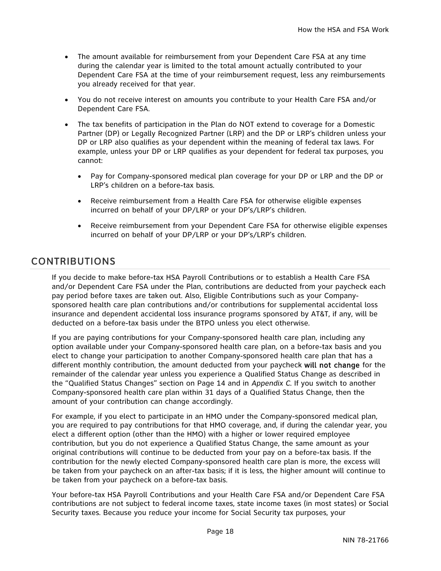- The amount available for reimbursement from your Dependent Care FSA at any time during the calendar year is limited to the total amount actually contributed to your Dependent Care FSA at the time of your reimbursement request, less any reimbursements you already received for that year.
- You do not receive interest on amounts you contribute to your Health Care FSA and/or Dependent Care FSA.
- The tax benefits of participation in the Plan do NOT extend to coverage for a Domestic Partner (DP) or Legally Recognized Partner (LRP) and the DP or LRP's children unless your DP or LRP also qualifies as your dependent within the meaning of federal tax laws. For example, unless your DP or LRP qualifies as your dependent for federal tax purposes, you cannot:
	- Pay for Company-sponsored medical plan coverage for your DP or LRP and the DP or LRP's children on a before-tax basis.
	- Receive reimbursement from a Health Care FSA for otherwise eligible expenses incurred on behalf of your DP/LRP or your DP's/LRP's children.
	- Receive reimbursement from your Dependent Care FSA for otherwise eligible expenses incurred on behalf of your DP/LRP or your DP's/LRP's children.

# CONTRIBUTIONS

If you decide to make before-tax HSA Payroll Contributions or to establish a Health Care FSA and/or Dependent Care FSA under the Plan, contributions are deducted from your paycheck each pay period before taxes are taken out. Also, Eligible Contributions such as your Companysponsored health care plan contributions and/or contributions for supplemental accidental loss insurance and dependent accidental loss insurance programs sponsored by AT&T, if any, will be deducted on a before-tax basis under the BTPO unless you elect otherwise.

If you are paying contributions for your Company-sponsored health care plan, including any option available under your Company-sponsored health care plan, on a before-tax basis and you elect to change your participation to another Company-sponsored health care plan that has a different monthly contribution, the amount deducted from your paycheck will not change for the remainder of the calendar year unless you experience a Qualified Status Change as described in the "Qualified Status Changes" section on Page 14 and in *Appendix C*. If you switch to another Company-sponsored health care plan within 31 days of a Qualified Status Change, then the amount of your contribution can change accordingly.

For example, if you elect to participate in an HMO under the Company-sponsored medical plan, you are required to pay contributions for that HMO coverage, and, if during the calendar year, you elect a different option (other than the HMO) with a higher or lower required employee contribution, but you do not experience a Qualified Status Change, the same amount as your original contributions will continue to be deducted from your pay on a before-tax basis. If the contribution for the newly elected Company-sponsored health care plan is more, the excess will be taken from your paycheck on an after-tax basis; if it is less, the higher amount will continue to be taken from your paycheck on a before-tax basis.

Your before-tax HSA Payroll Contributions and your Health Care FSA and/or Dependent Care FSA contributions are not subject to federal income taxes, state income taxes (in most states) or Social Security taxes. Because you reduce your income for Social Security tax purposes, your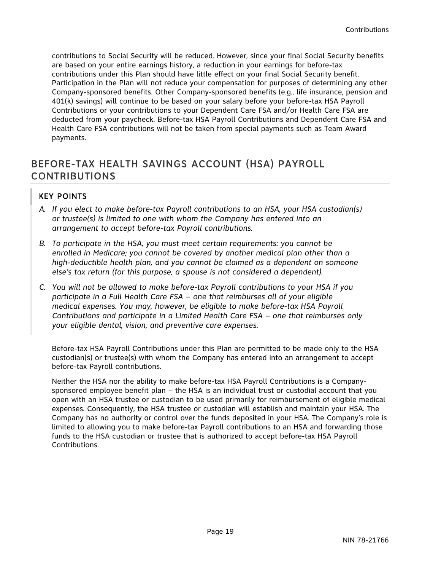contributions to Social Security will be reduced. However, since your final Social Security benefits are based on your entire earnings history, a reduction in your earnings for before-tax contributions under this Plan should have little effect on your final Social Security benefit. Participation in the Plan will not reduce your compensation for purposes of determining any other Company-sponsored benefits. Other Company-sponsored benefits (e.g., life insurance, pension and 401(k) savings) will continue to be based on your salary before your before-tax HSA Payroll Contributions or your contributions to your Dependent Care FSA and/or Health Care FSA are deducted from your paycheck. Before-tax HSA Payroll Contributions and Dependent Care FSA and Health Care FSA contributions will not be taken from special payments such as Team Award payments.

# BEFORE-TAX HEALTH SAVINGS ACCOUNT (HSA) PAYROLL CONTRIBUTIONS

## KEY POINTS

- *A. If you elect to make before-tax Payroll contributions to an HSA, your HSA custodian(s) or trustee(s) is limited to one with whom the Company has entered into an arrangement to accept before-tax Payroll contributions.*
- *B. To participate in the HSA, you must meet certain requirements: you cannot be enrolled in Medicare; you cannot be covered by another medical plan other than a high-deductible health plan, and you cannot be claimed as a dependent on someone else's tax return (for this purpose, a spouse is not considered a dependent).*
- *C. You will not be allowed to make before-tax Payroll contributions to your HSA if you participate in a Full Health Care FSA – one that reimburses all of your eligible medical expenses. You may, however, be eligible to make before-tax HSA Payroll Contributions and participate in a Limited Health Care FSA – one that reimburses only your eligible dental, vision, and preventive care expenses.*

Before-tax HSA Payroll Contributions under this Plan are permitted to be made only to the HSA custodian(s) or trustee(s) with whom the Company has entered into an arrangement to accept before-tax Payroll contributions.

Neither the HSA nor the ability to make before-tax HSA Payroll Contributions is a Companysponsored employee benefit plan – the HSA is an individual trust or custodial account that you open with an HSA trustee or custodian to be used primarily for reimbursement of eligible medical expenses. Consequently, the HSA trustee or custodian will establish and maintain your HSA. The Company has no authority or control over the funds deposited in your HSA. The Company's role is limited to allowing you to make before-tax Payroll contributions to an HSA and forwarding those funds to the HSA custodian or trustee that is authorized to accept before-tax HSA Payroll Contributions.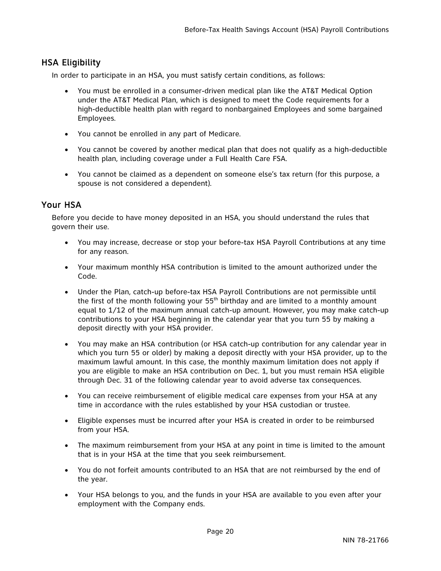## HSA Eligibility

In order to participate in an HSA, you must satisfy certain conditions, as follows:

- You must be enrolled in a consumer-driven medical plan like the AT&T Medical Option under the AT&T Medical Plan, which is designed to meet the Code requirements for a high-deductible health plan with regard to nonbargained Employees and some bargained Employees.
- You cannot be enrolled in any part of Medicare.
- You cannot be covered by another medical plan that does not qualify as a high-deductible health plan, including coverage under a Full Health Care FSA.
- You cannot be claimed as a dependent on someone else's tax return (for this purpose, a spouse is not considered a dependent).

## Your HSA

Before you decide to have money deposited in an HSA, you should understand the rules that govern their use.

- You may increase, decrease or stop your before-tax HSA Payroll Contributions at any time for any reason.
- Your maximum monthly HSA contribution is limited to the amount authorized under the Code.
- Under the Plan, catch-up before-tax HSA Payroll Contributions are not permissible until the first of the month following your  $55<sup>th</sup>$  birthday and are limited to a monthly amount equal to 1/12 of the maximum annual catch-up amount. However, you may make catch-up contributions to your HSA beginning in the calendar year that you turn 55 by making a deposit directly with your HSA provider.
- You may make an HSA contribution (or HSA catch-up contribution for any calendar year in which you turn 55 or older) by making a deposit directly with your HSA provider, up to the maximum lawful amount. In this case, the monthly maximum limitation does not apply if you are eligible to make an HSA contribution on Dec. 1, but you must remain HSA eligible through Dec. 31 of the following calendar year to avoid adverse tax consequences.
- You can receive reimbursement of eligible medical care expenses from your HSA at any time in accordance with the rules established by your HSA custodian or trustee.
- Eligible expenses must be incurred after your HSA is created in order to be reimbursed from your HSA.
- The maximum reimbursement from your HSA at any point in time is limited to the amount that is in your HSA at the time that you seek reimbursement.
- You do not forfeit amounts contributed to an HSA that are not reimbursed by the end of the year.
- Your HSA belongs to you, and the funds in your HSA are available to you even after your employment with the Company ends.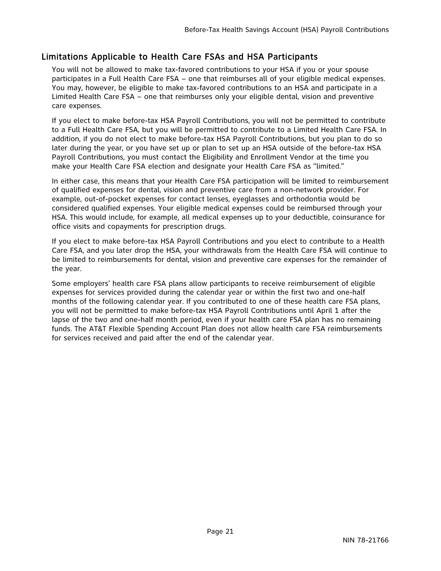## Limitations Applicable to Health Care FSAs and HSA Participants

You will not be allowed to make tax-favored contributions to your HSA if you or your spouse participates in a Full Health Care FSA – one that reimburses all of your eligible medical expenses. You may, however, be eligible to make tax-favored contributions to an HSA and participate in a Limited Health Care FSA – one that reimburses only your eligible dental, vision and preventive care expenses.

If you elect to make before-tax HSA Payroll Contributions, you will not be permitted to contribute to a Full Health Care FSA, but you will be permitted to contribute to a Limited Health Care FSA. In addition, if you do not elect to make before-tax HSA Payroll Contributions, but you plan to do so later during the year, or you have set up or plan to set up an HSA outside of the before-tax HSA Payroll Contributions, you must contact the Eligibility and Enrollment Vendor at the time you make your Health Care FSA election and designate your Health Care FSA as "limited."

In either case, this means that your Health Care FSA participation will be limited to reimbursement of qualified expenses for dental, vision and preventive care from a non-network provider. For example, out-of-pocket expenses for contact lenses, eyeglasses and orthodontia would be considered qualified expenses. Your eligible medical expenses could be reimbursed through your HSA. This would include, for example, all medical expenses up to your deductible, coinsurance for office visits and copayments for prescription drugs.

If you elect to make before-tax HSA Payroll Contributions and you elect to contribute to a Health Care FSA, and you later drop the HSA, your withdrawals from the Health Care FSA will continue to be limited to reimbursements for dental, vision and preventive care expenses for the remainder of the year.

Some employers' health care FSA plans allow participants to receive reimbursement of eligible expenses for services provided during the calendar year or within the first two and one-half months of the following calendar year. If you contributed to one of these health care FSA plans, you will not be permitted to make before-tax HSA Payroll Contributions until April 1 after the lapse of the two and one-half month period, even if your health care FSA plan has no remaining funds. The AT&T Flexible Spending Account Plan does not allow health care FSA reimbursements for services received and paid after the end of the calendar year.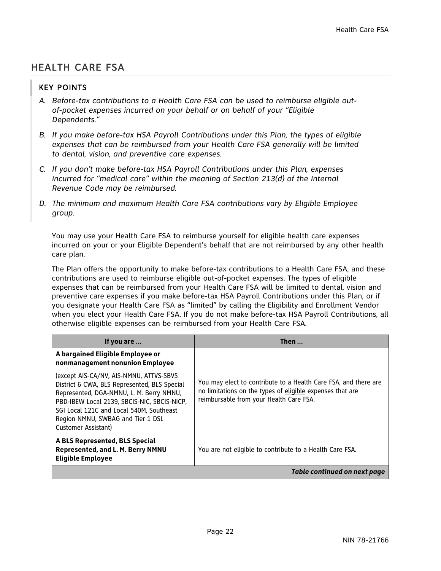# HEALTH CARE FSA

## KEY POINTS

- *A. Before-tax contributions to a Health Care FSA can be used to reimburse eligible outof-pocket expenses incurred on your behalf or on behalf of your "Eligible Dependents."*
- *B. If you make before-tax HSA Payroll Contributions under this Plan, the types of eligible expenses that can be reimbursed from your Health Care FSA generally will be limited to dental, vision, and preventive care expenses.*
- *C. If you don't make before-tax HSA Payroll Contributions under this Plan, expenses incurred for "medical care" within the meaning of Section 213(d) of the Internal Revenue Code may be reimbursed.*
- *D. The minimum and maximum Health Care FSA contributions vary by Eligible Employee group.*

You may use your Health Care FSA to reimburse yourself for eligible health care expenses incurred on your or your Eligible Dependent's behalf that are not reimbursed by any other health care plan.

The Plan offers the opportunity to make before-tax contributions to a Health Care FSA, and these contributions are used to reimburse eligible out-of-pocket expenses. The types of eligible expenses that can be reimbursed from your Health Care FSA will be limited to dental, vision and preventive care expenses if you make before-tax HSA Payroll Contributions under this Plan, or if you designate your Health Care FSA as "limited" by calling the Eligibility and Enrollment Vendor when you elect your Health Care FSA. If you do not make before-tax HSA Payroll Contributions, all otherwise eligible expenses can be reimbursed from your Health Care FSA.

| If you are                                                                                                                                                                                                                                                                                 | Then $\ldots$                                                                                                                                                           |
|--------------------------------------------------------------------------------------------------------------------------------------------------------------------------------------------------------------------------------------------------------------------------------------------|-------------------------------------------------------------------------------------------------------------------------------------------------------------------------|
| A bargained Eligible Employee or<br>nonmanagement nonunion Employee                                                                                                                                                                                                                        |                                                                                                                                                                         |
| (except AIS-CA/NV, AIS-NMNU, ATTVS-SBVS<br>District 6 CWA, BLS Represented, BLS Special<br>Represented, DGA-NMNU, L. M. Berry NMNU,<br>PBD-IBEW Local 2139, SBCIS-NIC, SBCIS-NICP,<br>SGI Local 121C and Local 540M, Southeast<br>Region NMNU, SWBAG and Tier 1 DSL<br>Customer Assistant) | You may elect to contribute to a Health Care FSA, and there are<br>no limitations on the types of eligible expenses that are<br>reimbursable from your Health Care FSA. |
| A BLS Represented, BLS Special<br>Represented, and L. M. Berry NMNU<br><b>Eligible Employee</b>                                                                                                                                                                                            | You are not eligible to contribute to a Health Care FSA.                                                                                                                |
|                                                                                                                                                                                                                                                                                            | Table continued on next page                                                                                                                                            |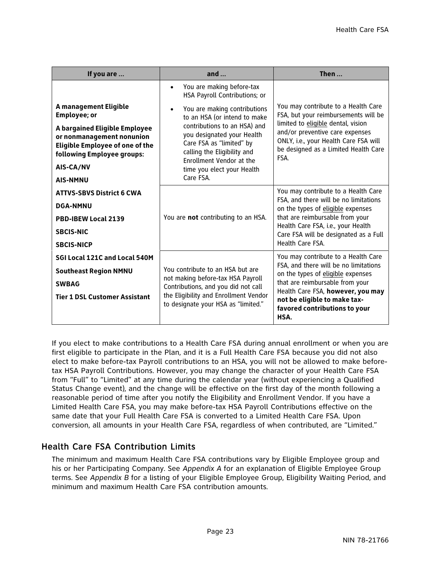| If you are                                                                                                                                                                                                         | and $\ldots$                                                                                                                                                                                                                                                                                                                                         | Then $\ldots$                                                                                                                                                                                                                                                      |
|--------------------------------------------------------------------------------------------------------------------------------------------------------------------------------------------------------------------|------------------------------------------------------------------------------------------------------------------------------------------------------------------------------------------------------------------------------------------------------------------------------------------------------------------------------------------------------|--------------------------------------------------------------------------------------------------------------------------------------------------------------------------------------------------------------------------------------------------------------------|
| A management Eligible<br><b>Employee; or</b><br>A bargained Eligible Employee<br>or nonmanagement nonunion<br><b>Eligible Employee of one of the</b><br>following Employee groups:<br>AIS-CA/NV<br><b>AIS-NMNU</b> | You are making before-tax<br>$\bullet$<br>HSA Payroll Contributions; or<br>You are making contributions<br>$\bullet$<br>to an HSA (or intend to make<br>contributions to an HSA) and<br>you designated your Health<br>Care FSA as "limited" by<br>calling the Eligibility and<br>Enrollment Vendor at the<br>time you elect your Health<br>Care FSA. | You may contribute to a Health Care<br>FSA, but your reimbursements will be<br>limited to eligible dental, vision<br>and/or preventive care expenses<br>ONLY, i.e., your Health Care FSA will<br>be designed as a Limited Health Care<br>FSA.                      |
| <b>ATTVS-SBVS District 6 CWA</b><br><b>DGA-NMNU</b><br><b>PBD-IBEW Local 2139</b><br><b>SBCIS-NIC</b><br><b>SBCIS-NICP</b>                                                                                         | You are not contributing to an HSA.                                                                                                                                                                                                                                                                                                                  | You may contribute to a Health Care<br>FSA, and there will be no limitations<br>on the types of eligible expenses<br>that are reimbursable from your<br>Health Care FSA, i.e., your Health<br>Care FSA will be designated as a Full<br>Health Care FSA.            |
| SGI Local 121C and Local 540M<br><b>Southeast Region NMNU</b><br><b>SWBAG</b><br><b>Tier 1 DSL Customer Assistant</b>                                                                                              | You contribute to an HSA but are<br>not making before-tax HSA Payroll<br>Contributions, and you did not call<br>the Eligibility and Enrollment Vendor<br>to designate your HSA as "limited."                                                                                                                                                         | You may contribute to a Health Care<br>FSA, and there will be no limitations<br>on the types of eligible expenses<br>that are reimbursable from your<br>Health Care FSA, however, you may<br>not be eligible to make tax-<br>favored contributions to your<br>HSA. |

If you elect to make contributions to a Health Care FSA during annual enrollment or when you are first eligible to participate in the Plan, and it is a Full Health Care FSA because you did not also elect to make before-tax Payroll contributions to an HSA, you will not be allowed to make beforetax HSA Payroll Contributions. However, you may change the character of your Health Care FSA from "Full" to "Limited" at any time during the calendar year (without experiencing a Qualified Status Change event), and the change will be effective on the first day of the month following a reasonable period of time after you notify the Eligibility and Enrollment Vendor. If you have a Limited Health Care FSA, you may make before-tax HSA Payroll Contributions effective on the same date that your Full Health Care FSA is converted to a Limited Health Care FSA. Upon conversion, all amounts in your Health Care FSA, regardless of when contributed, are "Limited."

## Health Care FSA Contribution Limits

The minimum and maximum Health Care FSA contributions vary by Eligible Employee group and his or her Participating Company. See *Appendix A* for an explanation of Eligible Employee Group terms. See *Appendix B* for a listing of your Eligible Employee Group, Eligibility Waiting Period, and minimum and maximum Health Care FSA contribution amounts.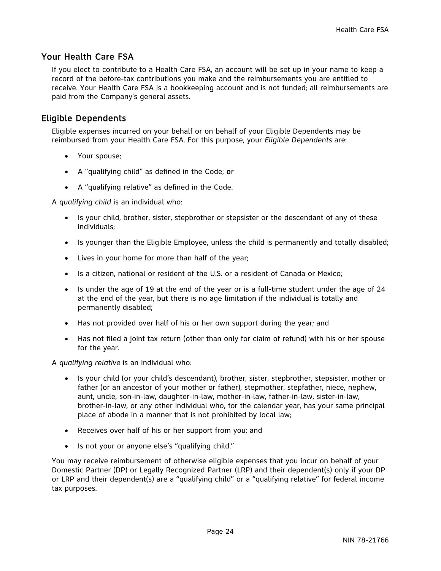## Your Health Care FSA

If you elect to contribute to a Health Care FSA, an account will be set up in your name to keep a record of the before-tax contributions you make and the reimbursements you are entitled to receive. Your Health Care FSA is a bookkeeping account and is not funded; all reimbursements are paid from the Company's general assets.

## Eligible Dependents

Eligible expenses incurred on your behalf or on behalf of your Eligible Dependents may be reimbursed from your Health Care FSA. For this purpose, your *Eligible Dependents* are:

- Your spouse;
- A "qualifying child" as defined in the Code; or
- A "qualifying relative" as defined in the Code.

A *qualifying child* is an individual who:

- Is your child, brother, sister, stepbrother or stepsister or the descendant of any of these individuals;
- Is younger than the Eligible Employee, unless the child is permanently and totally disabled;
- Lives in your home for more than half of the year;
- Is a citizen, national or resident of the U.S. or a resident of Canada or Mexico;
- Is under the age of 19 at the end of the year or is a full-time student under the age of 24 at the end of the year, but there is no age limitation if the individual is totally and permanently disabled;
- Has not provided over half of his or her own support during the year; and
- Has not filed a joint tax return (other than only for claim of refund) with his or her spouse for the year.

A *qualifying relative* is an individual who:

- Is your child (or your child's descendant), brother, sister, stepbrother, stepsister, mother or father (or an ancestor of your mother or father), stepmother, stepfather, niece, nephew, aunt, uncle, son-in-law, daughter-in-law, mother-in-law, father-in-law, sister-in-law, brother-in-law, or any other individual who, for the calendar year, has your same principal place of abode in a manner that is not prohibited by local law;
- Receives over half of his or her support from you; and
- Is not your or anyone else's "qualifying child."

You may receive reimbursement of otherwise eligible expenses that you incur on behalf of your Domestic Partner (DP) or Legally Recognized Partner (LRP) and their dependent(s) only if your DP or LRP and their dependent(s) are a "qualifying child" or a "qualifying relative" for federal income tax purposes.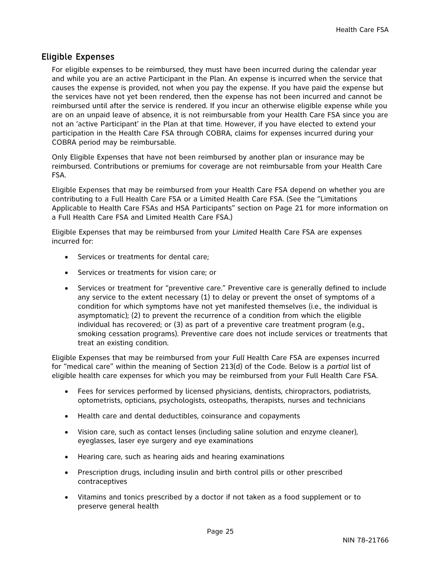## Eligible Expenses

For eligible expenses to be reimbursed, they must have been incurred during the calendar year and while you are an active Participant in the Plan. An expense is incurred when the service that causes the expense is provided, not when you pay the expense. If you have paid the expense but the services have not yet been rendered, then the expense has not been incurred and cannot be reimbursed until after the service is rendered. If you incur an otherwise eligible expense while you are on an unpaid leave of absence, it is not reimbursable from your Health Care FSA since you are not an 'active Participant' in the Plan at that time. However, if you have elected to extend your participation in the Health Care FSA through COBRA, claims for expenses incurred during your COBRA period may be reimbursable.

Only Eligible Expenses that have not been reimbursed by another plan or insurance may be reimbursed. Contributions or premiums for coverage are not reimbursable from your Health Care FSA.

Eligible Expenses that may be reimbursed from your Health Care FSA depend on whether you are contributing to a Full Health Care FSA or a Limited Health Care FSA. (See the "Limitations Applicable to Health Care FSAs and HSA Participants" section on Page 21 for more information on a Full Health Care FSA and Limited Health Care FSA.)

Eligible Expenses that may be reimbursed from your *Limited* Health Care FSA are expenses incurred for:

- Services or treatments for dental care;
- Services or treatments for vision care; or
- Services or treatment for "preventive care." Preventive care is generally defined to include any service to the extent necessary (1) to delay or prevent the onset of symptoms of a condition for which symptoms have not yet manifested themselves (i.e., the individual is asymptomatic); (2) to prevent the recurrence of a condition from which the eligible individual has recovered; or (3) as part of a preventive care treatment program (e.g., smoking cessation programs). Preventive care does not include services or treatments that treat an existing condition.

Eligible Expenses that may be reimbursed from your *Full* Health Care FSA are expenses incurred for "medical care" within the meaning of Section 213(d) of the Code. Below is a *partial* list of eligible health care expenses for which you may be reimbursed from your Full Health Care FSA.

- Fees for services performed by licensed physicians, dentists, chiropractors, podiatrists, optometrists, opticians, psychologists, osteopaths, therapists, nurses and technicians
- Health care and dental deductibles, coinsurance and copayments
- Vision care, such as contact lenses (including saline solution and enzyme cleaner), eyeglasses, laser eye surgery and eye examinations
- Hearing care, such as hearing aids and hearing examinations
- Prescription drugs, including insulin and birth control pills or other prescribed contraceptives
- Vitamins and tonics prescribed by a doctor if not taken as a food supplement or to preserve general health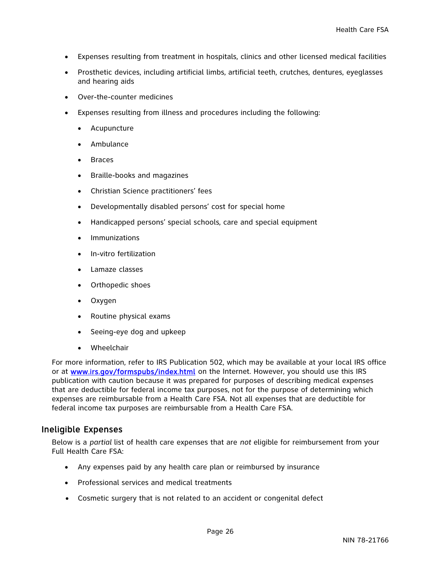- Expenses resulting from treatment in hospitals, clinics and other licensed medical facilities
- Prosthetic devices, including artificial limbs, artificial teeth, crutches, dentures, eyeglasses and hearing aids
- Over-the-counter medicines
- Expenses resulting from illness and procedures including the following:
	- Acupuncture
	- Ambulance
	- Braces
	- Braille-books and magazines
	- Christian Science practitioners' fees
	- Developmentally disabled persons' cost for special home
	- Handicapped persons' special schools, care and special equipment
	- **Immunizations**
	- In-vitro fertilization
	- Lamaze classes
	- Orthopedic shoes
	- Oxygen
	- Routine physical exams
	- Seeing-eye dog and upkeep
	- Wheelchair

For more information, refer to IRS Publication 502, which may be available at your local IRS office or at www.irs.gov/formspubs/index.html on the Internet. However, you should use this IRS publication with caution because it was prepared for purposes of describing medical expenses that are deductible for federal income tax purposes, not for the purpose of determining which expenses are reimbursable from a Health Care FSA. Not all expenses that are deductible for federal income tax purposes are reimbursable from a Health Care FSA.

## Ineligible Expenses

Below is a *partial* list of health care expenses that are *not* eligible for reimbursement from your Full Health Care FSA:

- Any expenses paid by any health care plan or reimbursed by insurance
- Professional services and medical treatments
- Cosmetic surgery that is not related to an accident or congenital defect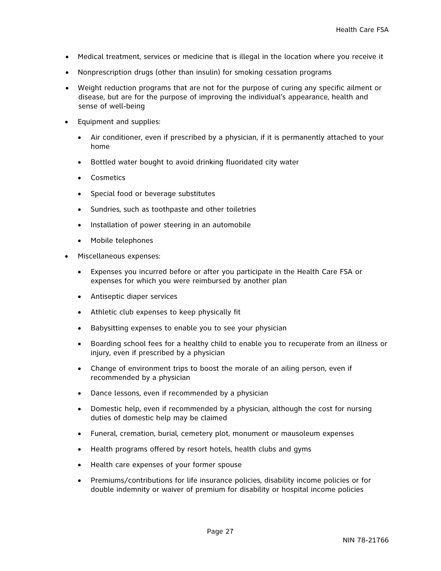- Medical treatment, services or medicine that is illegal in the location where you receive it
- Nonprescription drugs (other than insulin) for smoking cessation programs
- Weight reduction programs that are not for the purpose of curing any specific ailment or disease, but are for the purpose of improving the individual's appearance, health and sense of well-being
- Equipment and supplies:
	- Air conditioner, even if prescribed by a physician, if it is permanently attached to your home
	- Bottled water bought to avoid drinking fluoridated city water
	- Cosmetics
	- Special food or beverage substitutes
	- Sundries, such as toothpaste and other toiletries
	- Installation of power steering in an automobile
	- Mobile telephones
- Miscellaneous expenses:
	- Expenses you incurred before or after you participate in the Health Care FSA or expenses for which you were reimbursed by another plan
	- Antiseptic diaper services
	- Athletic club expenses to keep physically fit
	- Babysitting expenses to enable you to see your physician
	- Boarding school fees for a healthy child to enable you to recuperate from an illness or injury, even if prescribed by a physician
	- Change of environment trips to boost the morale of an ailing person, even if recommended by a physician
	- Dance lessons, even if recommended by a physician
	- Domestic help, even if recommended by a physician, although the cost for nursing duties of domestic help may be claimed
	- Funeral, cremation, burial, cemetery plot, monument or mausoleum expenses
	- Health programs offered by resort hotels, health clubs and gyms
	- Health care expenses of your former spouse
	- Premiums/contributions for life insurance policies, disability income policies or for double indemnity or waiver of premium for disability or hospital income policies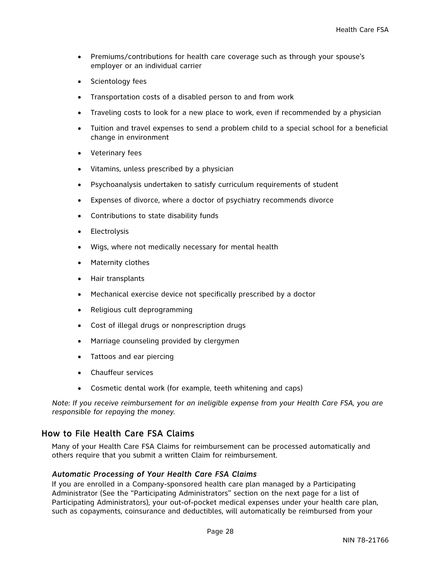- Premiums/contributions for health care coverage such as through your spouse's employer or an individual carrier
- Scientology fees
- Transportation costs of a disabled person to and from work
- Traveling costs to look for a new place to work, even if recommended by a physician
- Tuition and travel expenses to send a problem child to a special school for a beneficial change in environment
- Veterinary fees
- Vitamins, unless prescribed by a physician
- Psychoanalysis undertaken to satisfy curriculum requirements of student
- Expenses of divorce, where a doctor of psychiatry recommends divorce
- Contributions to state disability funds
- Electrolysis
- Wigs, where not medically necessary for mental health
- Maternity clothes
- Hair transplants
- Mechanical exercise device not specifically prescribed by a doctor
- Religious cult deprogramming
- Cost of illegal drugs or nonprescription drugs
- Marriage counseling provided by clergymen
- Tattoos and ear piercing
- Chauffeur services
- Cosmetic dental work (for example, teeth whitening and caps)

*Note: If you receive reimbursement for an ineligible expense from your Health Care FSA, you are responsible for repaying the money.* 

## How to File Health Care FSA Claims

Many of your Health Care FSA Claims for reimbursement can be processed automatically and others require that you submit a written Claim for reimbursement.

#### *Automatic Processing of Your Health Care FSA Claims*

If you are enrolled in a Company-sponsored health care plan managed by a Participating Administrator (See the "Participating Administrators" section on the next page for a list of Participating Administrators), your out-of-pocket medical expenses under your health care plan, such as copayments, coinsurance and deductibles, will automatically be reimbursed from your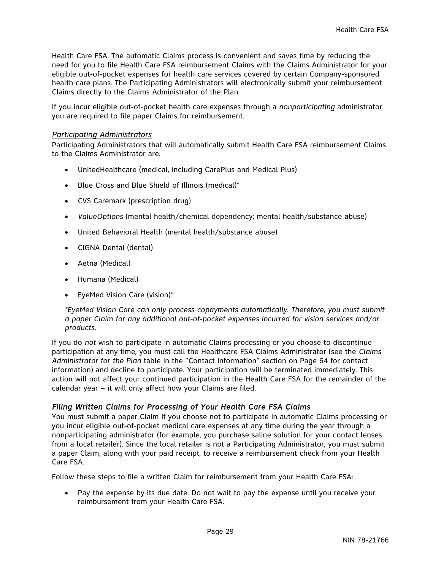Health Care FSA. The automatic Claims process is convenient and saves time by reducing the need for you to file Health Care FSA reimbursement Claims with the Claims Administrator for your eligible out-of-pocket expenses for health care services covered by certain Company-sponsored health care plans. The Participating Administrators will electronically submit your reimbursement Claims directly to the Claims Administrator of the Plan.

If you incur eligible out-of-pocket health care expenses through a *nonparticipating* administrator you are required to file paper Claims for reimbursement.

#### *Participating Administrators*

Participating Administrators that will automatically submit Health Care FSA reimbursement Claims to the Claims Administrator are:

- UnitedHealthcare (medical, including CarePlus and Medical Plus)
- Blue Cross and Blue Shield of Illinois (medical)\*
- CVS Caremark (prescription drug)
- *ValueOptions* (mental health/chemical dependency; mental health/substance abuse)
- United Behavioral Health (mental health/substance abuse)
- CIGNA Dental (dental)
- Aetna (Medical)
- Humana (Medical)
- EyeMed Vision Care (vision)\*

*\*EyeMed Vision Care can only process copayments automatically. Therefore, you must submit a paper Claim for any additional out-of-pocket expenses incurred for vision services and/or products.* 

If you do *not* wish to participate in automatic Claims processing or you choose to discontinue participation at any time, you must call the Healthcare FSA Claims Administrator (see the *Claims Administrator for the Plan* table in the "Contact Information" section on Page 64 for contact information) and decline to participate. Your participation will be terminated immediately. This action will not affect your continued participation in the Health Care FSA for the remainder of the calendar year – it will only affect how your Claims are filed.

#### *Filing Written Claims for Processing of Your Health Care FSA Claims*

You must submit a paper Claim if you choose not to participate in automatic Claims processing or you incur eligible out-of-pocket medical care expenses at any time during the year through a nonparticipating administrator (for example, you purchase saline solution for your contact lenses from a local retailer). Since the local retailer is not a Participating Administrator, you must submit a paper Claim, along with your paid receipt, to receive a reimbursement check from your Health Care FSA.

Follow these steps to file a written Claim for reimbursement from your Health Care FSA:

 Pay the expense by its due date. Do not wait to pay the expense until you receive your reimbursement from your Health Care FSA.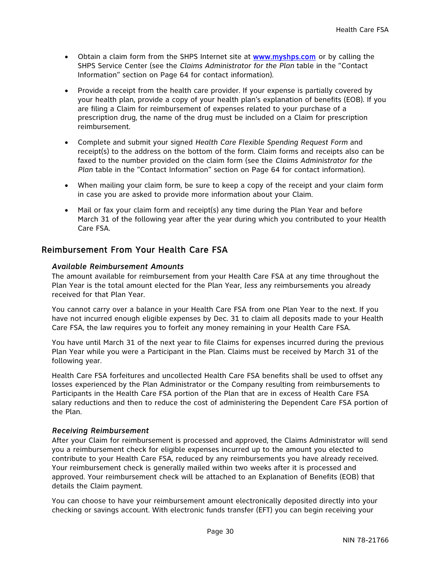- Obtain a claim form from the SHPS Internet site at www.myshps.com or by calling the SHPS Service Center (see the *Claims Administrator for the Plan* table in the "Contact Information" section on Page 64 for contact information).
- Provide a receipt from the health care provider. If your expense is partially covered by your health plan, provide a copy of your health plan's explanation of benefits (EOB). If you are filing a Claim for reimbursement of expenses related to your purchase of a prescription drug, the name of the drug must be included on a Claim for prescription reimbursement.
- Complete and submit your signed *Health Care Flexible Spending Request Form* and receipt(s) to the address on the bottom of the form. Claim forms and receipts also can be faxed to the number provided on the claim form (see the *Claims Administrator for the Plan* table in the "Contact Information" section on Page 64 for contact information).
- When mailing your claim form, be sure to keep a copy of the receipt and your claim form in case you are asked to provide more information about your Claim.
- Mail or fax your claim form and receipt(s) any time during the Plan Year and before March 31 of the following year after the year during which you contributed to your Health Care FSA.

## Reimbursement From Your Health Care FSA

#### *Available Reimbursement Amounts*

The amount available for reimbursement from your Health Care FSA at any time throughout the Plan Year is the total amount elected for the Plan Year, *less* any reimbursements you already received for that Plan Year.

You cannot carry over a balance in your Health Care FSA from one Plan Year to the next. If you have not incurred enough eligible expenses by Dec. 31 to claim all deposits made to your Health Care FSA, the law requires you to forfeit any money remaining in your Health Care FSA.

You have until March 31 of the next year to file Claims for expenses incurred during the previous Plan Year while you were a Participant in the Plan. Claims must be received by March 31 of the following year.

Health Care FSA forfeitures and uncollected Health Care FSA benefits shall be used to offset any losses experienced by the Plan Administrator or the Company resulting from reimbursements to Participants in the Health Care FSA portion of the Plan that are in excess of Health Care FSA salary reductions and then to reduce the cost of administering the Dependent Care FSA portion of the Plan.

#### *Receiving Reimbursement*

After your Claim for reimbursement is processed and approved, the Claims Administrator will send you a reimbursement check for eligible expenses incurred up to the amount you elected to contribute to your Health Care FSA, reduced by any reimbursements you have already received. Your reimbursement check is generally mailed within two weeks after it is processed and approved. Your reimbursement check will be attached to an Explanation of Benefits (EOB) that details the Claim payment.

You can choose to have your reimbursement amount electronically deposited directly into your checking or savings account. With electronic funds transfer (EFT) you can begin receiving your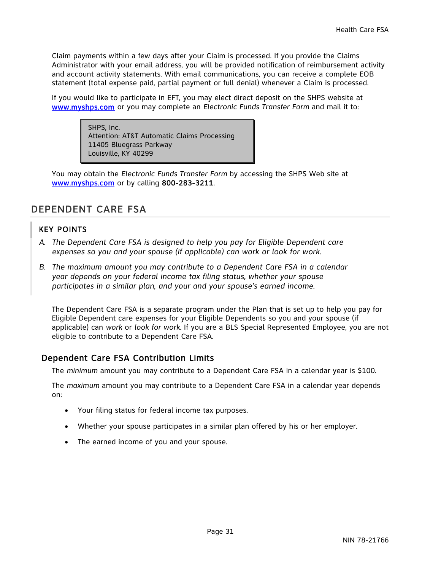Claim payments within a few days after your Claim is processed. If you provide the Claims Administrator with your email address, you will be provided notification of reimbursement activity and account activity statements. With email communications, you can receive a complete EOB statement (total expense paid, partial payment or full denial) whenever a Claim is processed.

If you would like to participate in EFT, you may elect direct deposit on the SHPS website at www.myshps.com or you may complete an *Electronic Funds Transfer Form* and mail it to:

> SHPS, Inc. Attention: AT&T Automatic Claims Processing 11405 Bluegrass Parkway Louisville, KY 40299

You may obtain the *Electronic Funds Transfer Form* by accessing the SHPS Web site at www.myshps.com or by calling 800-283-3211.

## DEPENDENT CARE FSA

## KEY POINTS

- *A. The Dependent Care FSA is designed to help you pay for Eligible Dependent care expenses so you and your spouse (if applicable) can work or look for work.*
- *B. The maximum amount you may contribute to a Dependent Care FSA in a calendar year depends on your federal income tax filing status, whether your spouse participates in a similar plan, and your and your spouse's earned income.*

The Dependent Care FSA is a separate program under the Plan that is set up to help you pay for Eligible Dependent care expenses for your Eligible Dependents so you and your spouse (if applicable) can *work* or *look for work.* If you are a BLS Special Represented Employee, you are not eligible to contribute to a Dependent Care FSA.

## Dependent Care FSA Contribution Limits

The *minimum* amount you may contribute to a Dependent Care FSA in a calendar year is \$100.

The *maximum* amount you may contribute to a Dependent Care FSA in a calendar year depends on:

- Your filing status for federal income tax purposes.
- Whether your spouse participates in a similar plan offered by his or her employer.
- The earned income of you and your spouse.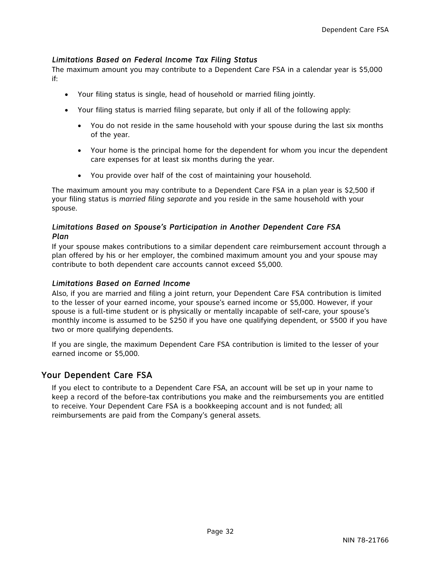## *Limitations Based on Federal Income Tax Filing Status*

The maximum amount you may contribute to a Dependent Care FSA in a calendar year is \$5,000 if:

- Your filing status is single, head of household or married filing jointly.
- Your filing status is married filing separate, but only if all of the following apply:
	- You do not reside in the same household with your spouse during the last six months of the year.
	- Your home is the principal home for the dependent for whom you incur the dependent care expenses for at least six months during the year.
	- You provide over half of the cost of maintaining your household.

The maximum amount you may contribute to a Dependent Care FSA in a plan year is \$2,500 if your filing status is *married filing separate* and you reside in the same household with your spouse.

#### *Limitations Based on Spouse's Participation in Another Dependent Care FSA Plan*

If your spouse makes contributions to a similar dependent care reimbursement account through a plan offered by his or her employer, the combined maximum amount you and your spouse may contribute to both dependent care accounts cannot exceed \$5,000.

#### *Limitations Based on Earned Income*

Also, if you are married and filing a joint return, your Dependent Care FSA contribution is limited to the lesser of your earned income, your spouse's earned income or \$5,000. However, if your spouse is a full-time student or is physically or mentally incapable of self-care, your spouse's monthly income is assumed to be \$250 if you have one qualifying dependent, or \$500 if you have two or more qualifying dependents.

If you are single, the maximum Dependent Care FSA contribution is limited to the lesser of your earned income or \$5,000.

## Your Dependent Care FSA

If you elect to contribute to a Dependent Care FSA, an account will be set up in your name to keep a record of the before-tax contributions you make and the reimbursements you are entitled to receive. Your Dependent Care FSA is a bookkeeping account and is not funded; all reimbursements are paid from the Company's general assets.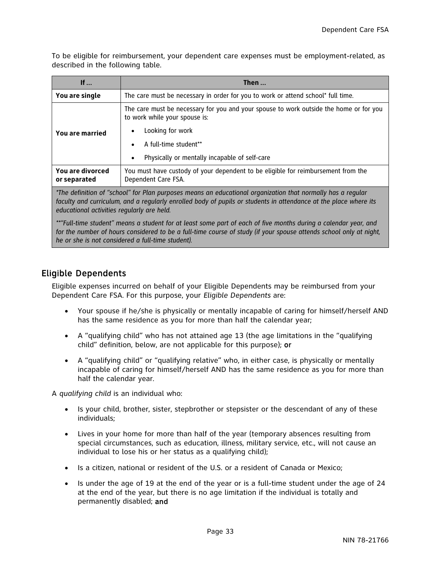To be eligible for reimbursement, your dependent care expenses must be employment-related, as described in the following table.

| If $\ldots$                      | Then $\ldots$                                                                                                           |
|----------------------------------|-------------------------------------------------------------------------------------------------------------------------|
| You are single                   | The care must be necessary in order for you to work or attend school* full time.                                        |
|                                  | The care must be necessary for you and your spouse to work outside the home or for you<br>to work while your spouse is: |
| You are married                  | Looking for work                                                                                                        |
|                                  | A full-time student**                                                                                                   |
|                                  | Physically or mentally incapable of self-care                                                                           |
| You are divorced<br>or separated | You must have custody of your dependent to be eligible for reimbursement from the<br>Dependent Care FSA.                |
|                                  | $\star$ to definition of the length from the company of the contractional companies in the competitor length secondary  |

*\*The definition of "school" for Plan purposes means an educational organization that normally has a regular faculty and curriculum, and a regularly enrolled body of pupils or students in attendance at the place where its educational activities regularly are held.* 

*\*\*"Full-time student" means a student for at least some part of each of five months during a calendar year, and for the number of hours considered to be a full-time course of study (if your spouse attends school only at night, he or she is not considered a full-time student).* 

## Eligible Dependents

Eligible expenses incurred on behalf of your Eligible Dependents may be reimbursed from your Dependent Care FSA. For this purpose, your *Eligible Dependents* are:

- Your spouse if he/she is physically or mentally incapable of caring for himself/herself AND has the same residence as you for more than half the calendar year;
- A "qualifying child" who has not attained age 13 (the age limitations in the "qualifying child" definition, below, are not applicable for this purpose); or
- A "qualifying child" or "qualifying relative" who, in either case, is physically or mentally incapable of caring for himself/herself AND has the same residence as you for more than half the calendar year.

A *qualifying child* is an individual who:

- Is your child, brother, sister, stepbrother or stepsister or the descendant of any of these individuals;
- Lives in your home for more than half of the year (temporary absences resulting from special circumstances, such as education, illness, military service, etc., will not cause an individual to lose his or her status as a qualifying child);
- Is a citizen, national or resident of the U.S. or a resident of Canada or Mexico;
- $\bullet$  Is under the age of 19 at the end of the year or is a full-time student under the age of 24 at the end of the year, but there is no age limitation if the individual is totally and permanently disabled; and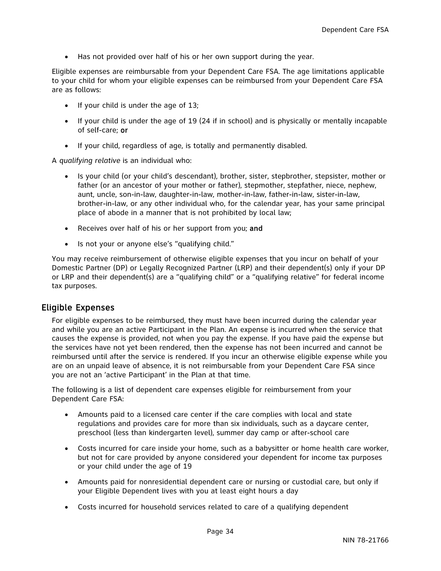Has not provided over half of his or her own support during the year.

Eligible expenses are reimbursable from your Dependent Care FSA. The age limitations applicable to your child for whom your eligible expenses can be reimbursed from your Dependent Care FSA are as follows:

- $\bullet$  If your child is under the age of 13;
- $\bullet$  If your child is under the age of 19 (24 if in school) and is physically or mentally incapable of self-care; or
- If your child, regardless of age, is totally and permanently disabled.

A *qualifying relative* is an individual who:

- Is your child (or your child's descendant), brother, sister, stepbrother, stepsister, mother or father (or an ancestor of your mother or father), stepmother, stepfather, niece, nephew, aunt, uncle, son-in-law, daughter-in-law, mother-in-law, father-in-law, sister-in-law, brother-in-law, or any other individual who, for the calendar year, has your same principal place of abode in a manner that is not prohibited by local law;
- Receives over half of his or her support from you; and
- Is not your or anyone else's "qualifying child."

You may receive reimbursement of otherwise eligible expenses that you incur on behalf of your Domestic Partner (DP) or Legally Recognized Partner (LRP) and their dependent(s) only if your DP or LRP and their dependent(s) are a "qualifying child" or a "qualifying relative" for federal income tax purposes.

#### Eligible Expenses

For eligible expenses to be reimbursed, they must have been incurred during the calendar year and while you are an active Participant in the Plan. An expense is incurred when the service that causes the expense is provided, not when you pay the expense. If you have paid the expense but the services have not yet been rendered, then the expense has not been incurred and cannot be reimbursed until after the service is rendered. If you incur an otherwise eligible expense while you are on an unpaid leave of absence, it is not reimbursable from your Dependent Care FSA since you are not an 'active Participant' in the Plan at that time.

The following is a list of dependent care expenses eligible for reimbursement from your Dependent Care FSA:

- Amounts paid to a licensed care center if the care complies with local and state regulations and provides care for more than six individuals, such as a daycare center, preschool (less than kindergarten level), summer day camp or after-school care
- Costs incurred for care inside your home, such as a babysitter or home health care worker, but not for care provided by anyone considered your dependent for income tax purposes or your child under the age of 19
- Amounts paid for nonresidential dependent care or nursing or custodial care, but only if your Eligible Dependent lives with you at least eight hours a day
- Costs incurred for household services related to care of a qualifying dependent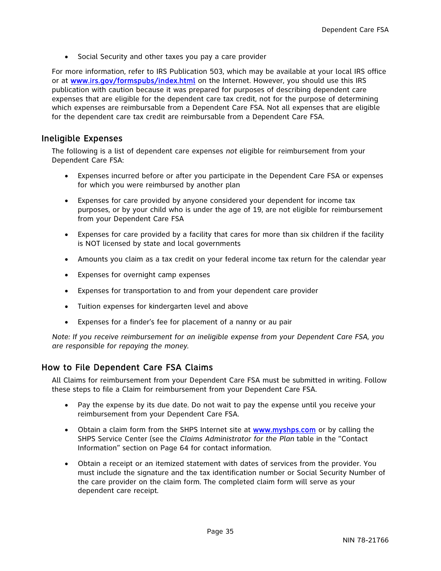Social Security and other taxes you pay a care provider

For more information, refer to IRS Publication 503, which may be available at your local IRS office or at www.irs.gov/formspubs/index.html on the Internet. However, you should use this IRS publication with caution because it was prepared for purposes of describing dependent care expenses that are eligible for the dependent care tax credit, not for the purpose of determining which expenses are reimbursable from a Dependent Care FSA. Not all expenses that are eligible for the dependent care tax credit are reimbursable from a Dependent Care FSA.

## Ineligible Expenses

The following is a list of dependent care expenses *not* eligible for reimbursement from your Dependent Care FSA:

- Expenses incurred before or after you participate in the Dependent Care FSA or expenses for which you were reimbursed by another plan
- Expenses for care provided by anyone considered your dependent for income tax purposes, or by your child who is under the age of 19, are not eligible for reimbursement from your Dependent Care FSA
- Expenses for care provided by a facility that cares for more than six children if the facility is NOT licensed by state and local governments
- Amounts you claim as a tax credit on your federal income tax return for the calendar year
- Expenses for overnight camp expenses
- Expenses for transportation to and from your dependent care provider
- Tuition expenses for kindergarten level and above
- Expenses for a finder's fee for placement of a nanny or au pair

*Note: If you receive reimbursement for an ineligible expense from your Dependent Care FSA, you are responsible for repaying the money.* 

## How to File Dependent Care FSA Claims

All Claims for reimbursement from your Dependent Care FSA must be submitted in writing. Follow these steps to file a Claim for reimbursement from your Dependent Care FSA.

- Pay the expense by its due date. Do not wait to pay the expense until you receive your reimbursement from your Dependent Care FSA.
- Obtain a claim form from the SHPS Internet site at www.myshps.com or by calling the SHPS Service Center (see the *Claims Administrator for the Plan* table in the "Contact Information" section on Page 64 for contact information.
- Obtain a receipt or an itemized statement with dates of services from the provider. You must include the signature and the tax identification number or Social Security Number of the care provider on the claim form. The completed claim form will serve as your dependent care receipt.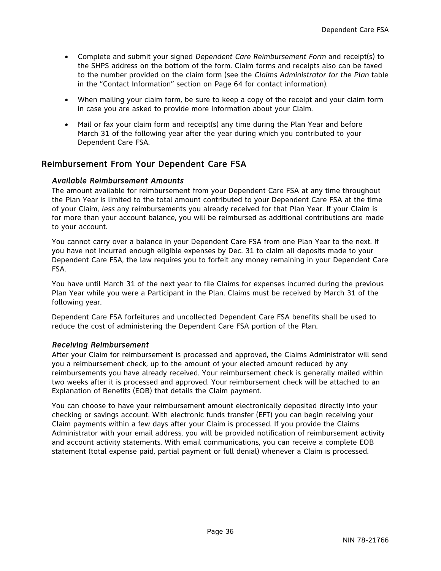- Complete and submit your signed *Dependent Care Reimbursement Form* and receipt(s) to the SHPS address on the bottom of the form. Claim forms and receipts also can be faxed to the number provided on the claim form (see the *Claims Administrator for the Plan* table in the "Contact Information" section on Page 64 for contact information).
- When mailing your claim form, be sure to keep a copy of the receipt and your claim form in case you are asked to provide more information about your Claim.
- Mail or fax your claim form and receipt(s) any time during the Plan Year and before March 31 of the following year after the year during which you contributed to your Dependent Care FSA.

## Reimbursement From Your Dependent Care FSA

#### *Available Reimbursement Amounts*

The amount available for reimbursement from your Dependent Care FSA at any time throughout the Plan Year is limited to the total amount contributed to your Dependent Care FSA at the time of your Claim, *less* any reimbursements you already received for that Plan Year. If your Claim is for more than your account balance, you will be reimbursed as additional contributions are made to your account.

You cannot carry over a balance in your Dependent Care FSA from one Plan Year to the next. If you have not incurred enough eligible expenses by Dec. 31 to claim all deposits made to your Dependent Care FSA, the law requires you to forfeit any money remaining in your Dependent Care FSA.

You have until March 31 of the next year to file Claims for expenses incurred during the previous Plan Year while you were a Participant in the Plan. Claims must be received by March 31 of the following year.

Dependent Care FSA forfeitures and uncollected Dependent Care FSA benefits shall be used to reduce the cost of administering the Dependent Care FSA portion of the Plan.

#### *Receiving Reimbursement*

After your Claim for reimbursement is processed and approved, the Claims Administrator will send you a reimbursement check, up to the amount of your elected amount reduced by any reimbursements you have already received. Your reimbursement check is generally mailed within two weeks after it is processed and approved. Your reimbursement check will be attached to an Explanation of Benefits (EOB) that details the Claim payment.

You can choose to have your reimbursement amount electronically deposited directly into your checking or savings account. With electronic funds transfer (EFT) you can begin receiving your Claim payments within a few days after your Claim is processed. If you provide the Claims Administrator with your email address, you will be provided notification of reimbursement activity and account activity statements. With email communications, you can receive a complete EOB statement (total expense paid, partial payment or full denial) whenever a Claim is processed.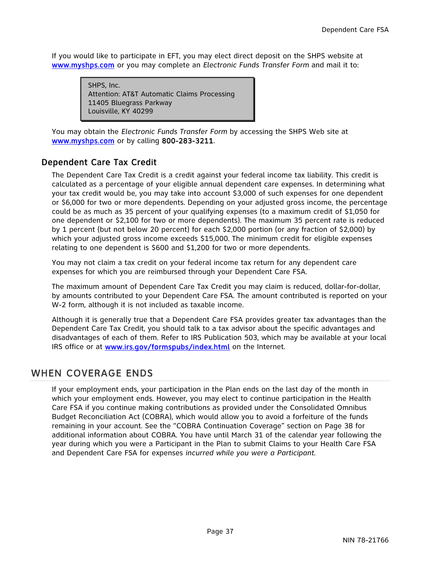If you would like to participate in EFT, you may elect direct deposit on the SHPS website at www.myshps.com or you may complete an *Electronic Funds Transfer Form* and mail it to:

> SHPS, Inc. Attention: AT&T Automatic Claims Processing 11405 Bluegrass Parkway Louisville, KY 40299

You may obtain the *Electronic Funds Transfer Form* by accessing the SHPS Web site at www.myshps.com or by calling 800-283-3211.

# Dependent Care Tax Credit

The Dependent Care Tax Credit is a credit against your federal income tax liability. This credit is calculated as a percentage of your eligible annual dependent care expenses. In determining what your tax credit would be, you may take into account \$3,000 of such expenses for one dependent or \$6,000 for two or more dependents. Depending on your adjusted gross income, the percentage could be as much as 35 percent of your qualifying expenses (to a maximum credit of \$1,050 for one dependent or \$2,100 for two or more dependents). The maximum 35 percent rate is reduced by 1 percent (but not below 20 percent) for each \$2,000 portion (or any fraction of \$2,000) by which your adjusted gross income exceeds \$15,000. The minimum credit for eligible expenses relating to one dependent is \$600 and \$1,200 for two or more dependents.

You may not claim a tax credit on your federal income tax return for any dependent care expenses for which you are reimbursed through your Dependent Care FSA.

The maximum amount of Dependent Care Tax Credit you may claim is reduced, dollar-for-dollar, by amounts contributed to your Dependent Care FSA. The amount contributed is reported on your W-2 form, although it is not included as taxable income.

Although it is generally true that a Dependent Care FSA provides greater tax advantages than the Dependent Care Tax Credit, you should talk to a tax advisor about the specific advantages and disadvantages of each of them. Refer to IRS Publication 503, which may be available at your local IRS office or at www.irs.gov/formspubs/index.html on the Internet.

# WHEN COVERAGE ENDS

If your employment ends, your participation in the Plan ends on the last day of the month in which your employment ends. However, you may elect to continue participation in the Health Care FSA if you continue making contributions as provided under the Consolidated Omnibus Budget Reconciliation Act (COBRA), which would allow you to avoid a forfeiture of the funds remaining in your account. See the "COBRA Continuation Coverage" section on Page 38 for additional information about COBRA. You have until March 31 of the calendar year following the year during which you were a Participant in the Plan to submit Claims to your Health Care FSA and Dependent Care FSA for expenses *incurred while you were a Participant.*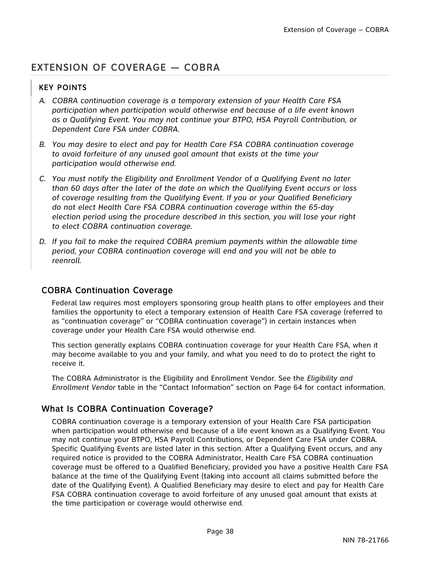# EXTENSION OF COVERAGE — COBRA

## KEY POINTS

- *A. COBRA continuation coverage is a temporary extension of your Health Care FSA participation when participation would otherwise end because of a life event known as a Qualifying Event. You may not continue your BTPO, HSA Payroll Contribution, or Dependent Care FSA under COBRA.*
- *B. You may desire to elect and pay for Health Care FSA COBRA continuation coverage to avoid forfeiture of any unused goal amount that exists at the time your participation would otherwise end.*
- *C. You must notify the Eligibility and Enrollment Vendor of a Qualifying Event no later than 60 days after the later of the date on which the Qualifying Event occurs or loss of coverage resulting from the Qualifying Event. If you or your Qualified Beneficiary do not elect Health Care FSA COBRA continuation coverage within the 65-day election period using the procedure described in this section, you will lose your right to elect COBRA continuation coverage.*
- *D. If you fail to make the required COBRA premium payments within the allowable time period, your COBRA continuation coverage will end and you will not be able to reenroll.*

# COBRA Continuation Coverage

Federal law requires most employers sponsoring group health plans to offer employees and their families the opportunity to elect a temporary extension of Health Care FSA coverage (referred to as "continuation coverage" or "COBRA continuation coverage") in certain instances when coverage under your Health Care FSA would otherwise end.

This section generally explains COBRA continuation coverage for your Health Care FSA, when it may become available to you and your family, and what you need to do to protect the right to receive it.

The COBRA Administrator is the Eligibility and Enrollment Vendor. See the *Eligibility and Enrollment Vendor* table in the "Contact Information" section on Page 64 for contact information.

# What Is COBRA Continuation Coverage?

COBRA continuation coverage is a temporary extension of your Health Care FSA participation when participation would otherwise end because of a life event known as a Qualifying Event. You may not continue your BTPO, HSA Payroll Contributions, or Dependent Care FSA under COBRA. Specific Qualifying Events are listed later in this section. After a Qualifying Event occurs, and any required notice is provided to the COBRA Administrator, Health Care FSA COBRA continuation coverage must be offered to a Qualified Beneficiary, provided you have a positive Health Care FSA balance at the time of the Qualifying Event (taking into account all claims submitted before the date of the Qualifying Event). A Qualified Beneficiary may desire to elect and pay for Health Care FSA COBRA continuation coverage to avoid forfeiture of any unused goal amount that exists at the time participation or coverage would otherwise end.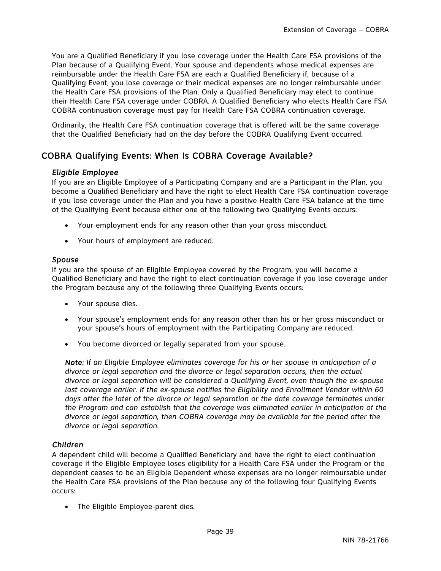You are a Qualified Beneficiary if you lose coverage under the Health Care FSA provisions of the Plan because of a Qualifying Event. Your spouse and dependents whose medical expenses are reimbursable under the Health Care FSA are each a Qualified Beneficiary if, because of a Qualifying Event, you lose coverage or their medical expenses are no longer reimbursable under the Health Care FSA provisions of the Plan. Only a Qualified Beneficiary may elect to continue their Health Care FSA coverage under COBRA. A Qualified Beneficiary who elects Health Care FSA COBRA continuation coverage must pay for Health Care FSA COBRA continuation coverage.

Ordinarily, the Health Care FSA continuation coverage that is offered will be the same coverage that the Qualified Beneficiary had on the day before the COBRA Qualifying Event occurred.

# COBRA Qualifying Events: When Is COBRA Coverage Available?

### *Eligible Employee*

If you are an Eligible Employee of a Participating Company and are a Participant in the Plan, you become a Qualified Beneficiary and have the right to elect Health Care FSA continuation coverage if you lose coverage under the Plan and you have a positive Health Care FSA balance at the time of the Qualifying Event because either one of the following two Qualifying Events occurs:

- Your employment ends for any reason other than your gross misconduct.
- Your hours of employment are reduced.

#### *Spouse*

If you are the spouse of an Eligible Employee covered by the Program, you will become a Qualified Beneficiary and have the right to elect continuation coverage if you lose coverage under the Program because any of the following three Qualifying Events occurs:

- Your spouse dies.
- Your spouse's employment ends for any reason other than his or her gross misconduct or your spouse's hours of employment with the Participating Company are reduced.
- You become divorced or legally separated from your spouse.

*Note: If an Eligible Employee eliminates coverage for his or her spouse in anticipation of a divorce or legal separation and the divorce or legal separation occurs, then the actual divorce or legal separation will be considered a Qualifying Event, even though the ex-spouse*  lost coverage earlier. If the ex-spouse notifies the Eligibility and Enrollment Vendor within 60 *days after the later of the divorce or legal separation or the date coverage terminates under the Program and can establish that the coverage was eliminated earlier in anticipation of the divorce or legal separation, then COBRA coverage may be available for the period after the divorce or legal separation.* 

### *Children*

A dependent child will become a Qualified Beneficiary and have the right to elect continuation coverage if the Eligible Employee loses eligibility for a Health Care FSA under the Program or the dependent ceases to be an Eligible Dependent whose expenses are no longer reimbursable under the Health Care FSA provisions of the Plan because any of the following four Qualifying Events occurs:

• The Eligible Employee-parent dies.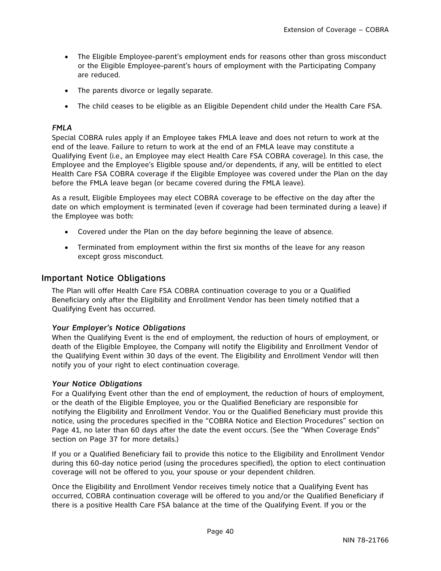- The Eligible Employee-parent's employment ends for reasons other than gross misconduct or the Eligible Employee-parent's hours of employment with the Participating Company are reduced.
- The parents divorce or legally separate.
- The child ceases to be eligible as an Eligible Dependent child under the Health Care FSA.

### *FMLA*

Special COBRA rules apply if an Employee takes FMLA leave and does not return to work at the end of the leave. Failure to return to work at the end of an FMLA leave may constitute a Qualifying Event (i.e., an Employee may elect Health Care FSA COBRA coverage). In this case, the Employee and the Employee's Eligible spouse and/or dependents, if any, will be entitled to elect Health Care FSA COBRA coverage if the Eligible Employee was covered under the Plan on the day before the FMLA leave began (or became covered during the FMLA leave).

As a result, Eligible Employees may elect COBRA coverage to be effective on the day after the date on which employment is terminated (even if coverage had been terminated during a leave) if the Employee was both:

- Covered under the Plan on the day before beginning the leave of absence.
- Terminated from employment within the first six months of the leave for any reason except gross misconduct.

### Important Notice Obligations

The Plan will offer Health Care FSA COBRA continuation coverage to you or a Qualified Beneficiary only after the Eligibility and Enrollment Vendor has been timely notified that a Qualifying Event has occurred.

### *Your Employer's Notice Obligations*

When the Qualifying Event is the end of employment, the reduction of hours of employment, or death of the Eligible Employee, the Company will notify the Eligibility and Enrollment Vendor of the Qualifying Event within 30 days of the event. The Eligibility and Enrollment Vendor will then notify you of your right to elect continuation coverage.

#### *Your Notice Obligations*

For a Qualifying Event other than the end of employment, the reduction of hours of employment, or the death of the Eligible Employee, you or the Qualified Beneficiary are responsible for notifying the Eligibility and Enrollment Vendor. You or the Qualified Beneficiary must provide this notice, using the procedures specified in the "COBRA Notice and Election Procedures" section on Page 41*,* no later than 60 days after the date the event occurs. (See the "When Coverage Ends" section on Page 37 for more details.)

If you or a Qualified Beneficiary fail to provide this notice to the Eligibility and Enrollment Vendor during this 60-day notice period (using the procedures specified), the option to elect continuation coverage will not be offered to you, your spouse or your dependent children.

Once the Eligibility and Enrollment Vendor receives timely notice that a Qualifying Event has occurred, COBRA continuation coverage will be offered to you and/or the Qualified Beneficiary if there is a positive Health Care FSA balance at the time of the Qualifying Event. If you or the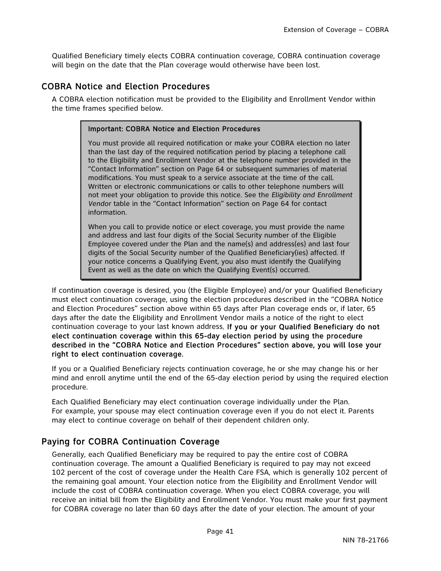Qualified Beneficiary timely elects COBRA continuation coverage, COBRA continuation coverage will begin on the date that the Plan coverage would otherwise have been lost.

# COBRA Notice and Election Procedures

A COBRA election notification must be provided to the Eligibility and Enrollment Vendor within the time frames specified below.

#### Important: COBRA Notice and Election Procedures

You must provide all required notification or make your COBRA election no later than the last day of the required notification period by placing a telephone call to the Eligibility and Enrollment Vendor at the telephone number provided in the "Contact Information" section on Page 64 or subsequent summaries of material modifications. You must speak to a service associate at the time of the call. Written or electronic communications or calls to other telephone numbers will not meet your obligation to provide this notice. See the *Eligibility and Enrollment Vendor* table in the "Contact Information" section on Page 64 for contact information.

When you call to provide notice or elect coverage, you must provide the name and address and last four digits of the Social Security number of the Eligible Employee covered under the Plan and the name(s) and address(es) and last four digits of the Social Security number of the Qualified Beneficiary(ies) affected. If your notice concerns a Qualifying Event, you also must identify the Qualifying Event as well as the date on which the Qualifying Event(s) occurred.

If continuation coverage is desired, you (the Eligible Employee) and/or your Qualified Beneficiary must elect continuation coverage, using the election procedures described in the "COBRA Notice and Election Procedures" section above within 65 days after Plan coverage ends or, if later, 65 days after the date the Eligibility and Enrollment Vendor mails a notice of the right to elect continuation coverage to your last known address. If you or your Qualified Beneficiary do not elect continuation coverage within this 65-day election period by using the procedure described in the "COBRA Notice and Election Procedures" section above, you will lose your right to elect continuation coverage.

If you or a Qualified Beneficiary rejects continuation coverage, he or she may change his or her mind and enroll anytime until the end of the 65-day election period by using the required election procedure.

Each Qualified Beneficiary may elect continuation coverage individually under the Plan. For example, your spouse may elect continuation coverage even if you do not elect it. Parents may elect to continue coverage on behalf of their dependent children only.

# Paying for COBRA Continuation Coverage

Generally, each Qualified Beneficiary may be required to pay the entire cost of COBRA continuation coverage. The amount a Qualified Beneficiary is required to pay may not exceed 102 percent of the cost of coverage under the Health Care FSA, which is generally 102 percent of the remaining goal amount. Your election notice from the Eligibility and Enrollment Vendor will include the cost of COBRA continuation coverage. When you elect COBRA coverage, you will receive an initial bill from the Eligibility and Enrollment Vendor. You must make your first payment for COBRA coverage no later than 60 days after the date of your election. The amount of your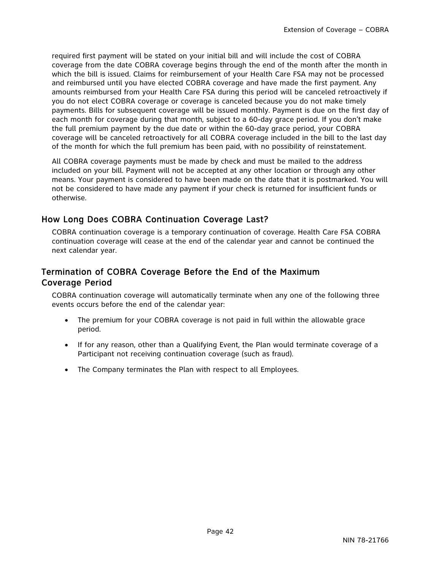required first payment will be stated on your initial bill and will include the cost of COBRA coverage from the date COBRA coverage begins through the end of the month after the month in which the bill is issued. Claims for reimbursement of your Health Care FSA may not be processed and reimbursed until you have elected COBRA coverage and have made the first payment. Any amounts reimbursed from your Health Care FSA during this period will be canceled retroactively if you do not elect COBRA coverage or coverage is canceled because you do not make timely payments. Bills for subsequent coverage will be issued monthly. Payment is due on the first day of each month for coverage during that month, subject to a 60-day grace period. If you don't make the full premium payment by the due date or within the 60-day grace period, your COBRA coverage will be canceled retroactively for all COBRA coverage included in the bill to the last day of the month for which the full premium has been paid, with no possibility of reinstatement.

All COBRA coverage payments must be made by check and must be mailed to the address included on your bill. Payment will not be accepted at any other location or through any other means. Your payment is considered to have been made on the date that it is postmarked. You will not be considered to have made any payment if your check is returned for insufficient funds or otherwise.

# How Long Does COBRA Continuation Coverage Last?

COBRA continuation coverage is a temporary continuation of coverage. Health Care FSA COBRA continuation coverage will cease at the end of the calendar year and cannot be continued the next calendar year.

# Termination of COBRA Coverage Before the End of the Maximum Coverage Period

COBRA continuation coverage will automatically terminate when any one of the following three events occurs before the end of the calendar year:

- The premium for your COBRA coverage is not paid in full within the allowable grace period.
- If for any reason, other than a Qualifying Event, the Plan would terminate coverage of a Participant not receiving continuation coverage (such as fraud).
- The Company terminates the Plan with respect to all Employees.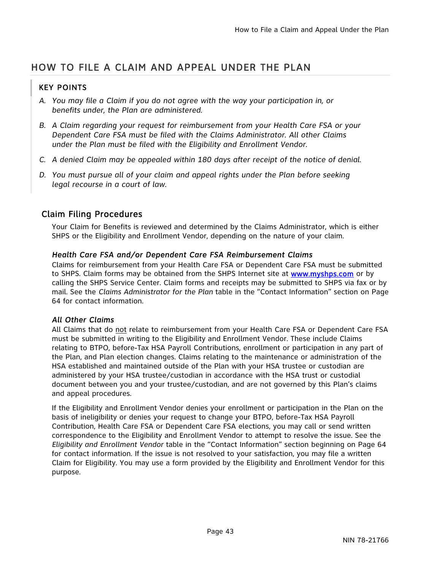# HOW TO FILE A CLAIM AND APPEAL UNDER THE PLAN

# KEY POINTS

- *A. You may file a Claim if you do not agree with the way your participation in, or benefits under, the Plan are administered.*
- *B. A Claim regarding your request for reimbursement from your Health Care FSA or your Dependent Care FSA must be filed with the Claims Administrator. All other Claims under the Plan must be filed with the Eligibility and Enrollment Vendor.*
- *C. A denied Claim may be appealed within 180 days after receipt of the notice of denial.*
- *D. You must pursue all of your claim and appeal rights under the Plan before seeking legal recourse in a court of law.*

## Claim Filing Procedures

Your Claim for Benefits is reviewed and determined by the Claims Administrator, which is either SHPS or the Eligibility and Enrollment Vendor, depending on the nature of your claim.

### *Health Care FSA and/or Dependent Care FSA Reimbursement Claims*

Claims for reimbursement from your Health Care FSA or Dependent Care FSA must be submitted to SHPS. Claim forms may be obtained from the SHPS Internet site at www.myshps.com or by calling the SHPS Service Center. Claim forms and receipts may be submitted to SHPS via fax or by mail. See the *Claims Administrator for the Plan* table in the "Contact Information" section on Page 64 for contact information.

### *All Other Claims*

All Claims that do not relate to reimbursement from your Health Care FSA or Dependent Care FSA must be submitted in writing to the Eligibility and Enrollment Vendor. These include Claims relating to BTPO, before-Tax HSA Payroll Contributions, enrollment or participation in any part of the Plan, and Plan election changes. Claims relating to the maintenance or administration of the HSA established and maintained outside of the Plan with your HSA trustee or custodian are administered by your HSA trustee/custodian in accordance with the HSA trust or custodial document between you and your trustee/custodian, and are not governed by this Plan's claims and appeal procedures.

If the Eligibility and Enrollment Vendor denies your enrollment or participation in the Plan on the basis of ineligibility or denies your request to change your BTPO, before-Tax HSA Payroll Contribution, Health Care FSA or Dependent Care FSA elections, you may call or send written correspondence to the Eligibility and Enrollment Vendor to attempt to resolve the issue. See the *Eligibility and Enrollment Vendor* table in the "Contact Information" section beginning on Page 64 for contact information. If the issue is not resolved to your satisfaction, you may file a written Claim for Eligibility. You may use a form provided by the Eligibility and Enrollment Vendor for this purpose.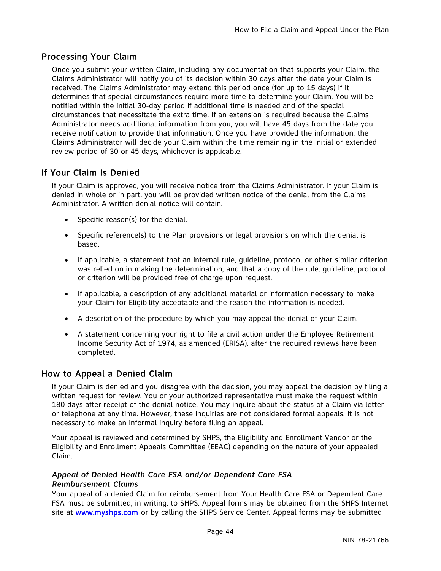# Processing Your Claim

Once you submit your written Claim, including any documentation that supports your Claim, the Claims Administrator will notify you of its decision within 30 days after the date your Claim is received. The Claims Administrator may extend this period once (for up to 15 days) if it determines that special circumstances require more time to determine your Claim. You will be notified within the initial 30-day period if additional time is needed and of the special circumstances that necessitate the extra time. If an extension is required because the Claims Administrator needs additional information from you, you will have 45 days from the date you receive notification to provide that information. Once you have provided the information, the Claims Administrator will decide your Claim within the time remaining in the initial or extended review period of 30 or 45 days, whichever is applicable.

## If Your Claim Is Denied

If your Claim is approved, you will receive notice from the Claims Administrator. If your Claim is denied in whole or in part, you will be provided written notice of the denial from the Claims Administrator. A written denial notice will contain:

- Specific reason(s) for the denial.
- Specific reference(s) to the Plan provisions or legal provisions on which the denial is based.
- If applicable, a statement that an internal rule, guideline, protocol or other similar criterion was relied on in making the determination, and that a copy of the rule, guideline, protocol or criterion will be provided free of charge upon request.
- If applicable, a description of any additional material or information necessary to make your Claim for Eligibility acceptable and the reason the information is needed.
- A description of the procedure by which you may appeal the denial of your Claim.
- A statement concerning your right to file a civil action under the Employee Retirement Income Security Act of 1974, as amended (ERISA), after the required reviews have been completed.

## How to Appeal a Denied Claim

If your Claim is denied and you disagree with the decision, you may appeal the decision by filing a written request for review. You or your authorized representative must make the request within 180 days after receipt of the denial notice. You may inquire about the status of a Claim via letter or telephone at any time. However, these inquiries are not considered formal appeals. It is not necessary to make an informal inquiry before filing an appeal.

Your appeal is reviewed and determined by SHPS, the Eligibility and Enrollment Vendor or the Eligibility and Enrollment Appeals Committee (EEAC) depending on the nature of your appealed Claim.

#### *Appeal of Denied Health Care FSA and/or Dependent Care FSA Reimbursement Claims*

Your appeal of a denied Claim for reimbursement from Your Health Care FSA or Dependent Care FSA must be submitted, in writing, to SHPS. Appeal forms may be obtained from the SHPS Internet site at www.myshps.com or by calling the SHPS Service Center. Appeal forms may be submitted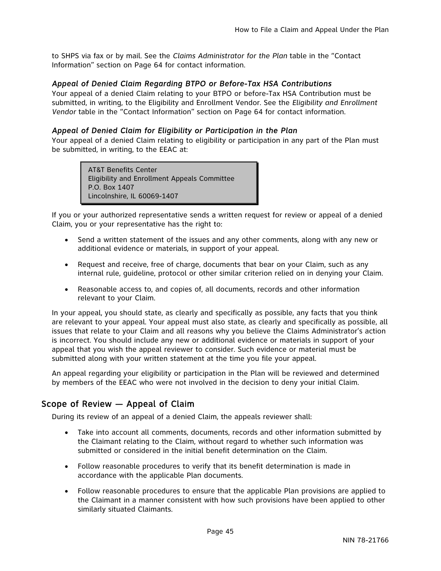to SHPS via fax or by mail. See the *Claims Administrator for the Plan* table in the "Contact Information" section on Page 64 for contact information.

#### *Appeal of Denied Claim Regarding BTPO or Before-Tax HSA Contributions*

Your appeal of a denied Claim relating to your BTPO or before-Tax HSA Contribution must be submitted, in writing, to the Eligibility and Enrollment Vendor. See the *Eligibility and Enrollment Vendor* table in the "Contact Information" section on Page 64 for contact information.

#### *Appeal of Denied Claim for Eligibility or Participation in the Plan*

Your appeal of a denied Claim relating to eligibility or participation in any part of the Plan must be submitted, in writing, to the EEAC at:

> AT&T Benefits Center Eligibility and Enrollment Appeals Committee P.O. Box 1407 Lincolnshire, IL 60069-1407

If you or your authorized representative sends a written request for review or appeal of a denied Claim, you or your representative has the right to:

- Send a written statement of the issues and any other comments, along with any new or additional evidence or materials, in support of your appeal.
- Request and receive, free of charge, documents that bear on your Claim, such as any internal rule, guideline, protocol or other similar criterion relied on in denying your Claim.
- Reasonable access to, and copies of, all documents, records and other information relevant to your Claim.

In your appeal, you should state, as clearly and specifically as possible, any facts that you think are relevant to your appeal. Your appeal must also state, as clearly and specifically as possible, all issues that relate to your Claim and all reasons why you believe the Claims Administrator's action is incorrect. You should include any new or additional evidence or materials in support of your appeal that you wish the appeal reviewer to consider. Such evidence or material must be submitted along with your written statement at the time you file your appeal.

An appeal regarding your eligibility or participation in the Plan will be reviewed and determined by members of the EEAC who were not involved in the decision to deny your initial Claim.

## Scope of Review — Appeal of Claim

During its review of an appeal of a denied Claim, the appeals reviewer shall:

- Take into account all comments, documents, records and other information submitted by the Claimant relating to the Claim, without regard to whether such information was submitted or considered in the initial benefit determination on the Claim.
- Follow reasonable procedures to verify that its benefit determination is made in accordance with the applicable Plan documents.
- Follow reasonable procedures to ensure that the applicable Plan provisions are applied to the Claimant in a manner consistent with how such provisions have been applied to other similarly situated Claimants.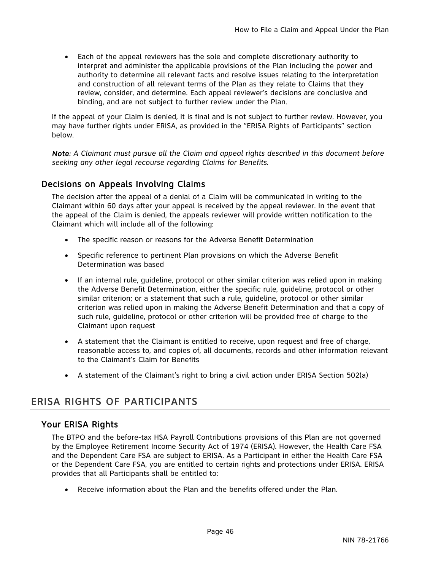Each of the appeal reviewers has the sole and complete discretionary authority to interpret and administer the applicable provisions of the Plan including the power and authority to determine all relevant facts and resolve issues relating to the interpretation and construction of all relevant terms of the Plan as they relate to Claims that they review, consider, and determine. Each appeal reviewer's decisions are conclusive and binding, and are not subject to further review under the Plan.

If the appeal of your Claim is denied, it is final and is not subject to further review. However, you may have further rights under ERISA, as provided in the "ERISA Rights of Participants" section below.

*Note: A Claimant must pursue all the Claim and appeal rights described in this document before seeking any other legal recourse regarding Claims for Benefits.* 

# Decisions on Appeals Involving Claims

The decision after the appeal of a denial of a Claim will be communicated in writing to the Claimant within 60 days after your appeal is received by the appeal reviewer. In the event that the appeal of the Claim is denied, the appeals reviewer will provide written notification to the Claimant which will include all of the following:

- The specific reason or reasons for the Adverse Benefit Determination
- Specific reference to pertinent Plan provisions on which the Adverse Benefit Determination was based
- If an internal rule, guideline, protocol or other similar criterion was relied upon in making the Adverse Benefit Determination, either the specific rule, guideline, protocol or other similar criterion; or a statement that such a rule, guideline, protocol or other similar criterion was relied upon in making the Adverse Benefit Determination and that a copy of such rule, guideline, protocol or other criterion will be provided free of charge to the Claimant upon request
- A statement that the Claimant is entitled to receive, upon request and free of charge, reasonable access to, and copies of, all documents, records and other information relevant to the Claimant's Claim for Benefits
- A statement of the Claimant's right to bring a civil action under ERISA Section 502(a)

# ERISA RIGHTS OF PARTICIPANTS

## Your ERISA Rights

The BTPO and the before-tax HSA Payroll Contributions provisions of this Plan are not governed by the Employee Retirement Income Security Act of 1974 (ERISA). However, the Health Care FSA and the Dependent Care FSA are subject to ERISA. As a Participant in either the Health Care FSA or the Dependent Care FSA, you are entitled to certain rights and protections under ERISA. ERISA provides that all Participants shall be entitled to:

Receive information about the Plan and the benefits offered under the Plan.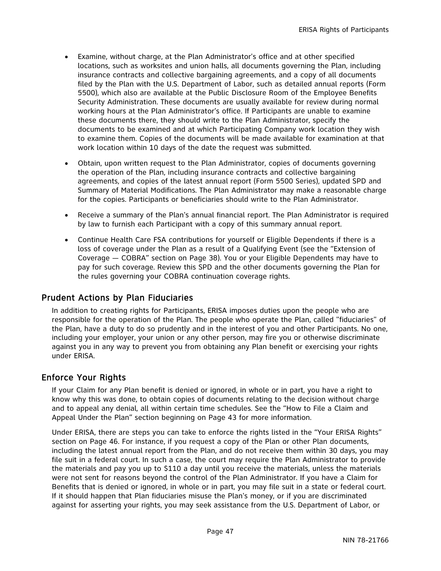- Examine, without charge, at the Plan Administrator's office and at other specified locations, such as worksites and union halls, all documents governing the Plan, including insurance contracts and collective bargaining agreements, and a copy of all documents filed by the Plan with the U.S. Department of Labor, such as detailed annual reports (Form 5500), which also are available at the Public Disclosure Room of the Employee Benefits Security Administration. These documents are usually available for review during normal working hours at the Plan Administrator's office. If Participants are unable to examine these documents there, they should write to the Plan Administrator, specify the documents to be examined and at which Participating Company work location they wish to examine them. Copies of the documents will be made available for examination at that work location within 10 days of the date the request was submitted.
- Obtain, upon written request to the Plan Administrator, copies of documents governing the operation of the Plan, including insurance contracts and collective bargaining agreements, and copies of the latest annual report (Form 5500 Series), updated SPD and Summary of Material Modifications. The Plan Administrator may make a reasonable charge for the copies. Participants or beneficiaries should write to the Plan Administrator.
- Receive a summary of the Plan's annual financial report. The Plan Administrator is required by law to furnish each Participant with a copy of this summary annual report.
- Continue Health Care FSA contributions for yourself or Eligible Dependents if there is a loss of coverage under the Plan as a result of a Qualifying Event (see the "Extension of Coverage — COBRA" section on Page 38). You or your Eligible Dependents may have to pay for such coverage. Review this SPD and the other documents governing the Plan for the rules governing your COBRA continuation coverage rights.

## Prudent Actions by Plan Fiduciaries

In addition to creating rights for Participants, ERISA imposes duties upon the people who are responsible for the operation of the Plan. The people who operate the Plan, called "fiduciaries" of the Plan, have a duty to do so prudently and in the interest of you and other Participants. No one, including your employer, your union or any other person, may fire you or otherwise discriminate against you in any way to prevent you from obtaining any Plan benefit or exercising your rights under ERISA.

# Enforce Your Rights

If your Claim for any Plan benefit is denied or ignored, in whole or in part, you have a right to know why this was done, to obtain copies of documents relating to the decision without charge and to appeal any denial, all within certain time schedules. See the "How to File a Claim and Appeal Under the Plan" section beginning on Page 43 for more information.

Under ERISA, there are steps you can take to enforce the rights listed in the "Your ERISA Rights" section on Page 46. For instance, if you request a copy of the Plan or other Plan documents, including the latest annual report from the Plan, and do not receive them within 30 days, you may file suit in a federal court. In such a case, the court may require the Plan Administrator to provide the materials and pay you up to \$110 a day until you receive the materials, unless the materials were not sent for reasons beyond the control of the Plan Administrator. If you have a Claim for Benefits that is denied or ignored, in whole or in part, you may file suit in a state or federal court. If it should happen that Plan fiduciaries misuse the Plan's money, or if you are discriminated against for asserting your rights, you may seek assistance from the U.S. Department of Labor, or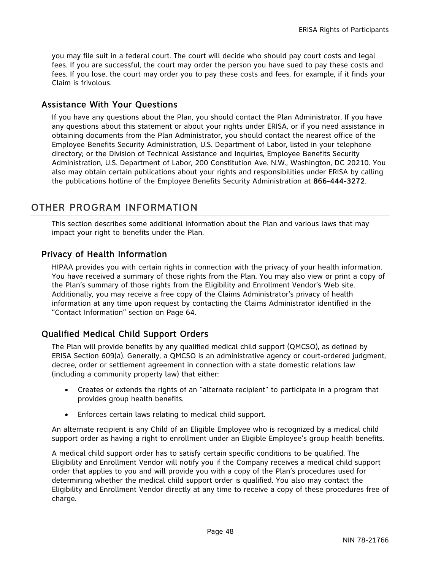you may file suit in a federal court. The court will decide who should pay court costs and legal fees. If you are successful, the court may order the person you have sued to pay these costs and fees. If you lose, the court may order you to pay these costs and fees, for example, if it finds your Claim is frivolous.

## Assistance With Your Questions

If you have any questions about the Plan, you should contact the Plan Administrator. If you have any questions about this statement or about your rights under ERISA, or if you need assistance in obtaining documents from the Plan Administrator, you should contact the nearest office of the Employee Benefits Security Administration, U.S. Department of Labor, listed in your telephone directory; or the Division of Technical Assistance and Inquiries, Employee Benefits Security Administration, U.S. Department of Labor, 200 Constitution Ave. N.W., Washington, DC 20210. You also may obtain certain publications about your rights and responsibilities under ERISA by calling the publications hotline of the Employee Benefits Security Administration at 866-444-3272.

# OTHER PROGRAM INFORMATION

This section describes some additional information about the Plan and various laws that may impact your right to benefits under the Plan.

## Privacy of Health Information

HIPAA provides you with certain rights in connection with the privacy of your health information. You have received a summary of those rights from the Plan. You may also view or print a copy of the Plan's summary of those rights from the Eligibility and Enrollment Vendor's Web site. Additionally, you may receive a free copy of the Claims Administrator's privacy of health information at any time upon request by contacting the Claims Administrator identified in the "Contact Information" section on Page 64.

# Qualified Medical Child Support Orders

The Plan will provide benefits by any qualified medical child support (QMCSO), as defined by ERISA Section 609(a). Generally, a QMCSO is an administrative agency or court-ordered judgment, decree, order or settlement agreement in connection with a state domestic relations law (including a community property law) that either:

- Creates or extends the rights of an "alternate recipient" to participate in a program that provides group health benefits.
- Enforces certain laws relating to medical child support.

An alternate recipient is any Child of an Eligible Employee who is recognized by a medical child support order as having a right to enrollment under an Eligible Employee's group health benefits.

A medical child support order has to satisfy certain specific conditions to be qualified. The Eligibility and Enrollment Vendor will notify you if the Company receives a medical child support order that applies to you and will provide you with a copy of the Plan's procedures used for determining whether the medical child support order is qualified. You also may contact the Eligibility and Enrollment Vendor directly at any time to receive a copy of these procedures free of charge.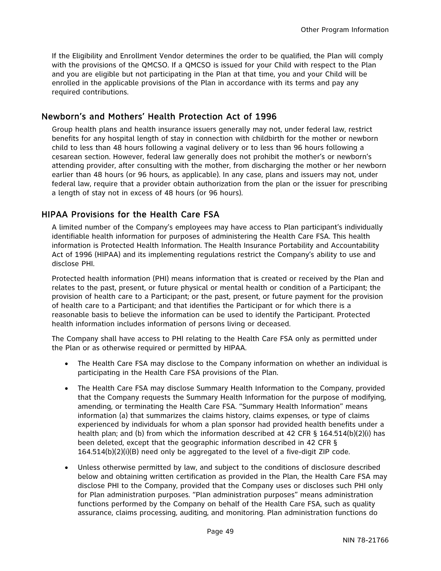If the Eligibility and Enrollment Vendor determines the order to be qualified, the Plan will comply with the provisions of the QMCSO. If a QMCSO is issued for your Child with respect to the Plan and you are eligible but not participating in the Plan at that time, you and your Child will be enrolled in the applicable provisions of the Plan in accordance with its terms and pay any required contributions.

# Newborn's and Mothers' Health Protection Act of 1996

Group health plans and health insurance issuers generally may not, under federal law, restrict benefits for any hospital length of stay in connection with childbirth for the mother or newborn child to less than 48 hours following a vaginal delivery or to less than 96 hours following a cesarean section. However, federal law generally does not prohibit the mother's or newborn's attending provider, after consulting with the mother, from discharging the mother or her newborn earlier than 48 hours (or 96 hours, as applicable). In any case, plans and issuers may not, under federal law, require that a provider obtain authorization from the plan or the issuer for prescribing a length of stay not in excess of 48 hours (or 96 hours).

# HIPAA Provisions for the Health Care FSA

A limited number of the Company's employees may have access to Plan participant's individually identifiable health information for purposes of administering the Health Care FSA. This health information is Protected Health Information. The Health Insurance Portability and Accountability Act of 1996 (HIPAA) and its implementing regulations restrict the Company's ability to use and disclose PHI.

Protected health information (PHI) means information that is created or received by the Plan and relates to the past, present, or future physical or mental health or condition of a Participant; the provision of health care to a Participant; or the past, present, or future payment for the provision of health care to a Participant; and that identifies the Participant or for which there is a reasonable basis to believe the information can be used to identify the Participant. Protected health information includes information of persons living or deceased.

The Company shall have access to PHI relating to the Health Care FSA only as permitted under the Plan or as otherwise required or permitted by HIPAA.

- The Health Care FSA may disclose to the Company information on whether an individual is participating in the Health Care FSA provisions of the Plan.
- The Health Care FSA may disclose Summary Health Information to the Company, provided that the Company requests the Summary Health Information for the purpose of modifying, amending, or terminating the Health Care FSA. "Summary Health Information" means information (a) that summarizes the claims history, claims expenses, or type of claims experienced by individuals for whom a plan sponsor had provided health benefits under a health plan; and (b) from which the information described at 42 CFR § 164.514(b)(2)(i) has been deleted, except that the geographic information described in 42 CFR § 164.514(b)(2)(i)(B) need only be aggregated to the level of a five-digit ZIP code.
- Unless otherwise permitted by law, and subject to the conditions of disclosure described below and obtaining written certification as provided in the Plan, the Health Care FSA may disclose PHI to the Company, provided that the Company uses or discloses such PHI only for Plan administration purposes. "Plan administration purposes" means administration functions performed by the Company on behalf of the Health Care FSA, such as quality assurance, claims processing, auditing, and monitoring. Plan administration functions do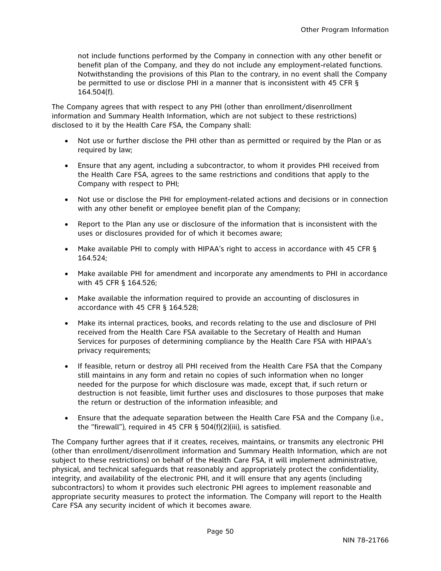not include functions performed by the Company in connection with any other benefit or benefit plan of the Company, and they do not include any employment-related functions. Notwithstanding the provisions of this Plan to the contrary, in no event shall the Company be permitted to use or disclose PHI in a manner that is inconsistent with 45 CFR § 164.504(f).

The Company agrees that with respect to any PHI (other than enrollment/disenrollment information and Summary Health Information, which are not subject to these restrictions) disclosed to it by the Health Care FSA, the Company shall:

- Not use or further disclose the PHI other than as permitted or required by the Plan or as required by law;
- Ensure that any agent, including a subcontractor, to whom it provides PHI received from the Health Care FSA, agrees to the same restrictions and conditions that apply to the Company with respect to PHI;
- Not use or disclose the PHI for employment-related actions and decisions or in connection with any other benefit or employee benefit plan of the Company;
- Report to the Plan any use or disclosure of the information that is inconsistent with the uses or disclosures provided for of which it becomes aware;
- Make available PHI to comply with HIPAA's right to access in accordance with 45 CFR § 164.524;
- Make available PHI for amendment and incorporate any amendments to PHI in accordance with 45 CFR § 164.526;
- Make available the information required to provide an accounting of disclosures in accordance with 45 CFR § 164.528;
- Make its internal practices, books, and records relating to the use and disclosure of PHI received from the Health Care FSA available to the Secretary of Health and Human Services for purposes of determining compliance by the Health Care FSA with HIPAA's privacy requirements;
- If feasible, return or destroy all PHI received from the Health Care FSA that the Company still maintains in any form and retain no copies of such information when no longer needed for the purpose for which disclosure was made, except that, if such return or destruction is not feasible, limit further uses and disclosures to those purposes that make the return or destruction of the information infeasible; and
- Ensure that the adequate separation between the Health Care FSA and the Company (i.e., the "firewall"), required in 45 CFR § 504(f)(2)(iii), is satisfied.

The Company further agrees that if it creates, receives, maintains, or transmits any electronic PHI (other than enrollment/disenrollment information and Summary Health Information, which are not subject to these restrictions) on behalf of the Health Care FSA, it will implement administrative, physical, and technical safeguards that reasonably and appropriately protect the confidentiality, integrity, and availability of the electronic PHI, and it will ensure that any agents (including subcontractors) to whom it provides such electronic PHI agrees to implement reasonable and appropriate security measures to protect the information. The Company will report to the Health Care FSA any security incident of which it becomes aware.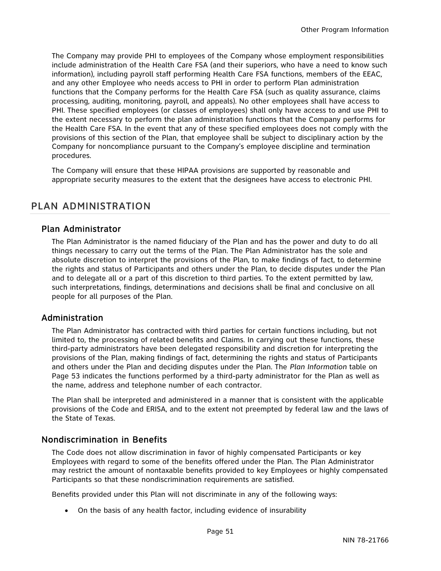The Company may provide PHI to employees of the Company whose employment responsibilities include administration of the Health Care FSA (and their superiors, who have a need to know such information), including payroll staff performing Health Care FSA functions, members of the EEAC, and any other Employee who needs access to PHI in order to perform Plan administration functions that the Company performs for the Health Care FSA (such as quality assurance, claims processing, auditing, monitoring, payroll, and appeals). No other employees shall have access to PHI. These specified employees (or classes of employees) shall only have access to and use PHI to the extent necessary to perform the plan administration functions that the Company performs for the Health Care FSA. In the event that any of these specified employees does not comply with the provisions of this section of the Plan, that employee shall be subject to disciplinary action by the Company for noncompliance pursuant to the Company's employee discipline and termination procedures.

The Company will ensure that these HIPAA provisions are supported by reasonable and appropriate security measures to the extent that the designees have access to electronic PHI.

# PLAN ADMINISTRATION

## Plan Administrator

The Plan Administrator is the named fiduciary of the Plan and has the power and duty to do all things necessary to carry out the terms of the Plan. The Plan Administrator has the sole and absolute discretion to interpret the provisions of the Plan, to make findings of fact, to determine the rights and status of Participants and others under the Plan, to decide disputes under the Plan and to delegate all or a part of this discretion to third parties. To the extent permitted by law, such interpretations, findings, determinations and decisions shall be final and conclusive on all people for all purposes of the Plan.

## Administration

The Plan Administrator has contracted with third parties for certain functions including, but not limited to, the processing of related benefits and Claims. In carrying out these functions, these third-party administrators have been delegated responsibility and discretion for interpreting the provisions of the Plan, making findings of fact, determining the rights and status of Participants and others under the Plan and deciding disputes under the Plan. The *Plan Information* table on Page 53 indicates the functions performed by a third-party administrator for the Plan as well as the name, address and telephone number of each contractor.

The Plan shall be interpreted and administered in a manner that is consistent with the applicable provisions of the Code and ERISA, and to the extent not preempted by federal law and the laws of the State of Texas.

## Nondiscrimination in Benefits

The Code does not allow discrimination in favor of highly compensated Participants or key Employees with regard to some of the benefits offered under the Plan. The Plan Administrator may restrict the amount of nontaxable benefits provided to key Employees or highly compensated Participants so that these nondiscrimination requirements are satisfied.

Benefits provided under this Plan will not discriminate in any of the following ways:

On the basis of any health factor, including evidence of insurability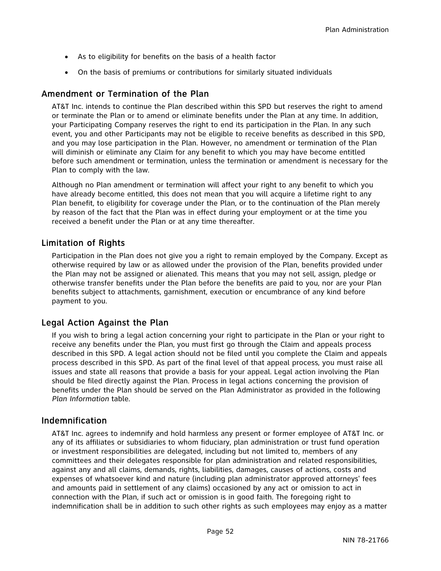- As to eligibility for benefits on the basis of a health factor
- On the basis of premiums or contributions for similarly situated individuals

## Amendment or Termination of the Plan

AT&T Inc. intends to continue the Plan described within this SPD but reserves the right to amend or terminate the Plan or to amend or eliminate benefits under the Plan at any time. In addition, your Participating Company reserves the right to end its participation in the Plan. In any such event, you and other Participants may not be eligible to receive benefits as described in this SPD, and you may lose participation in the Plan. However, no amendment or termination of the Plan will diminish or eliminate any Claim for any benefit to which you may have become entitled before such amendment or termination, unless the termination or amendment is necessary for the Plan to comply with the law.

Although no Plan amendment or termination will affect your right to any benefit to which you have already become entitled, this does not mean that you will acquire a lifetime right to any Plan benefit, to eligibility for coverage under the Plan, or to the continuation of the Plan merely by reason of the fact that the Plan was in effect during your employment or at the time you received a benefit under the Plan or at any time thereafter.

## Limitation of Rights

Participation in the Plan does not give you a right to remain employed by the Company. Except as otherwise required by law or as allowed under the provision of the Plan, benefits provided under the Plan may not be assigned or alienated. This means that you may not sell, assign, pledge or otherwise transfer benefits under the Plan before the benefits are paid to you, nor are your Plan benefits subject to attachments, garnishment, execution or encumbrance of any kind before payment to you.

## Legal Action Against the Plan

If you wish to bring a legal action concerning your right to participate in the Plan or your right to receive any benefits under the Plan, you must first go through the Claim and appeals process described in this SPD. A legal action should not be filed until you complete the Claim and appeals process described in this SPD. As part of the final level of that appeal process, you must raise all issues and state all reasons that provide a basis for your appeal. Legal action involving the Plan should be filed directly against the Plan. Process in legal actions concerning the provision of benefits under the Plan should be served on the Plan Administrator as provided in the following *Plan Information* table.

## Indemnification

AT&T Inc. agrees to indemnify and hold harmless any present or former employee of AT&T Inc. or any of its affiliates or subsidiaries to whom fiduciary, plan administration or trust fund operation or investment responsibilities are delegated, including but not limited to, members of any committees and their delegates responsible for plan administration and related responsibilities, against any and all claims, demands, rights, liabilities, damages, causes of actions, costs and expenses of whatsoever kind and nature (including plan administrator approved attorneys' fees and amounts paid in settlement of any claims) occasioned by any act or omission to act in connection with the Plan, if such act or omission is in good faith. The foregoing right to indemnification shall be in addition to such other rights as such employees may enjoy as a matter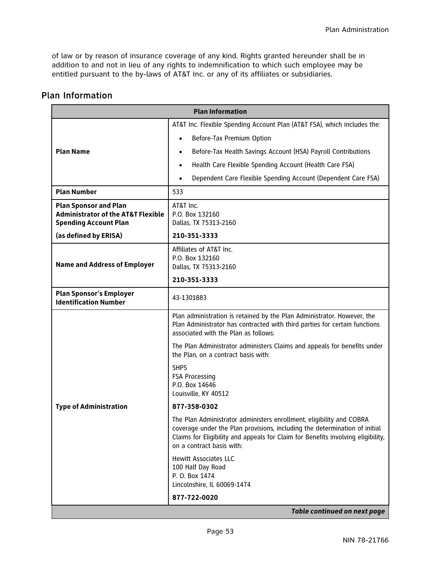of law or by reason of insurance coverage of any kind. Rights granted hereunder shall be in addition to and not in lieu of any rights to indemnification to which such employee may be entitled pursuant to the by-laws of AT&T Inc. or any of its affiliates or subsidiaries.

| <b>Plan Information</b>                                                                                       |                                                                                                                                                                                                                                                                     |
|---------------------------------------------------------------------------------------------------------------|---------------------------------------------------------------------------------------------------------------------------------------------------------------------------------------------------------------------------------------------------------------------|
|                                                                                                               | AT&T Inc. Flexible Spending Account Plan (AT&T FSA), which includes the:                                                                                                                                                                                            |
|                                                                                                               | Before-Tax Premium Option<br>$\bullet$                                                                                                                                                                                                                              |
| <b>Plan Name</b>                                                                                              | Before-Tax Health Savings Account (HSA) Payroll Contributions<br>$\bullet$                                                                                                                                                                                          |
|                                                                                                               | Health Care Flexible Spending Account (Health Care FSA)<br>$\bullet$                                                                                                                                                                                                |
|                                                                                                               | Dependent Care Flexible Spending Account (Dependent Care FSA)                                                                                                                                                                                                       |
| <b>Plan Number</b>                                                                                            | 533                                                                                                                                                                                                                                                                 |
| <b>Plan Sponsor and Plan</b><br><b>Administrator of the AT&amp;T Flexible</b><br><b>Spending Account Plan</b> | AT&T Inc.<br>P.O. Box 132160<br>Dallas, TX 75313-2160                                                                                                                                                                                                               |
| (as defined by ERISA)                                                                                         | 210-351-3333                                                                                                                                                                                                                                                        |
| <b>Name and Address of Employer</b>                                                                           | Affiliates of AT&T Inc.<br>P.O. Box 132160<br>Dallas, TX 75313-2160<br>210-351-3333                                                                                                                                                                                 |
|                                                                                                               |                                                                                                                                                                                                                                                                     |
| <b>Plan Sponsor's Employer</b><br><b>Identification Number</b>                                                | 43-1301883                                                                                                                                                                                                                                                          |
|                                                                                                               | Plan administration is retained by the Plan Administrator. However, the<br>Plan Administrator has contracted with third parties for certain functions<br>associated with the Plan as follows:                                                                       |
|                                                                                                               | The Plan Administrator administers Claims and appeals for benefits under<br>the Plan, on a contract basis with:                                                                                                                                                     |
|                                                                                                               | <b>SHPS</b><br><b>FSA Processing</b><br>P.O. Box 14646<br>Louisville, KY 40512                                                                                                                                                                                      |
| <b>Type of Administration</b>                                                                                 | 877-358-0302                                                                                                                                                                                                                                                        |
|                                                                                                               | The Plan Administrator administers enrollment, eligibility and COBRA<br>coverage under the Plan provisions, including the determination of initial<br>Claims for Eligibility and appeals for Claim for Benefits involving eligibility,<br>on a contract basis with: |
|                                                                                                               | <b>Hewitt Associates LLC</b><br>100 Half Day Road<br>P. O. Box 1474<br>Lincolnshire, IL 60069-1474                                                                                                                                                                  |
|                                                                                                               | 877-722-0020                                                                                                                                                                                                                                                        |
| Table continued on next page                                                                                  |                                                                                                                                                                                                                                                                     |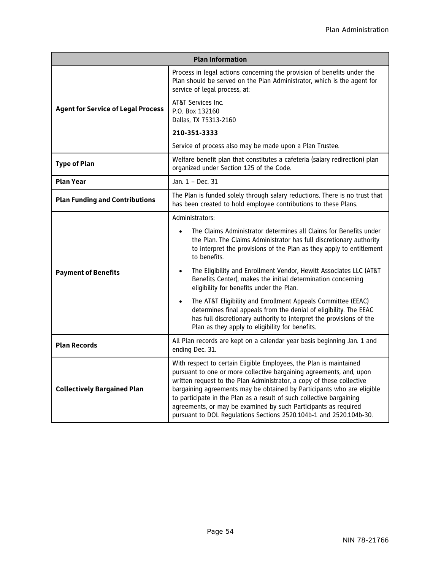| <b>Plan Information</b>                   |                                                                                                                                                                                                                                                                                                                                                                                                                                                                                                               |
|-------------------------------------------|---------------------------------------------------------------------------------------------------------------------------------------------------------------------------------------------------------------------------------------------------------------------------------------------------------------------------------------------------------------------------------------------------------------------------------------------------------------------------------------------------------------|
| <b>Agent for Service of Legal Process</b> | Process in legal actions concerning the provision of benefits under the<br>Plan should be served on the Plan Administrator, which is the agent for<br>service of legal process, at:                                                                                                                                                                                                                                                                                                                           |
|                                           | AT&T Services Inc.<br>P.O. Box 132160<br>Dallas, TX 75313-2160                                                                                                                                                                                                                                                                                                                                                                                                                                                |
|                                           | 210-351-3333                                                                                                                                                                                                                                                                                                                                                                                                                                                                                                  |
|                                           | Service of process also may be made upon a Plan Trustee.                                                                                                                                                                                                                                                                                                                                                                                                                                                      |
| <b>Type of Plan</b>                       | Welfare benefit plan that constitutes a cafeteria (salary redirection) plan<br>organized under Section 125 of the Code.                                                                                                                                                                                                                                                                                                                                                                                       |
| <b>Plan Year</b>                          | Jan. 1 - Dec. 31                                                                                                                                                                                                                                                                                                                                                                                                                                                                                              |
| <b>Plan Funding and Contributions</b>     | The Plan is funded solely through salary reductions. There is no trust that<br>has been created to hold employee contributions to these Plans.                                                                                                                                                                                                                                                                                                                                                                |
| <b>Payment of Benefits</b>                | Administrators:                                                                                                                                                                                                                                                                                                                                                                                                                                                                                               |
|                                           | The Claims Administrator determines all Claims for Benefits under<br>the Plan. The Claims Administrator has full discretionary authority<br>to interpret the provisions of the Plan as they apply to entitlement<br>to benefits.                                                                                                                                                                                                                                                                              |
|                                           | The Eligibility and Enrollment Vendor, Hewitt Associates LLC (AT&T<br>Benefits Center), makes the initial determination concerning<br>eligibility for benefits under the Plan.                                                                                                                                                                                                                                                                                                                                |
|                                           | The AT&T Eligibility and Enrollment Appeals Committee (EEAC)<br>$\bullet$<br>determines final appeals from the denial of eligibility. The EEAC<br>has full discretionary authority to interpret the provisions of the<br>Plan as they apply to eligibility for benefits.                                                                                                                                                                                                                                      |
| <b>Plan Records</b>                       | All Plan records are kept on a calendar year basis beginning Jan. 1 and<br>ending Dec. 31.                                                                                                                                                                                                                                                                                                                                                                                                                    |
| <b>Collectively Bargained Plan</b>        | With respect to certain Eligible Employees, the Plan is maintained<br>pursuant to one or more collective bargaining agreements, and, upon<br>written request to the Plan Administrator, a copy of these collective<br>bargaining agreements may be obtained by Participants who are eligible<br>to participate in the Plan as a result of such collective bargaining<br>agreements, or may be examined by such Participants as required<br>pursuant to DOL Regulations Sections 2520.104b-1 and 2520.104b-30. |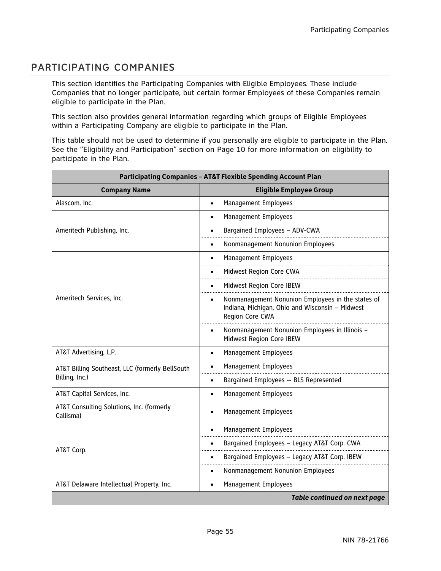# PARTICIPATING COMPANIES

This section identifies the Participating Companies with Eligible Employees. These include Companies that no longer participate, but certain former Employees of these Companies remain eligible to participate in the Plan.

This section also provides general information regarding which groups of Eligible Employees within a Participating Company are eligible to participate in the Plan.

This table should not be used to determine if you personally are eligible to participate in the Plan. See the "Eligibility and Participation" section on Page 10 for more information on eligibility to participate in the Plan.

| <b>Participating Companies - AT&amp;T Flexible Spending Account Plan</b> |                                                                                                                         |
|--------------------------------------------------------------------------|-------------------------------------------------------------------------------------------------------------------------|
| <b>Company Name</b>                                                      | <b>Eligible Employee Group</b>                                                                                          |
| Alascom, Inc.                                                            | Management Employees<br>$\bullet$                                                                                       |
|                                                                          | Management Employees<br>$\bullet$                                                                                       |
| Ameritech Publishing, Inc.                                               | Bargained Employees - ADV-CWA                                                                                           |
|                                                                          | Nonmanagement Nonunion Employees<br>$\bullet$                                                                           |
|                                                                          | Management Employees                                                                                                    |
|                                                                          | Midwest Region Core CWA                                                                                                 |
|                                                                          | Midwest Region Core IBEW                                                                                                |
| Ameritech Services, Inc.                                                 | Nonmanagement Nonunion Employees in the states of<br>Indiana, Michigan, Ohio and Wisconsin - Midwest<br>Region Core CWA |
|                                                                          | Nonmanagement Nonunion Employees in Illinois -<br>Midwest Region Core IBEW                                              |
| AT&T Advertising, L.P.                                                   | Management Employees<br>$\bullet$                                                                                       |
| AT&T Billing Southeast, LLC (formerly BellSouth                          | Management Employees                                                                                                    |
| Billing, Inc.)                                                           | Bargained Employees -- BLS Represented<br>$\bullet$                                                                     |
| AT&T Capital Services, Inc.                                              | Management Employees<br>$\bullet$                                                                                       |
| AT&T Consulting Solutions, Inc. (formerly<br>Callisma)                   | Management Employees<br>$\bullet$                                                                                       |
| AT&T Corp.                                                               | Management Employees                                                                                                    |
|                                                                          | Bargained Employees - Legacy AT&T Corp. CWA                                                                             |
|                                                                          | Bargained Employees - Legacy AT&T Corp. IBEW                                                                            |
|                                                                          | Nonmanagement Nonunion Employees                                                                                        |
| AT&T Delaware Intellectual Property, Inc.                                | Management Employees<br>$\bullet$                                                                                       |
|                                                                          | <b>Table continued on next page</b>                                                                                     |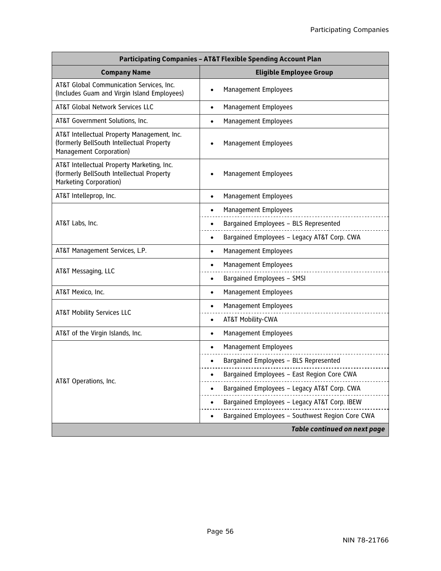| <b>Participating Companies - AT&amp;T Flexible Spending Account Plan</b>                                            |                                                 |
|---------------------------------------------------------------------------------------------------------------------|-------------------------------------------------|
| <b>Company Name</b>                                                                                                 | <b>Eligible Employee Group</b>                  |
| AT&T Global Communication Services, Inc.<br>(Includes Guam and Virgin Island Employees)                             | Management Employees<br>$\bullet$               |
| AT&T Global Network Services LLC                                                                                    | Management Employees<br>$\bullet$               |
| AT&T Government Solutions, Inc.                                                                                     | Management Employees<br>$\bullet$               |
| AT&T Intellectual Property Management, Inc.<br>(formerly BellSouth Intellectual Property<br>Management Corporation) | Management Employees                            |
| AT&T Intellectual Property Marketing, Inc.<br>(formerly BellSouth Intellectual Property<br>Marketing Corporation)   | Management Employees                            |
| AT&T Intelleprop, Inc.                                                                                              | Management Employees<br>$\bullet$               |
|                                                                                                                     | Management Employees                            |
| AT&T Labs, Inc.                                                                                                     | Bargained Employees - BLS Represented<br>٠      |
|                                                                                                                     | Bargained Employees - Legacy AT&T Corp. CWA     |
| AT&T Management Services, L.P.                                                                                      | Management Employees<br>$\bullet$               |
| AT&T Messaging, LLC                                                                                                 | Management Employees<br>$\bullet$               |
|                                                                                                                     | Bargained Employees - SMSI<br>$\bullet$         |
| AT&T Mexico, Inc.                                                                                                   | Management Employees<br>$\bullet$               |
| <b>AT&amp;T Mobility Services LLC</b>                                                                               | Management Employees<br>٠                       |
|                                                                                                                     | AT&T Mobility-CWA<br>$\bullet$                  |
| AT&T of the Virgin Islands, Inc.                                                                                    | Management Employees<br>$\bullet$               |
|                                                                                                                     | Management Employees                            |
|                                                                                                                     | Bargained Employees - BLS Represented           |
|                                                                                                                     | Bargained Employees - East Region Core CWA      |
| AT&T Operations, Inc.                                                                                               | Bargained Employees - Legacy AT&T Corp. CWA     |
|                                                                                                                     | Bargained Employees - Legacy AT&T Corp. IBEW    |
|                                                                                                                     | Bargained Employees - Southwest Region Core CWA |
| <b>Table continued on next page</b>                                                                                 |                                                 |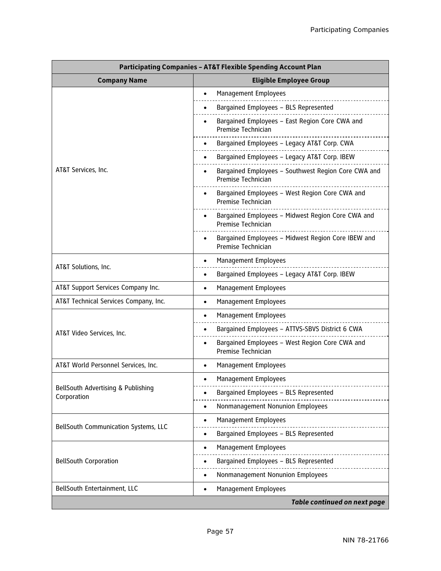| <b>Participating Companies - AT&amp;T Flexible Spending Account Plan</b> |                                                                                       |  |
|--------------------------------------------------------------------------|---------------------------------------------------------------------------------------|--|
| <b>Company Name</b>                                                      | <b>Eligible Employee Group</b>                                                        |  |
|                                                                          | Management Employees                                                                  |  |
|                                                                          | Bargained Employees - BLS Represented                                                 |  |
|                                                                          | Bargained Employees - East Region Core CWA and<br>Premise Technician                  |  |
|                                                                          | Bargained Employees - Legacy AT&T Corp. CWA                                           |  |
|                                                                          | Bargained Employees - Legacy AT&T Corp. IBEW                                          |  |
| AT&T Services, Inc.                                                      | Bargained Employees - Southwest Region Core CWA and<br>Premise Technician             |  |
|                                                                          | Bargained Employees - West Region Core CWA and<br>$\bullet$<br>Premise Technician     |  |
|                                                                          | Bargained Employees - Midwest Region Core CWA and<br>Premise Technician               |  |
|                                                                          | Bargained Employees - Midwest Region Core IBEW and<br>$\bullet$<br>Premise Technician |  |
|                                                                          | <b>Management Employees</b><br>$\bullet$                                              |  |
| AT&T Solutions, Inc.                                                     | Bargained Employees - Legacy AT&T Corp. IBEW<br>٠                                     |  |
| AT&T Support Services Company Inc.                                       | Management Employees<br>$\bullet$                                                     |  |
| AT&T Technical Services Company, Inc.                                    | Management Employees<br>$\bullet$                                                     |  |
|                                                                          | Management Employees<br>٠                                                             |  |
| AT&T Video Services, Inc.                                                | Bargained Employees - ATTVS-SBVS District 6 CWA                                       |  |
|                                                                          | Bargained Employees - West Region Core CWA and<br>Premise Technician                  |  |
| AT&T World Personnel Services, Inc.                                      | Management Employees<br>$\bullet$                                                     |  |
| BellSouth Advertising & Publishing<br>Corporation                        | Management Employees<br>$\bullet$                                                     |  |
|                                                                          | Bargained Employees - BLS Represented                                                 |  |
|                                                                          | Nonmanagement Nonunion Employees<br>٠                                                 |  |
|                                                                          | Management Employees<br>٠                                                             |  |
| BellSouth Communication Systems, LLC                                     | Bargained Employees - BLS Represented<br>$\bullet$                                    |  |
|                                                                          | Management Employees<br>$\bullet$                                                     |  |
| <b>BellSouth Corporation</b>                                             | Bargained Employees - BLS Represented                                                 |  |
|                                                                          | Nonmanagement Nonunion Employees                                                      |  |
| BellSouth Entertainment, LLC                                             | Management Employees<br>$\bullet$                                                     |  |
|                                                                          | Table continued on next page                                                          |  |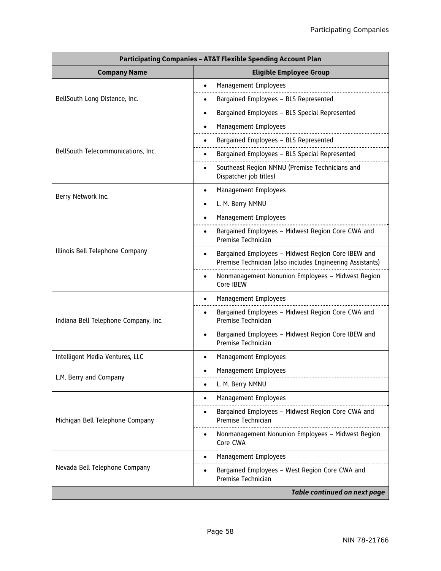| <b>Participating Companies - AT&amp;T Flexible Spending Account Plan</b> |                                                                                                                              |  |
|--------------------------------------------------------------------------|------------------------------------------------------------------------------------------------------------------------------|--|
| <b>Company Name</b>                                                      | <b>Eligible Employee Group</b>                                                                                               |  |
| BellSouth Long Distance, Inc.                                            | Management Employees                                                                                                         |  |
|                                                                          | Bargained Employees - BLS Represented                                                                                        |  |
|                                                                          | Bargained Employees - BLS Special Represented<br>٠                                                                           |  |
|                                                                          | Management Employees                                                                                                         |  |
|                                                                          | Bargained Employees - BLS Represented                                                                                        |  |
| BellSouth Telecommunications, Inc.                                       | Bargained Employees - BLS Special Represented                                                                                |  |
|                                                                          | Southeast Region NMNU (Premise Technicians and<br>$\bullet$<br>Dispatcher job titles)                                        |  |
|                                                                          | Management Employees<br>$\bullet$                                                                                            |  |
| Berry Network Inc.                                                       | L. M. Berry NMNU<br>$\bullet$                                                                                                |  |
|                                                                          | Management Employees<br>$\bullet$                                                                                            |  |
|                                                                          | Bargained Employees - Midwest Region Core CWA and<br>Premise Technician                                                      |  |
| Illinois Bell Telephone Company                                          | Bargained Employees - Midwest Region Core IBEW and<br>$\bullet$<br>Premise Technician (also includes Engineering Assistants) |  |
|                                                                          | Nonmanagement Nonunion Employees - Midwest Region<br>$\bullet$<br>Core IBEW                                                  |  |
|                                                                          | <b>Management Employees</b><br>$\bullet$                                                                                     |  |
| Indiana Bell Telephone Company, Inc.                                     | Bargained Employees - Midwest Region Core CWA and<br>Premise Technician                                                      |  |
|                                                                          | Bargained Employees - Midwest Region Core IBEW and<br>Premise Technician                                                     |  |
| Intelligent Media Ventures, LLC                                          | Management Employees<br>$\bullet$                                                                                            |  |
|                                                                          | <b>Management Employees</b><br>$\bullet$                                                                                     |  |
| L.M. Berry and Company                                                   | L. M. Berry NMNU<br>٠                                                                                                        |  |
|                                                                          | Management Employees<br>$\bullet$                                                                                            |  |
| Michigan Bell Telephone Company                                          | Bargained Employees - Midwest Region Core CWA and<br>Premise Technician                                                      |  |
|                                                                          | Nonmanagement Nonunion Employees - Midwest Region<br>Core CWA                                                                |  |
|                                                                          | Management Employees                                                                                                         |  |
| Nevada Bell Telephone Company                                            | Bargained Employees - West Region Core CWA and<br>Premise Technician                                                         |  |
|                                                                          | <b>Table continued on next page</b>                                                                                          |  |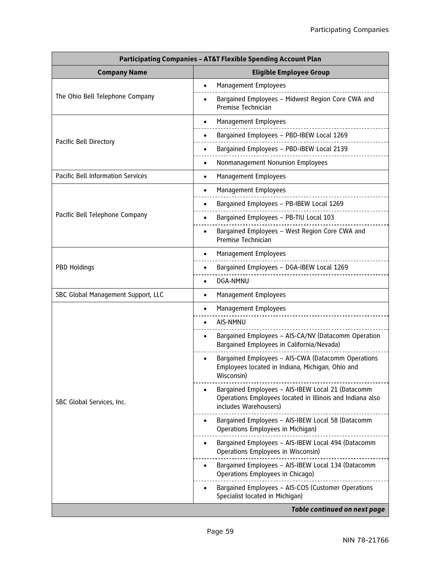| <b>Participating Companies - AT&amp;T Flexible Spending Account Plan</b> |                                                                                                                                         |  |
|--------------------------------------------------------------------------|-----------------------------------------------------------------------------------------------------------------------------------------|--|
| <b>Company Name</b>                                                      | <b>Eligible Employee Group</b>                                                                                                          |  |
| The Ohio Bell Telephone Company                                          | Management Employees<br>$\bullet$                                                                                                       |  |
|                                                                          | Bargained Employees - Midwest Region Core CWA and<br>$\bullet$<br>Premise Technician                                                    |  |
|                                                                          | Management Employees<br>$\bullet$                                                                                                       |  |
|                                                                          | Bargained Employees - PBD-IBEW Local 1269                                                                                               |  |
| Pacific Bell Directory                                                   | Bargained Employees - PBD-IBEW Local 2139                                                                                               |  |
|                                                                          | Nonmanagement Nonunion Employees<br>٠                                                                                                   |  |
| Pacific Bell Information Services                                        | Management Employees<br>$\bullet$                                                                                                       |  |
|                                                                          | Management Employees<br>$\bullet$                                                                                                       |  |
|                                                                          | Bargained Employees - PB-IBEW Local 1269                                                                                                |  |
| Pacific Bell Telephone Company                                           | Bargained Employees - PB-TIU Local 103                                                                                                  |  |
|                                                                          | Bargained Employees - West Region Core CWA and<br>Premise Technician                                                                    |  |
|                                                                          | Management Employees<br>٠                                                                                                               |  |
| PBD Holdings                                                             | Bargained Employees - DGA-IBEW Local 1269                                                                                               |  |
|                                                                          | DGA-NMNU<br>٠                                                                                                                           |  |
| SBC Global Management Support, LLC                                       | Management Employees<br>$\bullet$                                                                                                       |  |
|                                                                          | Management Employees                                                                                                                    |  |
|                                                                          | AIS-NMNU                                                                                                                                |  |
|                                                                          | Bargained Employees - AIS-CA/NV (Datacomm Operation<br>Bargained Employees in California/Nevada)                                        |  |
|                                                                          | Bargained Employees - AIS-CWA (Datacomm Operations<br>Employees located in Indiana, Michigan, Ohio and<br>Wisconsin)                    |  |
| SBC Global Services, Inc.                                                | Bargained Employees - AIS-IBEW Local 21 (Datacomm<br>Operations Employees located in Illinois and Indiana also<br>includes Warehousers) |  |
|                                                                          | Bargained Employees - AIS-IBEW Local 58 (Datacomm<br>Operations Employees in Michigan)                                                  |  |
|                                                                          | Bargained Employees - AIS-IBEW Local 494 (Datacomm<br>Operations Employees in Wisconsin)                                                |  |
|                                                                          | Bargained Employees - AIS-IBEW Local 134 (Datacomm<br>Operations Employees in Chicago)                                                  |  |
|                                                                          | Bargained Employees - AIS-COS (Customer Operations<br>Specialist located in Michigan)                                                   |  |
| <b>Table continued on next page</b>                                      |                                                                                                                                         |  |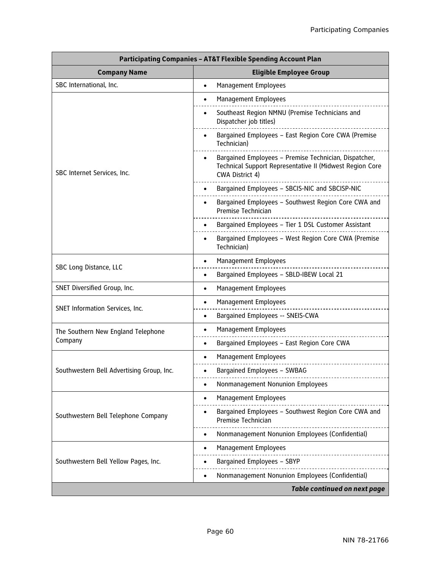| <b>Participating Companies - AT&amp;T Flexible Spending Account Plan</b> |                                                                                                                                      |  |
|--------------------------------------------------------------------------|--------------------------------------------------------------------------------------------------------------------------------------|--|
| <b>Company Name</b>                                                      | <b>Eligible Employee Group</b>                                                                                                       |  |
| SBC International, Inc.                                                  | Management Employees<br>$\bullet$                                                                                                    |  |
|                                                                          | Management Employees<br>$\bullet$                                                                                                    |  |
|                                                                          | Southeast Region NMNU (Premise Technicians and<br>Dispatcher job titles)                                                             |  |
|                                                                          | Bargained Employees - East Region Core CWA (Premise<br>Technician)                                                                   |  |
| SBC Internet Services, Inc.                                              | Bargained Employees - Premise Technician, Dispatcher,<br>Technical Support Representative II (Midwest Region Core<br>CWA District 4) |  |
|                                                                          | Bargained Employees - SBCIS-NIC and SBCISP-NIC                                                                                       |  |
|                                                                          | Bargained Employees - Southwest Region Core CWA and<br>$\bullet$<br>Premise Technician                                               |  |
|                                                                          | Bargained Employees - Tier 1 DSL Customer Assistant                                                                                  |  |
|                                                                          | Bargained Employees - West Region Core CWA (Premise<br>Technician)                                                                   |  |
|                                                                          | Management Employees<br>$\bullet$                                                                                                    |  |
| SBC Long Distance, LLC                                                   | Bargained Employees - SBLD-IBEW Local 21<br>$\bullet$                                                                                |  |
| SNET Diversified Group, Inc.                                             | Management Employees<br>$\bullet$                                                                                                    |  |
|                                                                          | Management Employees<br>$\bullet$                                                                                                    |  |
| SNET Information Services, Inc.                                          | Bargained Employees -- SNEIS-CWA<br>$\bullet$                                                                                        |  |
| The Southern New England Telephone                                       | Management Employees<br>٠                                                                                                            |  |
| Company                                                                  | Bargained Employees - East Region Core CWA                                                                                           |  |
|                                                                          | Management Employees                                                                                                                 |  |
| Southwestern Bell Advertising Group, Inc.                                | Bargained Employees - SWBAG                                                                                                          |  |
|                                                                          | Nonmanagement Nonunion Employees                                                                                                     |  |
|                                                                          | Management Employees<br>$\bullet$                                                                                                    |  |
| Southwestern Bell Telephone Company                                      | Bargained Employees - Southwest Region Core CWA and<br>Premise Technician                                                            |  |
|                                                                          | Nonmanagement Nonunion Employees (Confidential)<br>$\bullet$                                                                         |  |
|                                                                          | Management Employees                                                                                                                 |  |
| Southwestern Bell Yellow Pages, Inc.                                     | Bargained Employees - SBYP                                                                                                           |  |
|                                                                          | Nonmanagement Nonunion Employees (Confidential)                                                                                      |  |
| <b>Table continued on next page</b>                                      |                                                                                                                                      |  |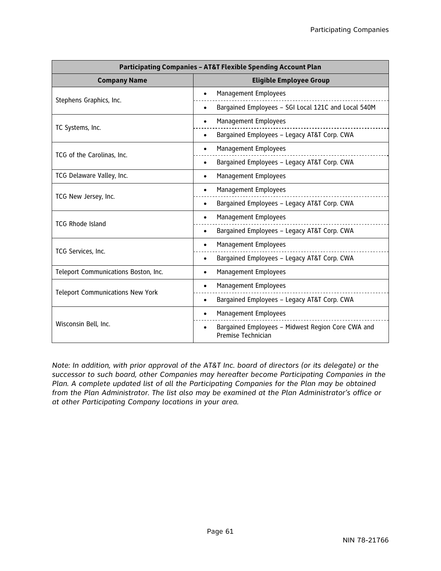| <b>Participating Companies - AT&amp;T Flexible Spending Account Plan</b> |                                                                         |
|--------------------------------------------------------------------------|-------------------------------------------------------------------------|
| <b>Company Name</b>                                                      | <b>Eligible Employee Group</b>                                          |
|                                                                          | Management Employees                                                    |
| Stephens Graphics, Inc.                                                  | Bargained Employees - SGI Local 121C and Local 540M                     |
|                                                                          | Management Employees<br>$\bullet$                                       |
| TC Systems, Inc.                                                         | Bargained Employees - Legacy AT&T Corp. CWA                             |
|                                                                          | Management Employees                                                    |
| TCG of the Carolinas, Inc.                                               | Bargained Employees - Legacy AT&T Corp. CWA<br>$\bullet$                |
| TCG Delaware Valley, Inc.                                                | Management Employees<br>$\bullet$                                       |
|                                                                          | Management Employees                                                    |
| TCG New Jersey, Inc.                                                     | Bargained Employees - Legacy AT&T Corp. CWA<br>$\bullet$                |
| <b>TCG Rhode Island</b>                                                  | Management Employees                                                    |
|                                                                          | Bargained Employees - Legacy AT&T Corp. CWA                             |
|                                                                          | Management Employees                                                    |
| TCG Services, Inc.                                                       | Bargained Employees - Legacy AT&T Corp. CWA                             |
| Teleport Communications Boston, Inc.                                     | Management Employees<br>$\bullet$                                       |
|                                                                          | Management Employees<br>٠                                               |
| <b>Teleport Communications New York</b>                                  | Bargained Employees - Legacy AT&T Corp. CWA<br>$\bullet$                |
|                                                                          | <b>Management Employees</b>                                             |
| Wisconsin Bell, Inc.                                                     | Bargained Employees - Midwest Region Core CWA and<br>Premise Technician |

*Note: In addition, with prior approval of the AT&T Inc. board of directors (or its delegate) or the successor to such board, other Companies may hereafter become Participating Companies in the Plan. A complete updated list of all the Participating Companies for the Plan may be obtained from the Plan Administrator. The list also may be examined at the Plan Administrator's office or at other Participating Company locations in your area.*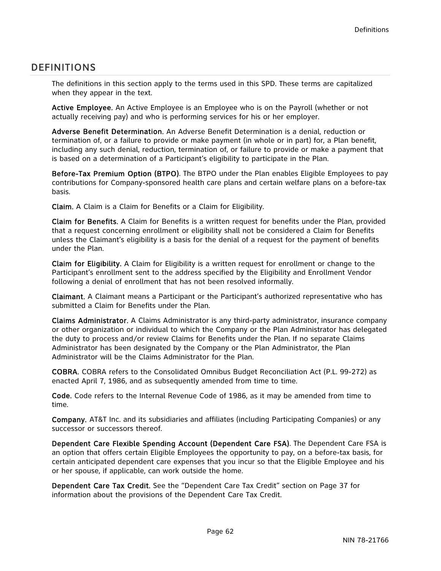# DEFINITIONS

The definitions in this section apply to the terms used in this SPD. These terms are capitalized when they appear in the text.

Active Employee. An Active Employee is an Employee who is on the Payroll (whether or not actually receiving pay) and who is performing services for his or her employer.

Adverse Benefit Determination. An Adverse Benefit Determination is a denial, reduction or termination of, or a failure to provide or make payment (in whole or in part) for, a Plan benefit, including any such denial, reduction, termination of, or failure to provide or make a payment that is based on a determination of a Participant's eligibility to participate in the Plan.

Before-Tax Premium Option (BTPO). The BTPO under the Plan enables Eligible Employees to pay contributions for Company-sponsored health care plans and certain welfare plans on a before-tax basis.

Claim. A Claim is a Claim for Benefits or a Claim for Eligibility.

Claim for Benefits. A Claim for Benefits is a written request for benefits under the Plan, provided that a request concerning enrollment or eligibility shall not be considered a Claim for Benefits unless the Claimant's eligibility is a basis for the denial of a request for the payment of benefits under the Plan.

Claim for Eligibility. A Claim for Eligibility is a written request for enrollment or change to the Participant's enrollment sent to the address specified by the Eligibility and Enrollment Vendor following a denial of enrollment that has not been resolved informally.

Claimant. A Claimant means a Participant or the Participant's authorized representative who has submitted a Claim for Benefits under the Plan.

Claims Administrator. A Claims Administrator is any third-party administrator, insurance company or other organization or individual to which the Company or the Plan Administrator has delegated the duty to process and/or review Claims for Benefits under the Plan. If no separate Claims Administrator has been designated by the Company or the Plan Administrator, the Plan Administrator will be the Claims Administrator for the Plan.

COBRA. COBRA refers to the Consolidated Omnibus Budget Reconciliation Act (P.L. 99-272) as enacted April 7, 1986, and as subsequently amended from time to time.

Code. Code refers to the Internal Revenue Code of 1986, as it may be amended from time to time.

Company.AT&T Inc. and its subsidiaries and affiliates (including Participating Companies) or any successor or successors thereof.

Dependent Care Flexible Spending Account (Dependent Care FSA). The Dependent Care FSA is an option that offers certain Eligible Employees the opportunity to pay, on a before-tax basis, for certain anticipated dependent care expenses that you incur so that the Eligible Employee and his or her spouse, if applicable, can work outside the home.

Dependent Care Tax Credit. See the "Dependent Care Tax Credit" section on Page 37 for information about the provisions of the Dependent Care Tax Credit.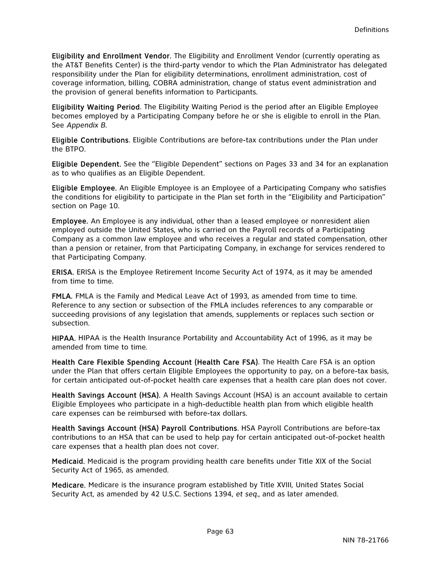Eligibility and Enrollment Vendor. The Eligibility and Enrollment Vendor (currently operating as the AT&T Benefits Center) is the third-party vendor to which the Plan Administrator has delegated responsibility under the Plan for eligibility determinations, enrollment administration, cost of coverage information, billing, COBRA administration, change of status event administration and the provision of general benefits information to Participants.

Eligibility Waiting Period. The Eligibility Waiting Period is the period after an Eligible Employee becomes employed by a Participating Company before he or she is eligible to enroll in the Plan. See *Appendix B*.

Eligible Contributions. Eligible Contributions are before-tax contributions under the Plan under the BTPO.

Eligible Dependent. See the "Eligible Dependent" sections on Pages 33 and 34 for an explanation as to who qualifies as an Eligible Dependent.

Eligible Employee. An Eligible Employee is an Employee of a Participating Company who satisfies the conditions for eligibility to participate in the Plan set forth in the "Eligibility and Participation" section on Page 10.

Employee. An Employee is any individual, other than a leased employee or nonresident alien employed outside the United States, who is carried on the Payroll records of a Participating Company as a common law employee and who receives a regular and stated compensation, other than a pension or retainer, from that Participating Company, in exchange for services rendered to that Participating Company.

ERISA. ERISA is the Employee Retirement Income Security Act of 1974, as it may be amended from time to time.

FMLA. FMLA is the Family and Medical Leave Act of 1993, as amended from time to time. Reference to any section or subsection of the FMLA includes references to any comparable or succeeding provisions of any legislation that amends, supplements or replaces such section or subsection.

HIPAA. HIPAA is the Health Insurance Portability and Accountability Act of 1996, as it may be amended from time to time.

Health Care Flexible Spending Account (Health Care FSA). The Health Care FSA is an option under the Plan that offers certain Eligible Employees the opportunity to pay, on a before-tax basis, for certain anticipated out-of-pocket health care expenses that a health care plan does not cover.

Health Savings Account (HSA). A Health Savings Account (HSA) is an account available to certain Eligible Employees who participate in a high-deductible health plan from which eligible health care expenses can be reimbursed with before-tax dollars.

Health Savings Account (HSA) Payroll Contributions. HSA Payroll Contributions are before-tax contributions to an HSA that can be used to help pay for certain anticipated out-of-pocket health care expenses that a health plan does not cover.

Medicaid. Medicaid is the program providing health care benefits under Title XIX of the Social Security Act of 1965, as amended.

Medicare. Medicare is the insurance program established by Title XVIII, United States Social Security Act, as amended by 42 U.S.C. Sections 1394, *et seq.*, and as later amended.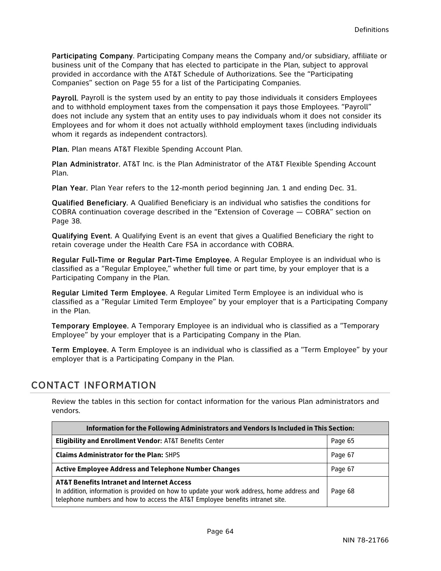Participating Company. Participating Company means the Company and/or subsidiary, affiliate or business unit of the Company that has elected to participate in the Plan, subject to approval provided in accordance with the AT&T Schedule of Authorizations. See the "Participating Companies" section on Page 55 for a list of the Participating Companies.

Payroll. Payroll is the system used by an entity to pay those individuals it considers Employees and to withhold employment taxes from the compensation it pays those Employees. "Payroll" does not include any system that an entity uses to pay individuals whom it does not consider its Employees and for whom it does not actually withhold employment taxes (including individuals whom it regards as independent contractors).

Plan. Plan means AT&T Flexible Spending Account Plan.

Plan Administrator. AT&T Inc. is the Plan Administrator of the AT&T Flexible Spending Account Plan.

Plan Year.Plan Year refers to the 12-month period beginning Jan. 1 and ending Dec. 31.

Qualified Beneficiary. A Qualified Beneficiary is an individual who satisfies the conditions for COBRA continuation coverage described in the "Extension of Coverage — COBRA" section on Page 38.

Qualifying Event. A Qualifying Event is an event that gives a Qualified Beneficiary the right to retain coverage under the Health Care FSA in accordance with COBRA.

Regular Full-Time or Regular Part-Time Employee.A Regular Employee is an individual who is classified as a "Regular Employee," whether full time or part time, by your employer that is a Participating Company in the Plan.

Regular Limited Term Employee. A Regular Limited Term Employee is an individual who is classified as a "Regular Limited Term Employee" by your employer that is a Participating Company in the Plan.

Temporary Employee. A Temporary Employee is an individual who is classified as a "Temporary Employee" by your employer that is a Participating Company in the Plan.

Term Employee. A Term Employee is an individual who is classified as a "Term Employee" by your employer that is a Participating Company in the Plan.

# CONTACT INFORMATION

Review the tables in this section for contact information for the various Plan administrators and vendors.

| Information for the Following Administrators and Vendors Is Included in This Section:                                                                                                                                               |         |  |
|-------------------------------------------------------------------------------------------------------------------------------------------------------------------------------------------------------------------------------------|---------|--|
| <b>Eligibility and Enrollment Vendor: AT&amp;T Benefits Center</b>                                                                                                                                                                  | Page 65 |  |
| <b>Claims Administrator for the Plan: SHPS</b>                                                                                                                                                                                      | Page 67 |  |
| <b>Active Employee Address and Telephone Number Changes</b>                                                                                                                                                                         | Page 67 |  |
| <b>AT&amp;T Benefits Intranet and Internet Access</b><br>In addition, information is provided on how to update your work address, home address and<br>telephone numbers and how to access the AT&T Employee benefits intranet site. | Page 68 |  |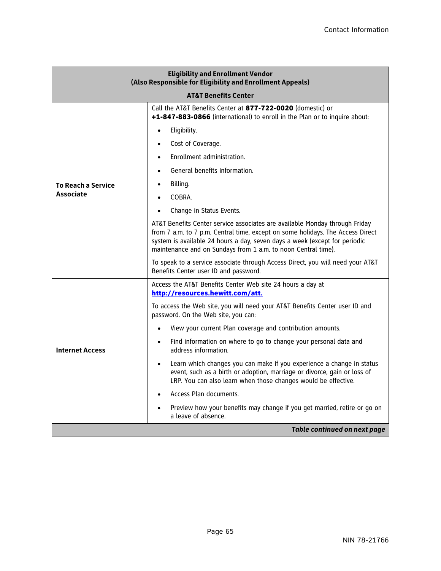| <b>Eligibility and Enrollment Vendor</b><br>(Also Responsible for Eligibility and Enrollment Appeals) |                                                                                                                                                                                                                                                                                                              |  |
|-------------------------------------------------------------------------------------------------------|--------------------------------------------------------------------------------------------------------------------------------------------------------------------------------------------------------------------------------------------------------------------------------------------------------------|--|
|                                                                                                       | <b>AT&amp;T Benefits Center</b>                                                                                                                                                                                                                                                                              |  |
|                                                                                                       | Call the AT&T Benefits Center at 877-722-0020 (domestic) or<br>+1-847-883-0866 (international) to enroll in the Plan or to inquire about:                                                                                                                                                                    |  |
|                                                                                                       | Eligibility.<br>$\bullet$                                                                                                                                                                                                                                                                                    |  |
|                                                                                                       | Cost of Coverage.<br>$\bullet$                                                                                                                                                                                                                                                                               |  |
|                                                                                                       | Enrollment administration.                                                                                                                                                                                                                                                                                   |  |
|                                                                                                       | General benefits information.                                                                                                                                                                                                                                                                                |  |
| <b>To Reach a Service</b>                                                                             | Billing.                                                                                                                                                                                                                                                                                                     |  |
| <b>Associate</b>                                                                                      | COBRA.<br>$\bullet$                                                                                                                                                                                                                                                                                          |  |
|                                                                                                       | Change in Status Events.                                                                                                                                                                                                                                                                                     |  |
|                                                                                                       | AT&T Benefits Center service associates are available Monday through Friday<br>from 7 a.m. to 7 p.m. Central time, except on some holidays. The Access Direct<br>system is available 24 hours a day, seven days a week (except for periodic<br>maintenance and on Sundays from 1 a.m. to noon Central time). |  |
|                                                                                                       | To speak to a service associate through Access Direct, you will need your AT&T<br>Benefits Center user ID and password.                                                                                                                                                                                      |  |
|                                                                                                       | Access the AT&T Benefits Center Web site 24 hours a day at<br>http://resources.hewitt.com/att.                                                                                                                                                                                                               |  |
|                                                                                                       | To access the Web site, you will need your AT&T Benefits Center user ID and<br>password. On the Web site, you can:                                                                                                                                                                                           |  |
|                                                                                                       | View your current Plan coverage and contribution amounts.                                                                                                                                                                                                                                                    |  |
| <b>Internet Access</b>                                                                                | Find information on where to go to change your personal data and<br>address information.                                                                                                                                                                                                                     |  |
|                                                                                                       | Learn which changes you can make if you experience a change in status<br>$\bullet$<br>event, such as a birth or adoption, marriage or divorce, gain or loss of<br>LRP. You can also learn when those changes would be effective.                                                                             |  |
|                                                                                                       | Access Plan documents.<br>$\bullet$                                                                                                                                                                                                                                                                          |  |
|                                                                                                       | Preview how your benefits may change if you get married, retire or go on<br>a leave of absence.                                                                                                                                                                                                              |  |
| Table continued on next page                                                                          |                                                                                                                                                                                                                                                                                                              |  |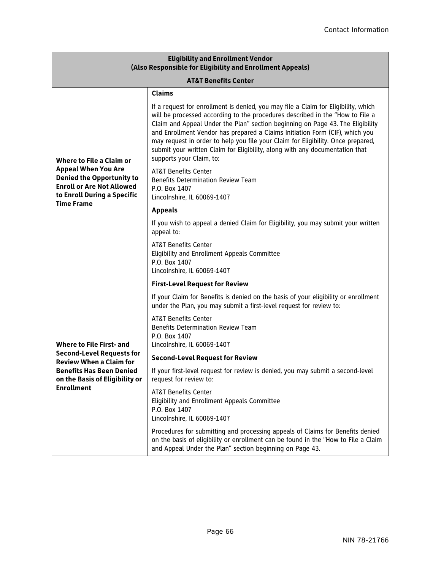| <b>Eligibility and Enrollment Vendor</b><br>(Also Responsible for Eligibility and Enrollment Appeals)                                                                                           |                                                                                                                                                                                                                                                                                                                                                                                                                                                                                                                                       |  |
|-------------------------------------------------------------------------------------------------------------------------------------------------------------------------------------------------|---------------------------------------------------------------------------------------------------------------------------------------------------------------------------------------------------------------------------------------------------------------------------------------------------------------------------------------------------------------------------------------------------------------------------------------------------------------------------------------------------------------------------------------|--|
| <b>AT&amp;T Benefits Center</b>                                                                                                                                                                 |                                                                                                                                                                                                                                                                                                                                                                                                                                                                                                                                       |  |
|                                                                                                                                                                                                 | <b>Claims</b>                                                                                                                                                                                                                                                                                                                                                                                                                                                                                                                         |  |
| <b>Where to File a Claim or</b><br><b>Appeal When You Are</b><br><b>Denied the Opportunity to</b><br><b>Enroll or Are Not Allowed</b><br>to Enroll During a Specific<br><b>Time Frame</b>       | If a request for enrollment is denied, you may file a Claim for Eligibility, which<br>will be processed according to the procedures described in the "How to File a<br>Claim and Appeal Under the Plan" section beginning on Page 43. The Eligibility<br>and Enrollment Vendor has prepared a Claims Initiation Form (CIF), which you<br>may request in order to help you file your Claim for Eligibility. Once prepared,<br>submit your written Claim for Eliqibility, along with any documentation that<br>supports your Claim, to: |  |
|                                                                                                                                                                                                 | <b>AT&amp;T Benefits Center</b><br><b>Benefits Determination Review Team</b><br>P.O. Box 1407<br>Lincolnshire, IL 60069-1407                                                                                                                                                                                                                                                                                                                                                                                                          |  |
|                                                                                                                                                                                                 | <b>Appeals</b>                                                                                                                                                                                                                                                                                                                                                                                                                                                                                                                        |  |
|                                                                                                                                                                                                 | If you wish to appeal a denied Claim for Eligibility, you may submit your written<br>appeal to:                                                                                                                                                                                                                                                                                                                                                                                                                                       |  |
|                                                                                                                                                                                                 | <b>AT&amp;T Benefits Center</b><br>Eligibility and Enrollment Appeals Committee<br>P.O. Box 1407<br>Lincolnshire, IL 60069-1407                                                                                                                                                                                                                                                                                                                                                                                                       |  |
|                                                                                                                                                                                                 | <b>First-Level Request for Review</b>                                                                                                                                                                                                                                                                                                                                                                                                                                                                                                 |  |
| <b>Where to File First- and</b><br><b>Second-Level Requests for</b><br><b>Review When a Claim for</b><br><b>Benefits Has Been Denied</b><br>on the Basis of Eligibility or<br><b>Enrollment</b> | If your Claim for Benefits is denied on the basis of your eligibility or enrollment<br>under the Plan, you may submit a first-level request for review to:                                                                                                                                                                                                                                                                                                                                                                            |  |
|                                                                                                                                                                                                 | <b>AT&amp;T Benefits Center</b><br><b>Benefits Determination Review Team</b><br>P.O. Box 1407<br>Lincolnshire, IL 60069-1407                                                                                                                                                                                                                                                                                                                                                                                                          |  |
|                                                                                                                                                                                                 | <b>Second-Level Request for Review</b>                                                                                                                                                                                                                                                                                                                                                                                                                                                                                                |  |
|                                                                                                                                                                                                 | If your first-level request for review is denied, you may submit a second-level<br>request for review to:                                                                                                                                                                                                                                                                                                                                                                                                                             |  |
|                                                                                                                                                                                                 | <b>AT&amp;T Benefits Center</b><br>Eligibility and Enrollment Appeals Committee<br>P.O. Box 1407<br>Lincolnshire, IL 60069-1407                                                                                                                                                                                                                                                                                                                                                                                                       |  |
|                                                                                                                                                                                                 | Procedures for submitting and processing appeals of Claims for Benefits denied<br>on the basis of eligibility or enrollment can be found in the "How to File a Claim<br>and Appeal Under the Plan" section beginning on Page 43.                                                                                                                                                                                                                                                                                                      |  |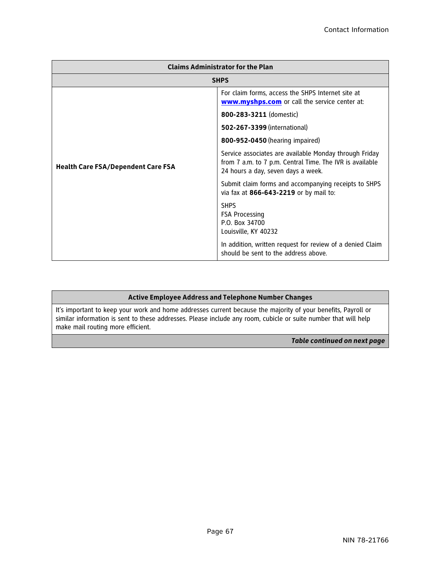| <b>Claims Administrator for the Plan</b>  |                                                                                                                                                          |  |
|-------------------------------------------|----------------------------------------------------------------------------------------------------------------------------------------------------------|--|
| <b>SHPS</b>                               |                                                                                                                                                          |  |
|                                           | For claim forms, access the SHPS Internet site at<br><b>www.myshps.com</b> or call the service center at:                                                |  |
|                                           | 800-283-3211 (domestic)                                                                                                                                  |  |
|                                           | 502-267-3399 (international)                                                                                                                             |  |
|                                           | 800-952-0450 (hearing impaired)                                                                                                                          |  |
| <b>Health Care FSA/Dependent Care FSA</b> | Service associates are available Monday through Friday<br>from 7 a.m. to 7 p.m. Central Time. The IVR is available<br>24 hours a day, seven days a week. |  |
|                                           | Submit claim forms and accompanying receipts to SHPS<br>via fax at 866-643-2219 or by mail to:                                                           |  |
|                                           | <b>SHPS</b><br><b>FSA Processing</b><br>P.O. Box 34700<br>Louisville, KY 40232                                                                           |  |
|                                           | In addition, written request for review of a denied Claim<br>should be sent to the address above.                                                        |  |

#### **Active Employee Address and Telephone Number Changes**

It's important to keep your work and home addresses current because the majority of your benefits, Payroll or similar information is sent to these addresses. Please include any room, cubicle or suite number that will help make mail routing more efficient.

*Table continued on next page*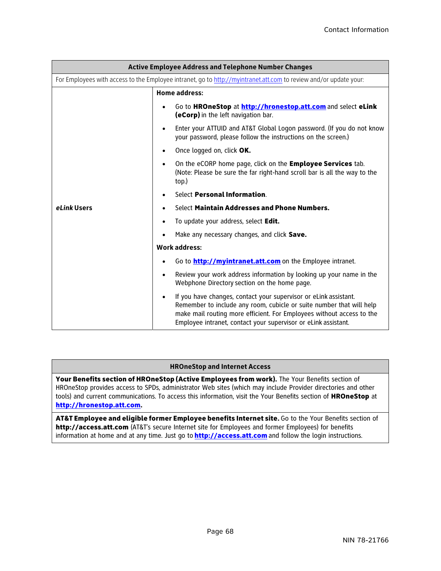| <b>Active Employee Address and Telephone Number Changes</b>                                                       |                                                                                                                                                                                                                                                                                                  |  |
|-------------------------------------------------------------------------------------------------------------------|--------------------------------------------------------------------------------------------------------------------------------------------------------------------------------------------------------------------------------------------------------------------------------------------------|--|
| For Employees with access to the Employee intranet, go to http://myintranet.att.com to review and/or update your: |                                                                                                                                                                                                                                                                                                  |  |
|                                                                                                                   | <b>Home address:</b>                                                                                                                                                                                                                                                                             |  |
|                                                                                                                   | Go to HROneStop at http://hronestop.att.com and select eLink<br>(eCorp) in the left navigation bar.                                                                                                                                                                                              |  |
|                                                                                                                   | Enter your ATTUID and AT&T Global Logon password. (If you do not know<br>٠<br>your password, please follow the instructions on the screen.)                                                                                                                                                      |  |
|                                                                                                                   | Once logged on, click OK.                                                                                                                                                                                                                                                                        |  |
| eLink Users                                                                                                       | On the eCORP home page, click on the Employee Services tab.<br>$\bullet$<br>(Note: Please be sure the far right-hand scroll bar is all the way to the<br>top.)                                                                                                                                   |  |
|                                                                                                                   | Select Personal Information.                                                                                                                                                                                                                                                                     |  |
|                                                                                                                   | Select Maintain Addresses and Phone Numbers.                                                                                                                                                                                                                                                     |  |
|                                                                                                                   | To update your address, select Edit.<br>٠                                                                                                                                                                                                                                                        |  |
|                                                                                                                   | Make any necessary changes, and click Save.<br>٠                                                                                                                                                                                                                                                 |  |
|                                                                                                                   | <b>Work address:</b>                                                                                                                                                                                                                                                                             |  |
|                                                                                                                   | Go to <b>http://myintranet.att.com</b> on the Employee intranet.                                                                                                                                                                                                                                 |  |
|                                                                                                                   | Review your work address information by looking up your name in the<br>$\bullet$<br>Webphone Directory section on the home page.                                                                                                                                                                 |  |
|                                                                                                                   | If you have changes, contact your supervisor or eLink assistant.<br>$\bullet$<br>Remember to include any room, cubicle or suite number that will help<br>make mail routing more efficient. For Employees without access to the<br>Employee intranet, contact your supervisor or eLink assistant. |  |

#### **HROneStop and Internet Access**

Your Benefits section of HROneStop (Active Employees from work). The Your Benefits section of HROneStop provides access to SPDs, administrator Web sites (which may include Provider directories and other tools) and current communications. To access this information, visit the Your Benefits section of HROneStop at http://hronestop.att.com.

AT&T Employee and eligible former Employee benefits Internet site. Go to the Your Benefits section of http://access.att.com (AT&T's secure Internet site for Employees and former Employees) for benefits information at home and at any time. Just go to **http://access.att.com** and follow the login instructions.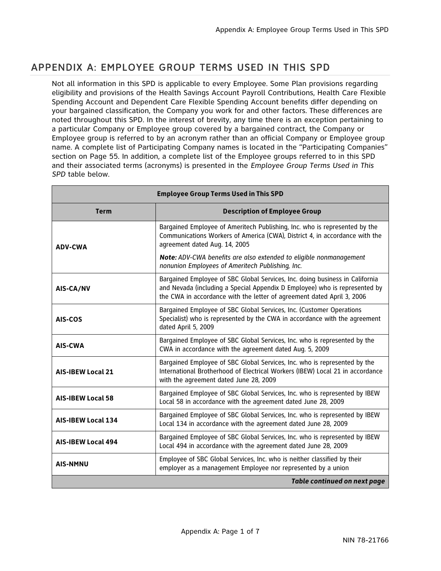# APPENDIX A: EMPLOYEE GROUP TERMS USED IN THIS SPD

Not all information in this SPD is applicable to every Employee. Some Plan provisions regarding eligibility and provisions of the Health Savings Account Payroll Contributions, Health Care Flexible Spending Account and Dependent Care Flexible Spending Account benefits differ depending on your bargained classification, the Company you work for and other factors. These differences are noted throughout this SPD. In the interest of brevity, any time there is an exception pertaining to a particular Company or Employee group covered by a bargained contract, the Company or Employee group is referred to by an acronym rather than an official Company or Employee group name. A complete list of Participating Company names is located in the "Participating Companies" section on Page 55. In addition, a complete list of the Employee groups referred to in this SPD and their associated terms (acronyms) is presented in the *Employee Group Terms Used in This SPD* table below.

| <b>Employee Group Terms Used in This SPD</b> |                                                                                                                                                                                                                                      |
|----------------------------------------------|--------------------------------------------------------------------------------------------------------------------------------------------------------------------------------------------------------------------------------------|
| <b>Term</b>                                  | <b>Description of Employee Group</b>                                                                                                                                                                                                 |
| <b>ADV-CWA</b>                               | Bargained Employee of Ameritech Publishing, Inc. who is represented by the<br>Communications Workers of America (CWA), District 4, in accordance with the<br>agreement dated Aug. 14, 2005                                           |
|                                              | Note: ADV-CWA benefits are also extended to eligible nonmanagement<br>nonunion Employees of Ameritech Publishing, Inc.                                                                                                               |
| AIS-CA/NV                                    | Bargained Employee of SBC Global Services, Inc. doing business in California<br>and Nevada (including a Special Appendix D Employee) who is represented by<br>the CWA in accordance with the letter of agreement dated April 3, 2006 |
| AIS-COS                                      | Bargained Employee of SBC Global Services, Inc. (Customer Operations<br>Specialist) who is represented by the CWA in accordance with the agreement<br>dated April 5, 2009                                                            |
| <b>AIS-CWA</b>                               | Bargained Employee of SBC Global Services, Inc. who is represented by the<br>CWA in accordance with the agreement dated Aug. 5, 2009                                                                                                 |
| <b>AIS-IBEW Local 21</b>                     | Bargained Employee of SBC Global Services, Inc. who is represented by the<br>International Brotherhood of Electrical Workers (IBEW) Local 21 in accordance<br>with the agreement dated June 28, 2009                                 |
| <b>AIS-IBEW Local 58</b>                     | Bargained Employee of SBC Global Services, Inc. who is represented by IBEW<br>Local 58 in accordance with the agreement dated June 28, 2009                                                                                          |
| <b>AIS-IBEW Local 134</b>                    | Bargained Employee of SBC Global Services, Inc. who is represented by IBEW<br>Local 134 in accordance with the agreement dated June 28, 2009                                                                                         |
| <b>AIS-IBEW Local 494</b>                    | Bargained Employee of SBC Global Services, Inc. who is represented by IBEW<br>Local 494 in accordance with the agreement dated June 28, 2009                                                                                         |
| <b>AIS-NMNU</b>                              | Employee of SBC Global Services, Inc. who is neither classified by their<br>employer as a management Employee nor represented by a union                                                                                             |
| <b>Table continued on next page</b>          |                                                                                                                                                                                                                                      |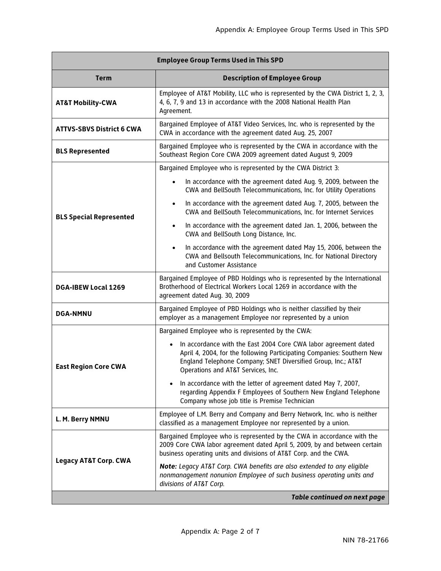| <b>Employee Group Terms Used in This SPD</b> |                                                                                                                                                                                                                                                               |
|----------------------------------------------|---------------------------------------------------------------------------------------------------------------------------------------------------------------------------------------------------------------------------------------------------------------|
| <b>Term</b>                                  | <b>Description of Employee Group</b>                                                                                                                                                                                                                          |
| <b>AT&amp;T Mobility-CWA</b>                 | Employee of AT&T Mobility, LLC who is represented by the CWA District 1, 2, 3,<br>4, 6, 7, 9 and 13 in accordance with the 2008 National Health Plan<br>Agreement.                                                                                            |
| <b>ATTVS-SBVS District 6 CWA</b>             | Bargained Employee of AT&T Video Services, Inc. who is represented by the<br>CWA in accordance with the agreement dated Aug. 25, 2007                                                                                                                         |
| <b>BLS Represented</b>                       | Bargained Employee who is represented by the CWA in accordance with the<br>Southeast Region Core CWA 2009 agreement dated August 9, 2009                                                                                                                      |
|                                              | Bargained Employee who is represented by the CWA District 3:                                                                                                                                                                                                  |
| <b>BLS Special Represented</b>               | In accordance with the agreement dated Aug. 9, 2009, between the<br>$\bullet$<br>CWA and BellSouth Telecommunications, Inc. for Utility Operations                                                                                                            |
|                                              | In accordance with the agreement dated Aug. 7, 2005, between the<br>$\bullet$<br>CWA and BellSouth Telecommunications, Inc. for Internet Services                                                                                                             |
|                                              | In accordance with the agreement dated Jan. 1, 2006, between the<br>$\bullet$<br>CWA and BellSouth Long Distance, Inc.                                                                                                                                        |
|                                              | In accordance with the agreement dated May 15, 2006, between the<br>$\bullet$<br>CWA and Bellsouth Telecommunications, Inc. for National Directory<br>and Customer Assistance                                                                                 |
| DGA-IBEW Local 1269                          | Bargained Employee of PBD Holdings who is represented by the International<br>Brotherhood of Electrical Workers Local 1269 in accordance with the<br>agreement dated Aug. 30, 2009                                                                            |
| <b>DGA-NMNU</b>                              | Bargained Employee of PBD Holdings who is neither classified by their<br>employer as a management Employee nor represented by a union                                                                                                                         |
|                                              | Bargained Employee who is represented by the CWA:                                                                                                                                                                                                             |
| <b>East Region Core CWA</b>                  | In accordance with the East 2004 Core CWA labor agreement dated<br>$\bullet$<br>April 4, 2004, for the following Participating Companies: Southern New<br>England Telephone Company; SNET Diversified Group, Inc.; AT&T<br>Operations and AT&T Services, Inc. |
|                                              | In accordance with the letter of agreement dated May 7, 2007,<br>regarding Appendix F Employees of Southern New England Telephone<br>Company whose job title is Premise Technician                                                                            |
| L. M. Berry NMNU                             | Employee of L.M. Berry and Company and Berry Network, Inc. who is neither<br>classified as a management Employee nor represented by a union.                                                                                                                  |
| <b>Legacy AT&amp;T Corp. CWA</b>             | Bargained Employee who is represented by the CWA in accordance with the<br>2009 Core CWA labor agreement dated April 5, 2009, by and between certain<br>business operating units and divisions of AT&T Corp. and the CWA.                                     |
|                                              | Note: Legacy AT&T Corp. CWA benefits are also extended to any eligible<br>nonmanagement nonunion Employee of such business operating units and<br>divisions of AT&T Corp.                                                                                     |
| <b>Table continued on next page</b>          |                                                                                                                                                                                                                                                               |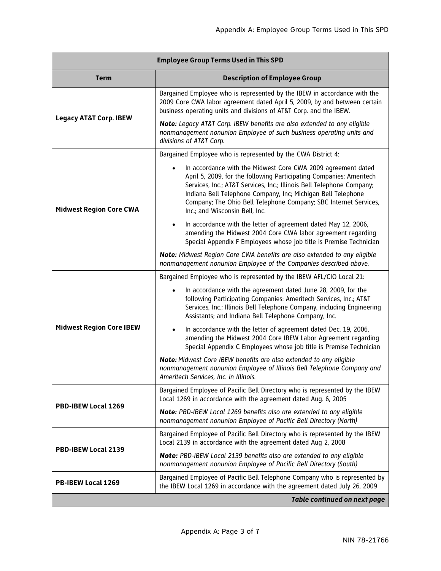| <b>Employee Group Terms Used in This SPD</b> |                                                                                                                                                                                                                                                                                                                                                                                                 |
|----------------------------------------------|-------------------------------------------------------------------------------------------------------------------------------------------------------------------------------------------------------------------------------------------------------------------------------------------------------------------------------------------------------------------------------------------------|
| <b>Term</b>                                  | <b>Description of Employee Group</b>                                                                                                                                                                                                                                                                                                                                                            |
| <b>Legacy AT&amp;T Corp. IBEW</b>            | Bargained Employee who is represented by the IBEW in accordance with the<br>2009 Core CWA labor agreement dated April 5, 2009, by and between certain<br>business operating units and divisions of AT&T Corp. and the IBEW.                                                                                                                                                                     |
|                                              | Note: Legacy AT&T Corp. IBEW benefits are also extended to any eligible<br>nonmanagement nonunion Employee of such business operating units and<br>divisions of AT&T Corp.                                                                                                                                                                                                                      |
| <b>Midwest Region Core CWA</b>               | Bargained Employee who is represented by the CWA District 4:                                                                                                                                                                                                                                                                                                                                    |
|                                              | In accordance with the Midwest Core CWA 2009 agreement dated<br>$\bullet$<br>April 5, 2009, for the following Participating Companies: Ameritech<br>Services, Inc.; AT&T Services, Inc.; Illinois Bell Telephone Company;<br>Indiana Bell Telephone Company, Inc; Michigan Bell Telephone<br>Company; The Ohio Bell Telephone Company; SBC Internet Services,<br>Inc.; and Wisconsin Bell, Inc. |
|                                              | In accordance with the letter of agreement dated May 12, 2006,<br>$\bullet$<br>amending the Midwest 2004 Core CWA labor agreement regarding<br>Special Appendix F Employees whose job title is Premise Technician                                                                                                                                                                               |
|                                              | Note: Midwest Region Core CWA benefits are also extended to any eligible<br>nonmanagement nonunion Employee of the Companies described above.                                                                                                                                                                                                                                                   |
| <b>Midwest Region Core IBEW</b>              | Bargained Employee who is represented by the IBEW AFL/CIO Local 21:                                                                                                                                                                                                                                                                                                                             |
|                                              | In accordance with the agreement dated June 28, 2009, for the<br>following Participating Companies: Ameritech Services, Inc.; AT&T<br>Services, Inc.; Illinois Bell Telephone Company, including Engineering<br>Assistants; and Indiana Bell Telephone Company, Inc.                                                                                                                            |
|                                              | In accordance with the letter of agreement dated Dec. 19, 2006,<br>$\bullet$<br>amending the Midwest 2004 Core IBEW Labor Agreement regarding<br>Special Appendix C Employees whose job title is Premise Technician                                                                                                                                                                             |
|                                              | Note: Midwest Core IBEW benefits are also extended to any eligible<br>nonmanagement nonunion Employee of Illinois Bell Telephone Company and<br>Ameritech Services, Inc. in Illinois.                                                                                                                                                                                                           |
|                                              | Bargained Employee of Pacific Bell Directory who is represented by the IBEW<br>Local 1269 in accordance with the agreement dated Aug. 6, 2005                                                                                                                                                                                                                                                   |
| PBD-IBEW Local 1269                          | Note: PBD-IBEW Local 1269 benefits also are extended to any eligible<br>nonmanagement nonunion Employee of Pacific Bell Directory (North)                                                                                                                                                                                                                                                       |
| PBD-IBEW Local 2139                          | Bargained Employee of Pacific Bell Directory who is represented by the IBEW<br>Local 2139 in accordance with the agreement dated Aug 2, 2008                                                                                                                                                                                                                                                    |
|                                              | Note: PBD-IBEW Local 2139 benefits also are extended to any eligible<br>nonmanagement nonunion Employee of Pacific Bell Directory (South)                                                                                                                                                                                                                                                       |
| PB-IBEW Local 1269                           | Bargained Employee of Pacific Bell Telephone Company who is represented by<br>the IBEW Local 1269 in accordance with the agreement dated July 26, 2009                                                                                                                                                                                                                                          |
|                                              | <b>Table continued on next page</b>                                                                                                                                                                                                                                                                                                                                                             |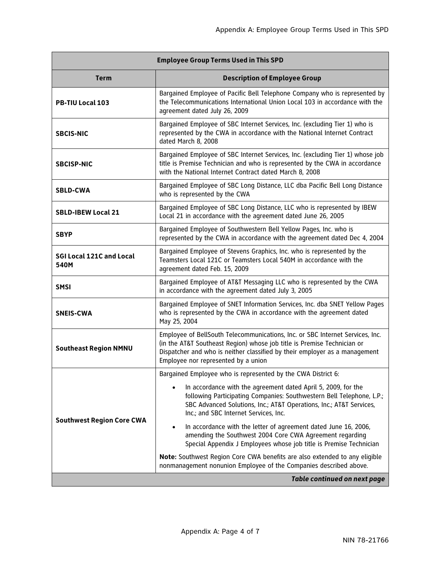| <b>Employee Group Terms Used in This SPD</b> |                                                                                                                                                                                                                                                                               |
|----------------------------------------------|-------------------------------------------------------------------------------------------------------------------------------------------------------------------------------------------------------------------------------------------------------------------------------|
| <b>Term</b>                                  | <b>Description of Employee Group</b>                                                                                                                                                                                                                                          |
| <b>PB-TIU Local 103</b>                      | Bargained Employee of Pacific Bell Telephone Company who is represented by<br>the Telecommunications International Union Local 103 in accordance with the<br>agreement dated July 26, 2009                                                                                    |
| <b>SBCIS-NIC</b>                             | Bargained Employee of SBC Internet Services, Inc. (excluding Tier 1) who is<br>represented by the CWA in accordance with the National Internet Contract<br>dated March 8, 2008                                                                                                |
| <b>SBCISP-NIC</b>                            | Bargained Employee of SBC Internet Services, Inc. (excluding Tier 1) whose job<br>title is Premise Technician and who is represented by the CWA in accordance<br>with the National Internet Contract dated March 8, 2008                                                      |
| <b>SBLD-CWA</b>                              | Bargained Employee of SBC Long Distance, LLC dba Pacific Bell Long Distance<br>who is represented by the CWA                                                                                                                                                                  |
| <b>SBLD-IBEW Local 21</b>                    | Bargained Employee of SBC Long Distance, LLC who is represented by IBEW<br>Local 21 in accordance with the agreement dated June 26, 2005                                                                                                                                      |
| <b>SBYP</b>                                  | Bargained Employee of Southwestern Bell Yellow Pages, Inc. who is<br>represented by the CWA in accordance with the agreement dated Dec 4, 2004                                                                                                                                |
| <b>SGI Local 121C and Local</b><br>540M      | Bargained Employee of Stevens Graphics, Inc. who is represented by the<br>Teamsters Local 121C or Teamsters Local 540M in accordance with the<br>agreement dated Feb. 15, 2009                                                                                                |
| <b>SMSI</b>                                  | Bargained Employee of AT&T Messaging LLC who is represented by the CWA<br>in accordance with the agreement dated July 3, 2005                                                                                                                                                 |
| <b>SNEIS-CWA</b>                             | Bargained Employee of SNET Information Services, Inc. dba SNET Yellow Pages<br>who is represented by the CWA in accordance with the agreement dated<br>May 25, 2004                                                                                                           |
| <b>Southeast Region NMNU</b>                 | Employee of BellSouth Telecommunications, Inc. or SBC Internet Services, Inc.<br>(in the AT&T Southeast Region) whose job title is Premise Technician or<br>Dispatcher and who is neither classified by their employer as a management<br>Employee nor represented by a union |
| <b>Southwest Region Core CWA</b>             | Bargained Employee who is represented by the CWA District 6:                                                                                                                                                                                                                  |
|                                              | In accordance with the agreement dated April 5, 2009, for the<br>following Participating Companies: Southwestern Bell Telephone, L.P.;<br>SBC Advanced Solutions, Inc.; AT&T Operations, Inc.; AT&T Services,<br>Inc.; and SBC Internet Services, Inc.                        |
|                                              | In accordance with the letter of agreement dated June 16, 2006,<br>$\bullet$<br>amending the Southwest 2004 Core CWA Agreement regarding<br>Special Appendix J Employees whose job title is Premise Technician                                                                |
|                                              | Note: Southwest Region Core CWA benefits are also extended to any eligible<br>nonmanagement nonunion Employee of the Companies described above.                                                                                                                               |
|                                              | <b>Table continued on next page</b>                                                                                                                                                                                                                                           |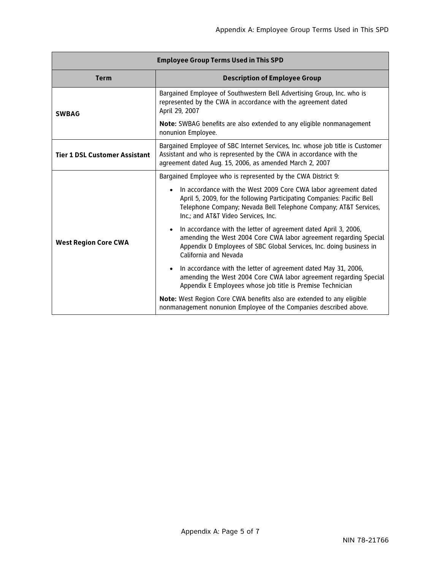| <b>Employee Group Terms Used in This SPD</b> |                                                                                                                                                                                                                                                                   |  |  |  |  |  |  |  |
|----------------------------------------------|-------------------------------------------------------------------------------------------------------------------------------------------------------------------------------------------------------------------------------------------------------------------|--|--|--|--|--|--|--|
| <b>Term</b>                                  | <b>Description of Employee Group</b>                                                                                                                                                                                                                              |  |  |  |  |  |  |  |
| <b>SWBAG</b>                                 | Bargained Employee of Southwestern Bell Advertising Group, Inc. who is<br>represented by the CWA in accordance with the agreement dated<br>April 29, 2007                                                                                                         |  |  |  |  |  |  |  |
|                                              | Note: SWBAG benefits are also extended to any eligible nonmanagement<br>nonunion Employee.                                                                                                                                                                        |  |  |  |  |  |  |  |
| <b>Tier 1 DSL Customer Assistant</b>         | Bargained Employee of SBC Internet Services, Inc. whose job title is Customer<br>Assistant and who is represented by the CWA in accordance with the<br>agreement dated Aug. 15, 2006, as amended March 2, 2007                                                    |  |  |  |  |  |  |  |
|                                              | Bargained Employee who is represented by the CWA District 9:                                                                                                                                                                                                      |  |  |  |  |  |  |  |
|                                              | In accordance with the West 2009 Core CWA labor agreement dated<br>$\bullet$<br>April 5, 2009, for the following Participating Companies: Pacific Bell<br>Telephone Company; Nevada Bell Telephone Company; AT&T Services,<br>Inc.; and AT&T Video Services, Inc. |  |  |  |  |  |  |  |
| <b>West Region Core CWA</b>                  | In accordance with the letter of agreement dated April 3, 2006,<br>$\bullet$<br>amending the West 2004 Core CWA labor agreement regarding Special<br>Appendix D Employees of SBC Global Services, Inc. doing business in<br>California and Nevada                 |  |  |  |  |  |  |  |
|                                              | In accordance with the letter of agreement dated May 31, 2006,<br>$\bullet$<br>amending the West 2004 Core CWA labor agreement regarding Special<br>Appendix E Employees whose job title is Premise Technician                                                    |  |  |  |  |  |  |  |
|                                              | Note: West Region Core CWA benefits also are extended to any eligible<br>nonmanagement nonunion Employee of the Companies described above.                                                                                                                        |  |  |  |  |  |  |  |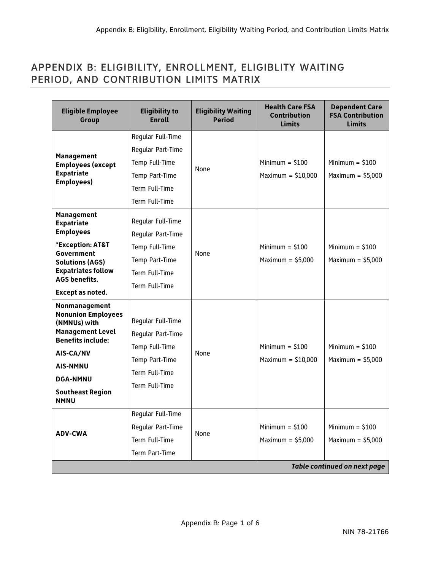## APPENDIX B: ELIGIBILITY, ENROLLMENT, ELIGIBLITY WAITING PERIOD, AND CONTRIBUTION LIMITS MATRIX

| <b>Eligible Employee</b><br>Group                                                                                                                                                                              | <b>Eligibility to</b><br><b>Enroll</b>                                                                                           | <b>Eligibility Waiting</b><br><b>Period</b> | <b>Health Care FSA</b><br><b>Contribution</b><br><b>Limits</b> | <b>Dependent Care</b><br><b>FSA Contribution</b><br><b>Limits</b>              |
|----------------------------------------------------------------------------------------------------------------------------------------------------------------------------------------------------------------|----------------------------------------------------------------------------------------------------------------------------------|---------------------------------------------|----------------------------------------------------------------|--------------------------------------------------------------------------------|
| Management<br><b>Employees (except</b><br><b>Expatriate</b><br>Employees)                                                                                                                                      | Regular Full-Time<br>Regular Part-Time<br>Temp Full-Time<br>Temp Part-Time<br>Term Full-Time                                     | None                                        | Minimum $=$ \$100<br>Maximum = $$10,000$                       | Minimum $=$ \$100<br>Maximum = $$5.000$                                        |
| <b>Management</b><br><b>Expatriate</b><br><b>Employees</b><br>*Exception: AT&T<br>Government<br><b>Solutions (AGS)</b><br><b>Expatriates follow</b><br><b>AGS benefits.</b><br>Except as noted.                | Term Full-Time<br>Reqular Full-Time<br>Reqular Part-Time<br>Temp Full-Time<br>Temp Part-Time<br>Term Full-Time<br>Term Full-Time | None                                        | Minimum $=$ \$100<br>Maximum = $$5,000$                        | Minimum $=$ \$100<br>Maximum = $$5,000$                                        |
| Nonmanagement<br><b>Nonunion Employees</b><br>(NMNUs) with<br><b>Management Level</b><br><b>Benefits include:</b><br>AIS-CA/NV<br><b>AIS-NMNU</b><br><b>DGA-NMNU</b><br><b>Southeast Region</b><br><b>NMNU</b> | Reqular Full-Time<br>Reqular Part-Time<br>Temp Full-Time<br>Temp Part-Time<br>Term Full-Time<br>Term Full-Time                   | None                                        | Minimum $=$ \$100<br>Maximum = $$10,000$                       | Minimum $=$ \$100<br>Maximum = $$5,000$                                        |
| <b>ADV-CWA</b>                                                                                                                                                                                                 | Regular Full-Time<br>Regular Part-Time<br>Term Full-Time<br>Term Part-Time                                                       |                                             | Minimum $=$ \$100<br>Maximum = $$5,000$                        | Minimum $=$ \$100<br>Maximum = $$5,000$<br><b>Table continued on next page</b> |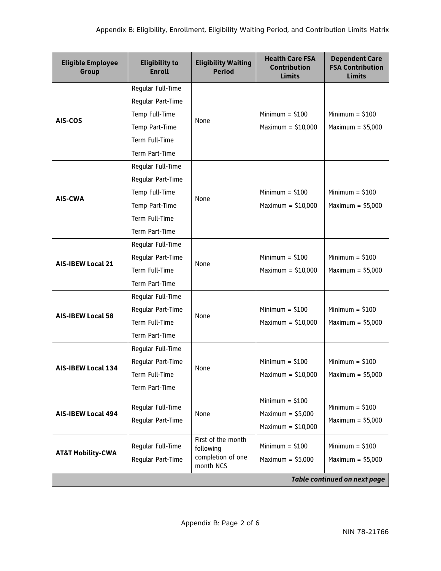| <b>Eligible Employee</b><br>Group | <b>Eligibility to</b><br><b>Enroll</b> | <b>Eligibility Waiting</b><br><b>Period</b> | <b>Health Care FSA</b><br><b>Contribution</b><br><b>Limits</b> | <b>Dependent Care</b><br><b>FSA Contribution</b><br><b>Limits</b> |
|-----------------------------------|----------------------------------------|---------------------------------------------|----------------------------------------------------------------|-------------------------------------------------------------------|
|                                   | Reqular Full-Time                      |                                             |                                                                |                                                                   |
| <b>AIS-COS</b>                    | Regular Part-Time                      |                                             |                                                                |                                                                   |
|                                   | Temp Full-Time                         | None                                        | Minimum = $$100$                                               | Minimum $=$ \$100                                                 |
|                                   | Temp Part-Time                         |                                             | Maximum = $$10,000$                                            | Maximum = $$5,000$                                                |
|                                   | Term Full-Time                         |                                             |                                                                |                                                                   |
|                                   | Term Part-Time                         |                                             |                                                                |                                                                   |
|                                   | Regular Full-Time                      |                                             |                                                                |                                                                   |
|                                   | Regular Part-Time                      |                                             |                                                                |                                                                   |
| <b>AIS-CWA</b>                    | Temp Full-Time                         | None                                        | Minimum = $$100$                                               | Minimum = $$100$                                                  |
|                                   | Temp Part-Time                         |                                             | Maximum = $$10,000$                                            | Maximum = $$5,000$                                                |
|                                   | Term Full-Time                         |                                             |                                                                |                                                                   |
|                                   | Term Part-Time                         |                                             |                                                                |                                                                   |
|                                   | Reqular Full-Time                      |                                             |                                                                |                                                                   |
|                                   | Regular Part-Time                      |                                             | Minimum = $$100$                                               | Minimum = $$100$                                                  |
| <b>AIS-IBEW Local 21</b>          | Term Full-Time                         | None                                        | Maximum = $$10,000$                                            | Maximum = $$5,000$                                                |
|                                   | Term Part-Time                         |                                             |                                                                |                                                                   |
|                                   | Regular Full-Time                      |                                             |                                                                |                                                                   |
|                                   | Regular Part-Time                      |                                             | Minimum = $$100$                                               | Minimum = $$100$                                                  |
| <b>AIS-IBEW Local 58</b>          | Term Full-Time                         | None                                        | Maximum = $$10,000$                                            | Maximum = $$5,000$                                                |
|                                   | Term Part-Time                         |                                             |                                                                |                                                                   |
|                                   | Reqular Full-Time                      |                                             |                                                                |                                                                   |
|                                   | Regular Part-Time                      |                                             | Minimum $= $100$                                               | Minimum $= $100$                                                  |
| <b>AIS-IBEW Local 134</b>         | Term Full-Time                         | None                                        | Maximum = $$10,000$                                            | Maximum = $$5,000$                                                |
|                                   | Term Part-Time                         |                                             |                                                                |                                                                   |
|                                   |                                        |                                             | Minimum = $$100$                                               |                                                                   |
| <b>AIS-IBEW Local 494</b>         | Regular Full-Time                      | None                                        | Maximum = $$5,000$                                             | Minimum = $$100$                                                  |
|                                   | Reqular Part-Time                      |                                             | Maximum = $$10,000$                                            | Maximum = $$5,000$                                                |
|                                   |                                        | First of the month                          |                                                                |                                                                   |
| <b>AT&amp;T Mobility-CWA</b>      | Regular Full-Time                      | following<br>completion of one              | Minimum = $$100$                                               | Minimum = $$100$                                                  |
|                                   | Regular Part-Time                      | month NCS                                   | Maximum = $$5,000$                                             | Maximum = $$5,000$                                                |
|                                   |                                        |                                             |                                                                | <b>Table continued on next page</b>                               |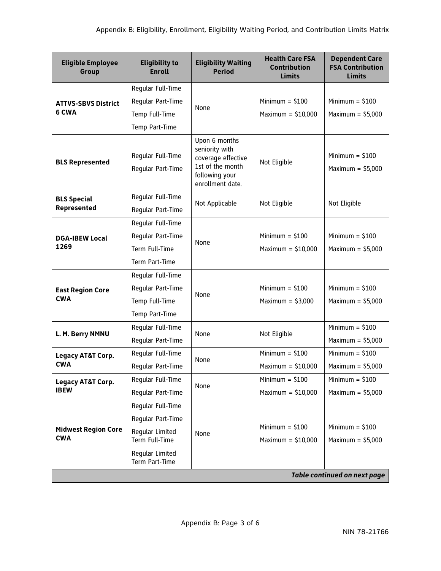| <b>Eligible Employee</b><br>Group        | <b>Eligibility to</b><br><b>Enroll</b>                                     | <b>Eligibility Waiting</b><br><b>Period</b>                                                                     | <b>Health Care FSA</b><br><b>Contribution</b><br><b>Limits</b> | <b>Dependent Care</b><br><b>FSA Contribution</b><br><b>Limits</b> |
|------------------------------------------|----------------------------------------------------------------------------|-----------------------------------------------------------------------------------------------------------------|----------------------------------------------------------------|-------------------------------------------------------------------|
|                                          | Regular Full-Time                                                          |                                                                                                                 |                                                                |                                                                   |
| <b>ATTVS-SBVS District</b><br>6 CWA      | Regular Part-Time                                                          | None                                                                                                            | Minimum $=$ \$100                                              | Minimum = $$100$                                                  |
|                                          | Temp Full-Time                                                             |                                                                                                                 | Maximum = $$10,000$                                            | Maximum = $$5,000$                                                |
|                                          | Temp Part-Time                                                             |                                                                                                                 |                                                                |                                                                   |
| <b>BLS Represented</b>                   | Regular Full-Time<br>Regular Part-Time                                     | Upon 6 months<br>seniority with<br>coverage effective<br>1st of the month<br>following your<br>enrollment date. | Not Eligible                                                   | Minimum = $$100$<br>Maximum = $$5,000$                            |
| <b>BLS Special</b><br>Represented        | Reqular Full-Time<br>Regular Part-Time                                     | Not Applicable                                                                                                  | Not Eligible                                                   | Not Eligible                                                      |
| <b>DGA-IBEW Local</b><br>1269            | Regular Full-Time<br>Regular Part-Time<br>Term Full-Time<br>Term Part-Time | None                                                                                                            | Minimum $= $100$<br>Maximum = $$10,000$                        | Minimum = $$100$<br>Maximum = $$5,000$                            |
|                                          | Regular Full-Time                                                          |                                                                                                                 |                                                                |                                                                   |
| <b>East Region Core</b>                  | Regular Part-Time                                                          |                                                                                                                 | Minimum $= $100$                                               | Minimum = $$100$                                                  |
| <b>CWA</b>                               | Temp Full-Time                                                             | None                                                                                                            | Maximum = $$3,000$                                             | Maximum = $$5,000$                                                |
|                                          | Temp Part-Time                                                             |                                                                                                                 |                                                                |                                                                   |
|                                          | Regular Full-Time                                                          | None                                                                                                            |                                                                | Minimum $= $100$                                                  |
| L. M. Berry NMNU                         | Regular Part-Time                                                          |                                                                                                                 | Not Eligible                                                   | Maximum = $$5,000$                                                |
| <b>Legacy AT&amp;T Corp.</b>             | Regular Full-Time                                                          | None                                                                                                            | Minimum = $$100$                                               | Minimum $= $100$                                                  |
| <b>CWA</b>                               | Regular Part-Time                                                          |                                                                                                                 | Maximum = $$10,000$                                            | Maximum = $$5,000$                                                |
| Legacy AT&T Corp.                        | Reqular Full-Time                                                          | None                                                                                                            | Minimum $= $100$                                               | Minimum $= $100$                                                  |
| <b>IBEW</b>                              | Regular Part-Time                                                          |                                                                                                                 | Maximum = $$10,000$                                            | Maximum = $$5,000$                                                |
|                                          | Reqular Full-Time                                                          |                                                                                                                 |                                                                |                                                                   |
| <b>Midwest Region Core</b><br><b>CWA</b> | Regular Part-Time                                                          |                                                                                                                 |                                                                |                                                                   |
|                                          | Regular Limited<br>Term Full-Time                                          | None                                                                                                            | Minimum = $$100$<br>Maximum = $$10,000$                        | Minimum = $$100$<br>Maximum = $$5,000$                            |
|                                          | Regular Limited<br>Term Part-Time                                          |                                                                                                                 |                                                                |                                                                   |
|                                          |                                                                            |                                                                                                                 |                                                                | <b>Table continued on next page</b>                               |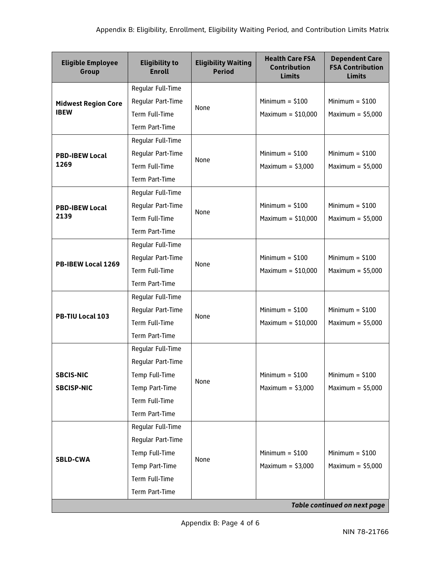| <b>Eligible Employee</b><br>Group         | <b>Eligibility to</b><br><b>Enroll</b> | <b>Eligibility Waiting</b><br><b>Period</b> | <b>Health Care FSA</b><br><b>Contribution</b><br><b>Limits</b> | <b>Dependent Care</b><br><b>FSA Contribution</b><br><b>Limits</b> |
|-------------------------------------------|----------------------------------------|---------------------------------------------|----------------------------------------------------------------|-------------------------------------------------------------------|
|                                           | Regular Full-Time                      |                                             |                                                                |                                                                   |
| <b>Midwest Region Core</b><br><b>IBEW</b> | Regular Part-Time                      | None                                        | Minimum $=$ \$100                                              | Minimum $= $100$                                                  |
|                                           | Term Full-Time                         |                                             | Maximum = $$10,000$                                            | Maximum = $$5,000$                                                |
|                                           | Term Part-Time                         |                                             |                                                                |                                                                   |
|                                           | Reqular Full-Time                      |                                             |                                                                |                                                                   |
| <b>PBD-IBEW Local</b>                     | Regular Part-Time                      | None                                        | Minimum = $$100$                                               | Minimum $= $100$                                                  |
| 1269                                      | Term Full-Time                         |                                             | Maximum = $$3,000$                                             | Maximum = $$5,000$                                                |
|                                           | Term Part-Time                         |                                             |                                                                |                                                                   |
|                                           | Regular Full-Time                      |                                             |                                                                |                                                                   |
| <b>PBD-IBEW Local</b>                     | Regular Part-Time                      | None                                        | Minimum $=$ \$100                                              | Minimum $= $100$                                                  |
| 2139                                      | Term Full-Time                         |                                             | Maximum = $$10,000$                                            | Maximum = $$5,000$                                                |
|                                           | Term Part-Time                         |                                             |                                                                |                                                                   |
|                                           | Regular Full-Time                      |                                             |                                                                |                                                                   |
| PB-IBEW Local 1269                        | Reqular Part-Time                      | None                                        | Minimum = $$100$                                               | Minimum $= $100$                                                  |
|                                           | Term Full-Time                         |                                             | Maximum = $$10,000$                                            | Maximum = $$5,000$                                                |
|                                           | Term Part-Time                         |                                             |                                                                |                                                                   |
|                                           | Regular Full-Time                      |                                             |                                                                |                                                                   |
| PB-TIU Local 103                          | Regular Part-Time                      | None                                        | Minimum = $$100$                                               | Minimum = $$100$                                                  |
|                                           | Term Full-Time                         |                                             | Maximum = $$10,000$                                            | Maximum = $$5,000$                                                |
|                                           | Term Part-Time                         |                                             |                                                                |                                                                   |
|                                           | Regular Full-Time                      |                                             |                                                                |                                                                   |
|                                           | Regular Part-Time                      |                                             |                                                                |                                                                   |
| <b>SBCIS-NIC</b>                          | Temp Full-Time                         | None                                        | Minimum $=$ \$100                                              | Minimum $=$ \$100                                                 |
| <b>SBCISP-NIC</b>                         | Temp Part-Time                         |                                             | Maximum = $$3,000$                                             | Maximum = $$5,000$                                                |
|                                           | Term Full-Time                         |                                             |                                                                |                                                                   |
|                                           | Term Part-Time                         |                                             |                                                                |                                                                   |
|                                           | Regular Full-Time                      |                                             |                                                                |                                                                   |
|                                           | Reqular Part-Time                      |                                             |                                                                |                                                                   |
| <b>SBLD-CWA</b>                           | Temp Full-Time                         | None                                        | Minimum $= $100$                                               | Minimum $= $100$                                                  |
|                                           | Temp Part-Time                         |                                             | Maximum = $$3,000$                                             | Maximum = $$5,000$                                                |
|                                           | Term Full-Time                         |                                             |                                                                |                                                                   |
|                                           | Term Part-Time                         |                                             |                                                                |                                                                   |
|                                           |                                        |                                             |                                                                | <b>Table continued on next page</b>                               |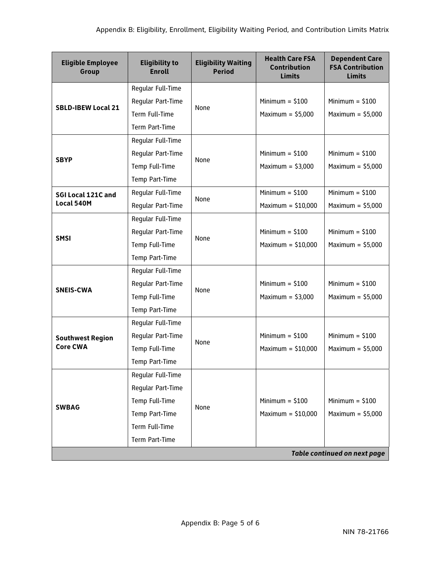| <b>Eligible Employee</b><br>Group | <b>Eligibility to</b><br><b>Enroll</b> | <b>Eligibility Waiting</b><br><b>Period</b> | <b>Health Care FSA</b><br><b>Contribution</b><br><b>Limits</b> | <b>Dependent Care</b><br><b>FSA Contribution</b><br><b>Limits</b> |
|-----------------------------------|----------------------------------------|---------------------------------------------|----------------------------------------------------------------|-------------------------------------------------------------------|
|                                   | Regular Full-Time                      |                                             |                                                                |                                                                   |
| <b>SBLD-IBEW Local 21</b>         | Regular Part-Time                      | None                                        | Minimum = $$100$                                               | Minimum = $$100$                                                  |
|                                   | Term Full-Time                         |                                             | Maximum = $$5,000$                                             | Maximum = $$5,000$                                                |
|                                   | Term Part-Time                         |                                             |                                                                |                                                                   |
|                                   | Regular Full-Time                      |                                             |                                                                |                                                                   |
| <b>SBYP</b>                       | Regular Part-Time                      | None                                        | Minimum = $$100$                                               | Minimum = $$100$                                                  |
|                                   | Temp Full-Time                         |                                             | Maximum = $$3,000$                                             | Maximum = $$5,000$                                                |
|                                   | Temp Part-Time                         |                                             |                                                                |                                                                   |
| SGI Local 121C and                | Regular Full-Time                      | None                                        | Minimum = $$100$                                               | Minimum $= $100$                                                  |
| Local 540M                        | Reqular Part-Time                      |                                             | Maximum = $$10,000$                                            | Maximum = $$5,000$                                                |
|                                   | Regular Full-Time                      |                                             |                                                                |                                                                   |
| <b>SMSI</b>                       | Regular Part-Time                      | None                                        | Minimum = $$100$                                               | Minimum = $$100$                                                  |
|                                   | Temp Full-Time                         |                                             | Maximum = $$10,000$                                            | Maximum = $$5,000$                                                |
|                                   | Temp Part-Time                         |                                             |                                                                |                                                                   |
|                                   | Regular Full-Time                      |                                             |                                                                |                                                                   |
| <b>SNEIS-CWA</b>                  | Regular Part-Time                      | None                                        | Minimum = $$100$                                               | Minimum = $$100$                                                  |
|                                   | Temp Full-Time                         |                                             | Maximum = $$3,000$                                             | Maximum = $$5,000$                                                |
|                                   | Temp Part-Time                         |                                             |                                                                |                                                                   |
|                                   | Regular Full-Time                      |                                             |                                                                |                                                                   |
| <b>Southwest Region</b>           | Regular Part-Time                      | None                                        | Minimum = $$100$                                               | Minimum = $$100$                                                  |
| <b>Core CWA</b>                   | Temp Full-Time                         |                                             | Maximum = $$10,000$                                            | Maximum = $$5,000$                                                |
|                                   | Temp Part-Time                         |                                             |                                                                |                                                                   |
|                                   | Regular Full-Time                      |                                             |                                                                |                                                                   |
|                                   | Regular Part-Time                      |                                             |                                                                |                                                                   |
| <b>SWBAG</b>                      | Temp Full-Time                         | None                                        | Minimum = $$100$                                               | Minimum = $$100$                                                  |
|                                   | Temp Part-Time                         |                                             | Maximum = $$10,000$                                            | Maximum = $$5,000$                                                |
|                                   | Term Full-Time                         |                                             |                                                                |                                                                   |
|                                   | Term Part-Time                         |                                             |                                                                |                                                                   |
|                                   |                                        |                                             |                                                                | <b>Table continued on next page</b>                               |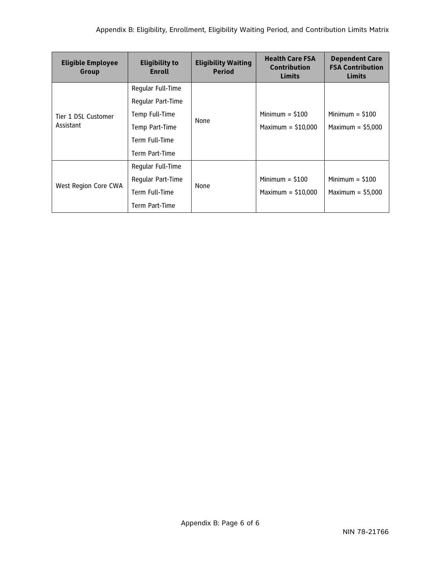| <b>Eligible Employee</b><br>Group | <b>Eligibility to</b><br>Enroll | <b>Eligibility Waiting</b><br><b>Period</b> | <b>Health Care FSA</b><br><b>Contribution</b><br><b>Limits</b> | <b>Dependent Care</b><br><b>FSA Contribution</b><br><b>Limits</b> |
|-----------------------------------|---------------------------------|---------------------------------------------|----------------------------------------------------------------|-------------------------------------------------------------------|
|                                   | Regular Full-Time               |                                             |                                                                |                                                                   |
|                                   | Reqular Part-Time               |                                             |                                                                |                                                                   |
| Tier 1 DSL Customer<br>Assistant  | Temp Full-Time                  | None                                        | Minimum $=$ \$100                                              | Minimum $=$ \$100                                                 |
|                                   | Temp Part-Time                  |                                             | Maximum = $$10,000$                                            | Maximum = $$5,000$                                                |
|                                   | Term Full-Time                  |                                             |                                                                |                                                                   |
|                                   | Term Part-Time                  |                                             |                                                                |                                                                   |
|                                   | Reqular Full-Time               |                                             |                                                                |                                                                   |
|                                   | Reqular Part-Time               |                                             | Minimum $=$ \$100                                              | Minimum $=$ \$100                                                 |
| West Region Core CWA              | Term Full-Time                  | None                                        | Maximum = $$10,000$                                            | Maximum = $$5,000$                                                |
|                                   | Term Part-Time                  |                                             |                                                                |                                                                   |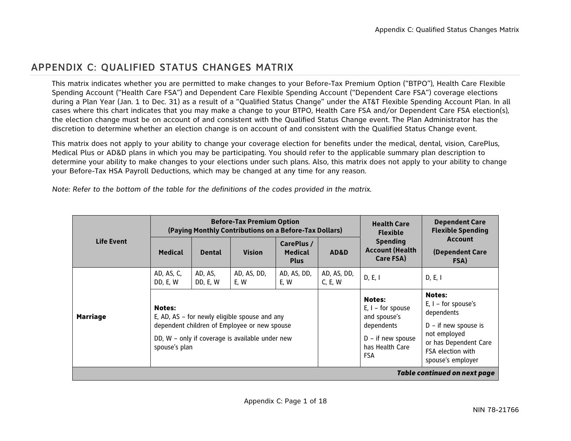## APPENDIX C: QUALIFIED STATUS CHANGES MATRIX

This matrix indicates whether you are permitted to make changes to your Before-Tax Premium Option ("BTPO"), Health Care Flexible Spending Account ("Health Care FSA") and Dependent Care Flexible Spending Account ("Dependent Care FSA") coverage elections during a Plan Year (Jan. 1 to Dec. 31) as a result of a "Qualified Status Change" under the AT&T Flexible Spending Account Plan. In all cases where this chart indicates that you may make a change to your BTPO, Health Care FSA and/or Dependent Care FSA election(s), the election change must be on account of and consistent with the Qualified Status Change event. The Plan Administrator has the discretion to determine whether an election change is on account of and consistent with the Qualified Status Change event.

This matrix does not apply to your ability to change your coverage election for benefits under the medical, dental, vision, CarePlus, Medical Plus or AD&D plans in which you may be participating. You should refer to the applicable summary plan description to determine your ability to make changes to your elections under such plans. Also, this matrix does not apply to your ability to change your Before-Tax HSA Payroll Deductions, which may be changed at any time for any reason.

*Note: Refer to the bottom of the table for the definitions of the codes provided in the matrix.* 

| <b>Life Event</b>            |                                                                                                                                                                             |                     | <b>Before-Tax Premium Option</b><br>(Paying Monthly Contributions on a Before-Tax Dollars) |                                             | <b>Health Care</b><br><b>Flexible</b> | <b>Dependent Care</b><br><b>Flexible Spending</b>                                                                          |                                                                                                                                                                   |  |  |
|------------------------------|-----------------------------------------------------------------------------------------------------------------------------------------------------------------------------|---------------------|--------------------------------------------------------------------------------------------|---------------------------------------------|---------------------------------------|----------------------------------------------------------------------------------------------------------------------------|-------------------------------------------------------------------------------------------------------------------------------------------------------------------|--|--|
|                              | <b>Medical</b>                                                                                                                                                              | <b>Dental</b>       | <b>Vision</b>                                                                              | CarePlus /<br><b>Medical</b><br><b>Plus</b> | AD&D                                  | <b>Spending</b><br><b>Account (Health</b><br>Care FSA)                                                                     | <b>Account</b><br>(Dependent Care<br>FSA)                                                                                                                         |  |  |
|                              | AD, AS, C,<br>DD, E, W                                                                                                                                                      | AD, AS,<br>DD, E, W | AD, AS, DD,<br>E, W                                                                        | AD, AS, DD,<br>E, W                         | AD, AS, DD,<br>C, E, W                | D, E, I                                                                                                                    | D, E, I                                                                                                                                                           |  |  |
| <b>Marriage</b>              | Notes:<br>E, AD, AS – for newly eligible spouse and any<br>dependent children of Employee or new spouse<br>DD, W - only if coverage is available under new<br>spouse's plan |                     |                                                                                            |                                             |                                       | <b>Notes:</b><br>$E, I - for spouse$<br>and spouse's<br>dependents<br>$D - if new spouse$<br>has Health Care<br><b>FSA</b> | <b>Notes:</b><br>$E, I - for spouse's$<br>dependents<br>$D - if new spouse is$<br>not employed<br>or has Dependent Care<br>FSA election with<br>spouse's employer |  |  |
| Table continued on next page |                                                                                                                                                                             |                     |                                                                                            |                                             |                                       |                                                                                                                            |                                                                                                                                                                   |  |  |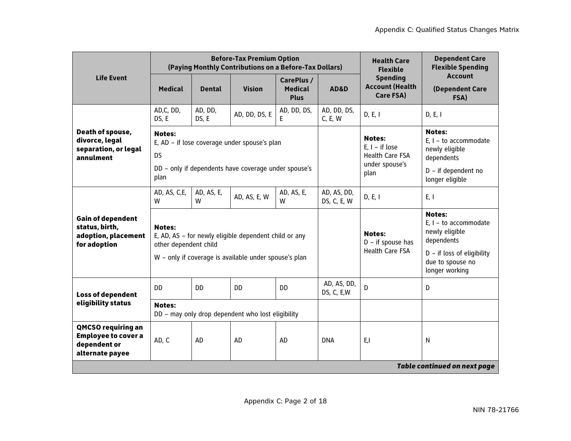|                                                                                            |                                                                                                                                            |                  | <b>Before-Tax Premium Option</b><br>(Paying Monthly Contributions on a Before-Tax Dollars)                     |                                             |                            | <b>Health Care</b><br><b>Flexible</b>                                                 | <b>Dependent Care</b><br><b>Flexible Spending</b>                                                                                              |
|--------------------------------------------------------------------------------------------|--------------------------------------------------------------------------------------------------------------------------------------------|------------------|----------------------------------------------------------------------------------------------------------------|---------------------------------------------|----------------------------|---------------------------------------------------------------------------------------|------------------------------------------------------------------------------------------------------------------------------------------------|
| <b>Life Event</b>                                                                          | <b>Medical</b>                                                                                                                             | <b>Dental</b>    | <b>Vision</b>                                                                                                  | CarePlus /<br><b>Medical</b><br><b>Plus</b> | AD&D                       | <b>Spending</b><br><b>Account (Health</b><br>Care FSA)                                | <b>Account</b><br>(Dependent Care<br>FSA)                                                                                                      |
|                                                                                            | AD,C, DD,<br>DS, E                                                                                                                         | AD, DD,<br>DS, E | AD, DD, DS, E                                                                                                  | AD, DD, DS,<br>E                            | AD, DD, DS,<br>C, E, W     | D, E, I                                                                               | D, E, I                                                                                                                                        |
| Death of spouse,<br>divorce, legal<br>separation, or legal<br>annulment                    | <b>Notes:</b><br>E, AD - if lose coverage under spouse's plan<br><b>DS</b><br>DD - only if dependents have coverage under spouse's<br>plan |                  |                                                                                                                |                                             |                            | <b>Notes:</b><br>$E, I - if lose$<br><b>Health Care FSA</b><br>under spouse's<br>plan | <b>Notes:</b><br>E, $I -$ to accommodate<br>newly eligible<br>dependents<br>D - if dependent no<br>longer eligible                             |
|                                                                                            | AD, AS, C,E,<br>W                                                                                                                          | AD, AS, E,<br>w  | AD, AS, E, W                                                                                                   | AD, AS, E,<br>w                             | AD, AS, DD,<br>DS, C, E, W | D, E, I                                                                               | E, I                                                                                                                                           |
| <b>Gain of dependent</b><br>status, birth,<br>adoption, placement<br>for adoption          | <b>Notes:</b><br>other dependent child                                                                                                     |                  | E, AD, AS - for newly eligible dependent child or any<br>W - only if coverage is available under spouse's plan |                                             |                            | <b>Notes:</b><br>$D - if$ spouse has<br><b>Health Care FSA</b>                        | <b>Notes:</b><br>$E. I - to accommodate$<br>newly eligible<br>dependents<br>$D - if loss of eligibility$<br>due to spouse no<br>longer working |
| <b>Loss of dependent</b>                                                                   | D <sub>D</sub>                                                                                                                             | DD.              | <b>DD</b>                                                                                                      | <b>DD</b>                                   | AD, AS, DD,<br>DS, C, E, W | D                                                                                     | D                                                                                                                                              |
| eligibility status                                                                         | <b>Notes:</b>                                                                                                                              |                  | DD - may only drop dependent who lost eligibility                                                              |                                             |                            |                                                                                       |                                                                                                                                                |
| <b>QMCSO requiring an</b><br><b>Employee to cover a</b><br>dependent or<br>alternate payee | AD, C                                                                                                                                      | AD               | AD                                                                                                             | AD                                          | <b>DNA</b>                 | E,I                                                                                   | N                                                                                                                                              |
|                                                                                            |                                                                                                                                            |                  |                                                                                                                |                                             |                            |                                                                                       | <b>Table continued on next page</b>                                                                                                            |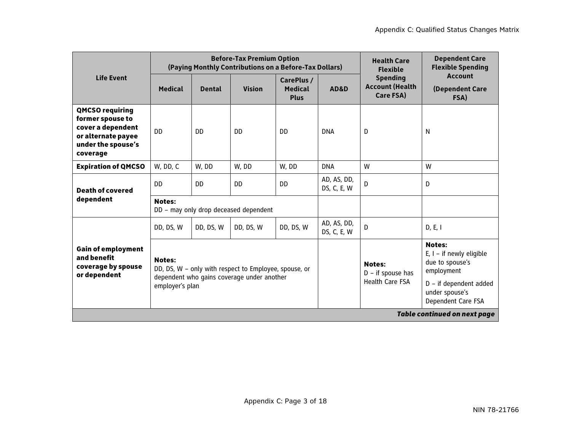|                                                                                                                         | <b>Before-Tax Premium Option</b><br>(Paying Monthly Contributions on a Before-Tax Dollars) |               |                                                                                                     |                                             |                            | <b>Health Care</b><br><b>Flexible</b>                          | <b>Dependent Care</b><br><b>Flexible Spending</b>                                                                                                |
|-------------------------------------------------------------------------------------------------------------------------|--------------------------------------------------------------------------------------------|---------------|-----------------------------------------------------------------------------------------------------|---------------------------------------------|----------------------------|----------------------------------------------------------------|--------------------------------------------------------------------------------------------------------------------------------------------------|
| <b>Life Event</b>                                                                                                       | <b>Medical</b>                                                                             | <b>Dental</b> | <b>Vision</b>                                                                                       | CarePlus /<br><b>Medical</b><br><b>Plus</b> | AD&D                       | <b>Spending</b><br><b>Account (Health</b><br>Care FSA)         | <b>Account</b><br>(Dependent Care<br>FSA)                                                                                                        |
| <b>QMCSO requiring</b><br>former spouse to<br>cover a dependent<br>or alternate payee<br>under the spouse's<br>coverage | DD.                                                                                        | DD.           | DD.                                                                                                 | DD.                                         | <b>DNA</b>                 | D                                                              | N                                                                                                                                                |
| <b>Expiration of QMCSO</b>                                                                                              | W, DD, C                                                                                   | W, DD         | W, DD                                                                                               | W, DD                                       | <b>DNA</b>                 | W                                                              | W                                                                                                                                                |
| <b>Death of covered</b>                                                                                                 | DD.                                                                                        | <b>DD</b>     | <b>DD</b>                                                                                           | <b>DD</b>                                   | AD, AS, DD,<br>DS, C, E, W | D                                                              | D                                                                                                                                                |
| dependent                                                                                                               | <b>Notes:</b>                                                                              |               | DD - may only drop deceased dependent                                                               |                                             |                            |                                                                |                                                                                                                                                  |
|                                                                                                                         | DD, DS, W                                                                                  | DD, DS, W     | DD, DS, W                                                                                           | DD, DS, W                                   | AD, AS, DD,<br>DS, C, E, W | D                                                              | D, E, I                                                                                                                                          |
| <b>Gain of employment</b><br>and benefit<br>coverage by spouse<br>or dependent                                          | <b>Notes:</b><br>employer's plan                                                           |               | DD, DS, W - only with respect to Employee, spouse, or<br>dependent who gains coverage under another |                                             |                            | <b>Notes:</b><br>$D - if$ spouse has<br><b>Health Care FSA</b> | <b>Notes:</b><br>E, $I - if newly eligible$<br>due to spouse's<br>employment<br>$D - if dependent added$<br>under spouse's<br>Dependent Care FSA |
|                                                                                                                         |                                                                                            |               |                                                                                                     |                                             |                            |                                                                | <b>Table continued on next page</b>                                                                                                              |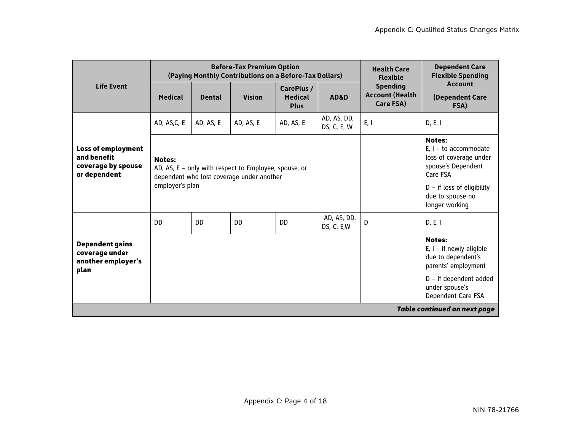|                                                                                |                                  |               | <b>Before-Tax Premium Option</b><br>(Paying Monthly Contributions on a Before-Tax Dollars)         |                                             |                            | <b>Health Care</b><br><b>Flexible</b>                  | <b>Dependent Care</b><br><b>Flexible Spending</b>                                                                                                                           |
|--------------------------------------------------------------------------------|----------------------------------|---------------|----------------------------------------------------------------------------------------------------|---------------------------------------------|----------------------------|--------------------------------------------------------|-----------------------------------------------------------------------------------------------------------------------------------------------------------------------------|
| <b>Life Event</b>                                                              | <b>Medical</b>                   | <b>Dental</b> | <b>Vision</b>                                                                                      | CarePlus /<br><b>Medical</b><br><b>Plus</b> | <b>AD&amp;D</b>            | <b>Spending</b><br><b>Account (Health</b><br>Care FSA) | <b>Account</b><br>(Dependent Care<br>FSA)                                                                                                                                   |
|                                                                                | AD, AS,C, E                      | AD, AS, E     | AD, AS, E                                                                                          | AD, AS, E                                   | AD, AS, DD,<br>DS, C, E, W | E, I                                                   | D, E, I                                                                                                                                                                     |
| <b>Loss of employment</b><br>and benefit<br>coverage by spouse<br>or dependent | <b>Notes:</b><br>employer's plan |               | AD, AS, E - only with respect to Employee, spouse, or<br>dependent who lost coverage under another |                                             |                            |                                                        | <b>Notes:</b><br>$E_{1}$ – to accommodate<br>loss of coverage under<br>spouse's Dependent<br>Care FSA<br>$D - if$ loss of eligibility<br>due to spouse no<br>longer working |
|                                                                                | DD.                              | <b>DD</b>     | <b>DD</b>                                                                                          | <b>DD</b>                                   | AD, AS, DD,<br>DS, C, E, W | D                                                      | D, E, I                                                                                                                                                                     |
| <b>Dependent gains</b><br>coverage under<br>another employer's<br>plan         |                                  |               |                                                                                                    |                                             |                            |                                                        | <b>Notes:</b><br>$E, I - if newly eligible$<br>due to dependent's<br>parents' employment                                                                                    |
|                                                                                |                                  |               |                                                                                                    |                                             |                            |                                                        | D - if dependent added<br>under spouse's<br>Dependent Care FSA                                                                                                              |
|                                                                                |                                  |               |                                                                                                    |                                             |                            |                                                        | <b>Table continued on next page</b>                                                                                                                                         |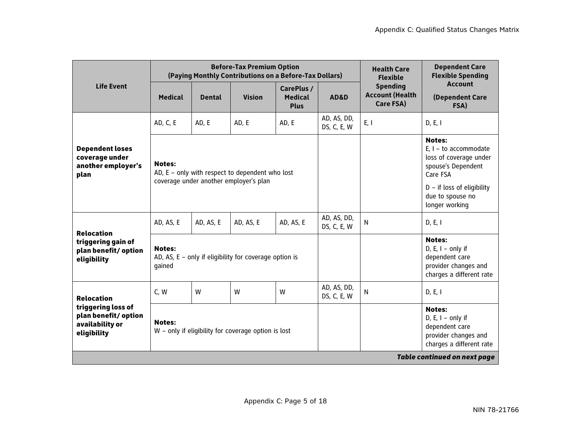|                                                                             |                                                                                                            |               | <b>Before-Tax Premium Option</b><br>(Paying Monthly Contributions on a Before-Tax Dollars) | <b>Health Care</b><br><b>Flexible</b>       | <b>Dependent Care</b><br><b>Flexible Spending</b> |                                                        |                                                                                                                                                                            |
|-----------------------------------------------------------------------------|------------------------------------------------------------------------------------------------------------|---------------|--------------------------------------------------------------------------------------------|---------------------------------------------|---------------------------------------------------|--------------------------------------------------------|----------------------------------------------------------------------------------------------------------------------------------------------------------------------------|
| <b>Life Event</b>                                                           | <b>Medical</b>                                                                                             | <b>Dental</b> | <b>Vision</b>                                                                              | CarePlus /<br><b>Medical</b><br><b>Plus</b> | AD&D                                              | <b>Spending</b><br><b>Account (Health</b><br>Care FSA) | <b>Account</b><br>(Dependent Care<br>FSA)                                                                                                                                  |
|                                                                             | AD, C, E                                                                                                   | AD, E         | AD, E                                                                                      | AD, E                                       | AD, AS, DD,<br>DS, C, E, W                        | E, I                                                   | D, E, I                                                                                                                                                                    |
| <b>Dependent loses</b><br>coverage under<br>another employer's<br>plan      | <b>Notes:</b><br>AD, E - only with respect to dependent who lost<br>coverage under another employer's plan |               |                                                                                            |                                             |                                                   |                                                        | <b>Notes:</b><br>$E, I - to accommodate$<br>loss of coverage under<br>spouse's Dependent<br>Care FSA<br>$D - if loss of eligibility$<br>due to spouse no<br>longer working |
| <b>Relocation</b>                                                           | AD, AS, E                                                                                                  | AD, AS, E     | AD, AS, E                                                                                  | AD, AS, E                                   | AD, AS, DD,<br>DS, C, E, W                        | N                                                      | D, E, I                                                                                                                                                                    |
| triggering gain of<br>plan benefit/option<br>eligibility                    | <b>Notes:</b><br>qained                                                                                    |               | AD, AS, $E - only$ if eligibility for coverage option is                                   |                                             |                                                   |                                                        | <b>Notes:</b><br>D, E, $I - only$ if<br>dependent care<br>provider changes and<br>charges a different rate                                                                 |
| <b>Relocation</b>                                                           | C, W                                                                                                       | W             | W                                                                                          | W                                           | AD, AS, DD,<br>DS, C, E, W                        | N                                                      | D, E, I                                                                                                                                                                    |
| triggering loss of<br>plan benefit/option<br>availability or<br>eligibility | <b>Notes:</b>                                                                                              |               | W - only if eligibility for coverage option is lost                                        |                                             |                                                   |                                                        | <b>Notes:</b><br>D, E, $I - only$ if<br>dependent care<br>provider changes and<br>charges a different rate                                                                 |
|                                                                             |                                                                                                            |               |                                                                                            |                                             |                                                   |                                                        | <b>Table continued on next page</b>                                                                                                                                        |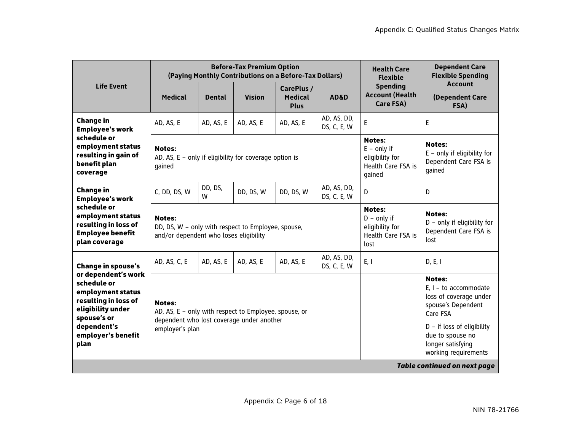|                                                                                                                                                                  |                                                                                                                                        |               | <b>Before-Tax Premium Option</b><br>(Paying Monthly Contributions on a Before-Tax Dollars) | <b>Health Care</b><br><b>Flexible</b>       | <b>Dependent Care</b><br><b>Flexible Spending</b> |                                                                                          |                                                                                                                                                                                                       |
|------------------------------------------------------------------------------------------------------------------------------------------------------------------|----------------------------------------------------------------------------------------------------------------------------------------|---------------|--------------------------------------------------------------------------------------------|---------------------------------------------|---------------------------------------------------|------------------------------------------------------------------------------------------|-------------------------------------------------------------------------------------------------------------------------------------------------------------------------------------------------------|
| <b>Life Event</b>                                                                                                                                                | <b>Medical</b>                                                                                                                         | <b>Dental</b> | <b>Vision</b>                                                                              | CarePlus /<br><b>Medical</b><br><b>Plus</b> | AD&D                                              | <b>Spending</b><br><b>Account (Health</b><br>Care FSA)                                   | <b>Account</b><br>(Dependent Care<br>FSA)                                                                                                                                                             |
| <b>Change in</b><br><b>Employee's work</b>                                                                                                                       | AD, AS, E                                                                                                                              | AD, AS, E     | AD, AS, E                                                                                  | AD, AS, E                                   | AD, AS, DD,<br>DS, C, E, W                        | E                                                                                        | E                                                                                                                                                                                                     |
| schedule or<br>employment status<br>resulting in gain of<br>benefit plan<br>coverage                                                                             | <b>Notes:</b><br>AD, AS, $E - only$ if eligibility for coverage option is<br>qained                                                    |               |                                                                                            |                                             |                                                   | <b>Notes:</b><br>$E - only$ if<br>eligibility for<br><b>Health Care FSA is</b><br>gained | <b>Notes:</b><br>$E$ – only if eligibility for<br>Dependent Care FSA is<br>qained                                                                                                                     |
| <b>Change in</b><br><b>Employee's work</b>                                                                                                                       | C, DD, DS, W                                                                                                                           | DD, DS,<br>W  | DD, DS, W                                                                                  | DD, DS, W                                   | AD, AS, DD,<br>DS, C, E, W                        | D                                                                                        | D                                                                                                                                                                                                     |
| schedule or<br>employment status<br>resulting in loss of<br><b>Employee benefit</b><br>plan coverage                                                             | <b>Notes:</b><br>DD, DS, W - only with respect to Employee, spouse,<br>and/or dependent who loses eligibility                          |               |                                                                                            |                                             |                                                   | <b>Notes:</b><br>$D - only$ if<br>eligibility for<br>Health Care FSA is<br>lost          | <b>Notes:</b><br>D - only if eligibility for<br>Dependent Care FSA is<br>lost                                                                                                                         |
| <b>Change in spouse's</b>                                                                                                                                        | AD, AS, C, E                                                                                                                           | AD, AS, E     | AD, AS, E                                                                                  | AD, AS, E                                   | AD, AS, DD,<br>DS, C, E, W                        | E, I                                                                                     | D, E, I                                                                                                                                                                                               |
| or dependent's work<br>schedule or<br>employment status<br>resulting in loss of<br>eligibility under<br>spouse's or<br>dependent's<br>employer's benefit<br>plan | <b>Notes:</b><br>AD, AS, E - only with respect to Employee, spouse, or<br>dependent who lost coverage under another<br>employer's plan |               |                                                                                            |                                             |                                                   |                                                                                          | <b>Notes:</b><br>$E, I - to accommodate$<br>loss of coverage under<br>spouse's Dependent<br>Care FSA<br>$D - if loss of eligibility$<br>due to spouse no<br>longer satisfying<br>working requirements |
|                                                                                                                                                                  |                                                                                                                                        |               |                                                                                            |                                             |                                                   |                                                                                          | <b>Table continued on next page</b>                                                                                                                                                                   |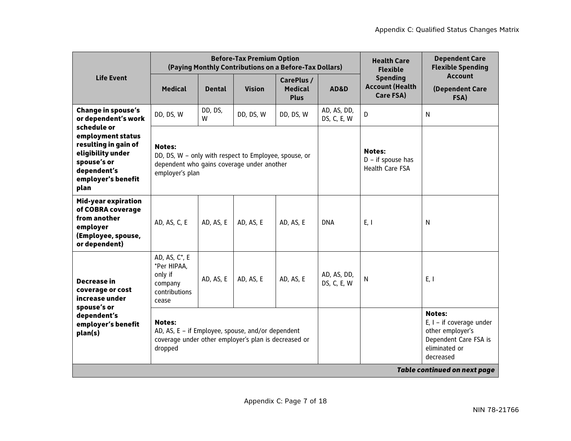|                                                                                                                                           |                                                                                                                                         |               | <b>Before-Tax Premium Option</b><br>(Paying Monthly Contributions on a Before-Tax Dollars) | <b>Health Care</b><br><b>Flexible</b>       | <b>Dependent Care</b><br><b>Flexible Spending</b>              |                                                        |                                                                                                                        |
|-------------------------------------------------------------------------------------------------------------------------------------------|-----------------------------------------------------------------------------------------------------------------------------------------|---------------|--------------------------------------------------------------------------------------------|---------------------------------------------|----------------------------------------------------------------|--------------------------------------------------------|------------------------------------------------------------------------------------------------------------------------|
| <b>Life Event</b>                                                                                                                         | <b>Medical</b>                                                                                                                          | <b>Dental</b> | <b>Vision</b>                                                                              | CarePlus /<br><b>Medical</b><br><b>Plus</b> | AD&D                                                           | <b>Spending</b><br><b>Account (Health</b><br>Care FSA) | <b>Account</b><br>(Dependent Care<br>FSA)                                                                              |
| <b>Change in spouse's</b><br>or dependent's work                                                                                          | DD, DS, W                                                                                                                               | DD, DS,<br>W  | DD, DS, W                                                                                  | DD, DS, W                                   | AD, AS, DD,<br>DS, C, E, W                                     | $\mathsf{D}$                                           | N                                                                                                                      |
| schedule or<br>employment status<br>resulting in gain of<br>eligibility under<br>spouse's or<br>dependent's<br>employer's benefit<br>plan | <b>Notes:</b><br>DD, DS, W - only with respect to Employee, spouse, or<br>dependent who gains coverage under another<br>employer's plan |               |                                                                                            |                                             | <b>Notes:</b><br>$D - if$ spouse has<br><b>Health Care FSA</b> |                                                        |                                                                                                                        |
| Mid-year expiration<br>of COBRA coverage<br>from another<br>employer<br>(Employee, spouse,<br>or dependent)                               | AD, AS, C, E                                                                                                                            | AD, AS, E     | AD, AS, E                                                                                  | AD, AS, E                                   | <b>DNA</b>                                                     | E, I                                                   | N                                                                                                                      |
| <b>Decrease in</b><br>coverage or cost<br>increase under                                                                                  | AD, AS, C*, E<br>*Per HIPAA,<br>only if<br>company<br>contributions<br>cease                                                            | AD, AS, E     | AD, AS, E                                                                                  | AD, AS, E                                   | AD, AS, DD,<br>DS, C, E, W                                     | $\mathsf{N}$                                           | E, I                                                                                                                   |
| spouse's or<br>dependent's<br>employer's benefit<br>plan(s)                                                                               | <b>Notes:</b><br>AD, AS, E - if Employee, spouse, and/or dependent<br>coverage under other employer's plan is decreased or<br>dropped   |               |                                                                                            |                                             |                                                                |                                                        | <b>Notes:</b><br>$E, I - if coverage under$<br>other employer's<br>Dependent Care FSA is<br>eliminated or<br>decreased |
|                                                                                                                                           |                                                                                                                                         |               |                                                                                            |                                             |                                                                |                                                        | <b>Table continued on next page</b>                                                                                    |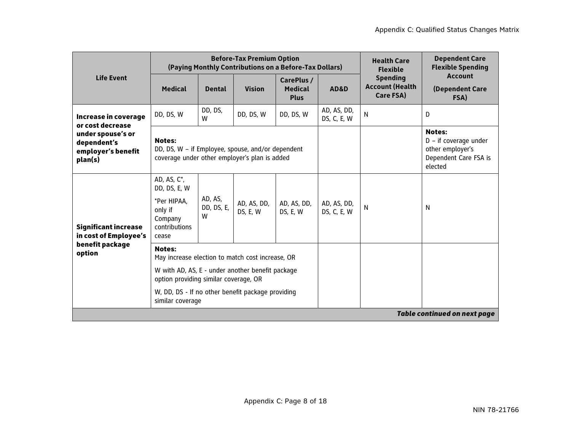|                                                                                   |                                                                                                                                                                                                                                         |                            | <b>Before-Tax Premium Option</b><br>(Paying Monthly Contributions on a Before-Tax Dollars) |                                             | <b>Health Care</b><br><b>Flexible</b> | <b>Dependent Care</b><br><b>Flexible Spending</b>      |                                                                                                  |
|-----------------------------------------------------------------------------------|-----------------------------------------------------------------------------------------------------------------------------------------------------------------------------------------------------------------------------------------|----------------------------|--------------------------------------------------------------------------------------------|---------------------------------------------|---------------------------------------|--------------------------------------------------------|--------------------------------------------------------------------------------------------------|
| <b>Life Event</b>                                                                 | <b>Medical</b>                                                                                                                                                                                                                          | <b>Dental</b>              | <b>Vision</b>                                                                              | CarePlus /<br><b>Medical</b><br><b>Plus</b> | AD&D                                  | <b>Spending</b><br><b>Account (Health</b><br>Care FSA) | <b>Account</b><br>(Dependent Care<br>FSA)                                                        |
| Increase in coverage<br>or cost decrease                                          | DD, DS, W                                                                                                                                                                                                                               | DD, DS,<br>W               | DD, DS, W                                                                                  | DD, DS, W                                   | AD, AS, DD,<br>DS, C, E, W            | N                                                      | D                                                                                                |
| under spouse's or<br>dependent's<br>employer's benefit<br>plan(s)                 | <b>Notes:</b><br>DD, DS, W - if Employee, spouse, and/or dependent<br>coverage under other employer's plan is added                                                                                                                     |                            |                                                                                            |                                             |                                       |                                                        | <b>Notes:</b><br>$D - if coverage under$<br>other employer's<br>Dependent Care FSA is<br>elected |
| <b>Significant increase</b><br>in cost of Employee's<br>benefit package<br>option | AD, AS, $C^*$ ,<br>DD, DS, E, W<br>*Per HIPAA,<br>only if<br>Company<br>contributions<br>cease                                                                                                                                          | AD, AS,<br>DD, DS, E,<br>W | AD, AS, DD,<br>DS, E, W                                                                    | AD, AS, DD,<br>DS, E, W                     | AD, AS, DD,<br>DS, C, E, W            | N                                                      | N                                                                                                |
|                                                                                   | <b>Notes:</b><br>May increase election to match cost increase, OR<br>W with AD, AS, E - under another benefit package<br>option providing similar coverage, OR<br>W, DD, DS - If no other benefit package providing<br>similar coverage |                            |                                                                                            |                                             |                                       |                                                        |                                                                                                  |
|                                                                                   |                                                                                                                                                                                                                                         |                            |                                                                                            |                                             |                                       |                                                        | <b>Table continued on next page</b>                                                              |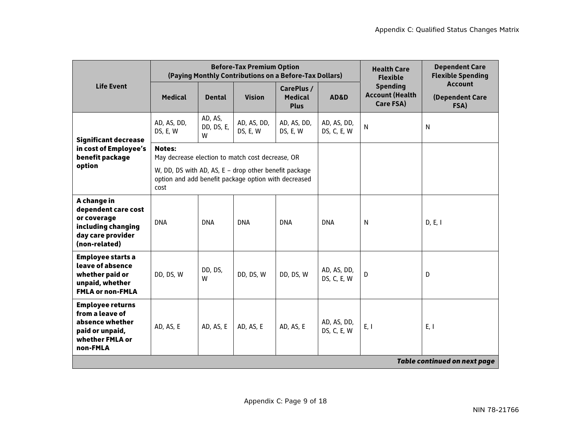|                                                                                                                 |                                                                                                                       |                            | <b>Before-Tax Premium Option</b><br>(Paying Monthly Contributions on a Before-Tax Dollars) | <b>Health Care</b><br><b>Flexible</b>       | <b>Dependent Care</b><br><b>Flexible Spending</b> |                                                        |                                           |
|-----------------------------------------------------------------------------------------------------------------|-----------------------------------------------------------------------------------------------------------------------|----------------------------|--------------------------------------------------------------------------------------------|---------------------------------------------|---------------------------------------------------|--------------------------------------------------------|-------------------------------------------|
| <b>Life Event</b>                                                                                               | <b>Medical</b>                                                                                                        | <b>Dental</b>              | <b>Vision</b>                                                                              | CarePlus /<br><b>Medical</b><br><b>Plus</b> | AD&D                                              | <b>Spending</b><br><b>Account (Health</b><br>Care FSA) | <b>Account</b><br>(Dependent Care<br>FSA) |
| <b>Significant decrease</b>                                                                                     | AD, AS, DD,<br>DS, E, W                                                                                               | AD, AS,<br>DD, DS, E,<br>W | AD, AS, DD,<br>DS, E, W                                                                    | AD, AS, DD,<br>DS, E, W                     | AD, AS, DD,<br>DS, C, E, W                        | N                                                      | N                                         |
| in cost of Employee's<br>benefit package                                                                        | <b>Notes:</b><br>May decrease election to match cost decrease, OR                                                     |                            |                                                                                            |                                             |                                                   |                                                        |                                           |
| option                                                                                                          | W, DD, DS with AD, AS, E - drop other benefit package<br>option and add benefit package option with decreased<br>cost |                            |                                                                                            |                                             |                                                   |                                                        |                                           |
| A change in<br>dependent care cost<br>or coverage<br>including changing<br>day care provider<br>(non-related)   | <b>DNA</b>                                                                                                            | <b>DNA</b>                 | <b>DNA</b>                                                                                 | <b>DNA</b>                                  | <b>DNA</b>                                        | N                                                      | D, E, I                                   |
| <b>Employee starts a</b><br>leave of absence<br>whether paid or<br>unpaid, whether<br><b>FMLA or non-FMLA</b>   | DD, DS, W                                                                                                             | DD, DS,<br>W               | DD, DS, W                                                                                  | DD, DS, W                                   | AD, AS, DD,<br>DS, C, E, W                        | D                                                      | D                                         |
| <b>Employee returns</b><br>from a leave of<br>absence whether<br>paid or unpaid,<br>whether FMLA or<br>non-FMLA | AD, AS, E                                                                                                             | AD, AS, E                  | AD, AS, E                                                                                  | AD, AS, E                                   | AD, AS, DD,<br>DS, C, E, W                        | E, I                                                   | E, I                                      |
|                                                                                                                 |                                                                                                                       |                            |                                                                                            |                                             |                                                   |                                                        | <b>Table continued on next page</b>       |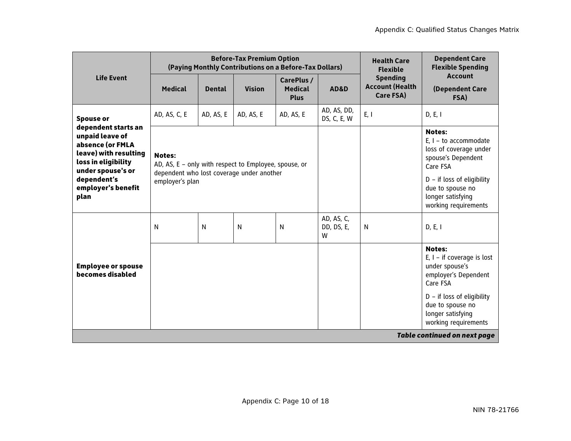|                                                                                                                                                                              |                                                                                                                                        |               | <b>Before-Tax Premium Option</b><br>(Paying Monthly Contributions on a Before-Tax Dollars) | <b>Health Care</b><br><b>Flexible</b>       | <b>Dependent Care</b><br><b>Flexible Spending</b> |                                                        |                                                                                                                                                                                                       |
|------------------------------------------------------------------------------------------------------------------------------------------------------------------------------|----------------------------------------------------------------------------------------------------------------------------------------|---------------|--------------------------------------------------------------------------------------------|---------------------------------------------|---------------------------------------------------|--------------------------------------------------------|-------------------------------------------------------------------------------------------------------------------------------------------------------------------------------------------------------|
| <b>Life Event</b>                                                                                                                                                            | <b>Medical</b>                                                                                                                         | <b>Dental</b> | <b>Vision</b>                                                                              | CarePlus /<br><b>Medical</b><br><b>Plus</b> | <b>AD&amp;D</b>                                   | <b>Spending</b><br><b>Account (Health</b><br>Care FSA) | <b>Account</b><br>(Dependent Care<br>FSA)                                                                                                                                                             |
| <b>Spouse or</b>                                                                                                                                                             | AD, AS, C, E                                                                                                                           | AD, AS, E     | AD, AS, E                                                                                  | AD, AS, E                                   | AD, AS, DD,<br>DS, C, E, W                        | E, I                                                   | D, E, I                                                                                                                                                                                               |
| dependent starts an<br>unpaid leave of<br>absence (or FMLA<br>leave) with resulting<br>loss in eligibility<br>under spouse's or<br>dependent's<br>employer's benefit<br>plan | <b>Notes:</b><br>AD, AS, E - only with respect to Employee, spouse, or<br>dependent who lost coverage under another<br>employer's plan |               |                                                                                            |                                             |                                                   |                                                        | <b>Notes:</b><br>$E, I - to accommodate$<br>loss of coverage under<br>spouse's Dependent<br>Care FSA<br>$D - if loss of eligibility$<br>due to spouse no<br>longer satisfying<br>working requirements |
|                                                                                                                                                                              | N                                                                                                                                      | N             | N                                                                                          | N                                           | AD, AS, C,<br>DD, DS, E,<br>W                     | N                                                      | D, E, I                                                                                                                                                                                               |
| <b>Employee or spouse</b><br>becomes disabled                                                                                                                                |                                                                                                                                        |               |                                                                                            |                                             |                                                   |                                                        | <b>Notes:</b><br>$E, I - if coverage is lost$<br>under spouse's<br>employer's Dependent<br>Care FSA<br>$D - if loss of eligibility$<br>due to spouse no<br>longer satisfying                          |
|                                                                                                                                                                              |                                                                                                                                        |               |                                                                                            |                                             |                                                   |                                                        | working requirements<br><b>Table continued on next page</b>                                                                                                                                           |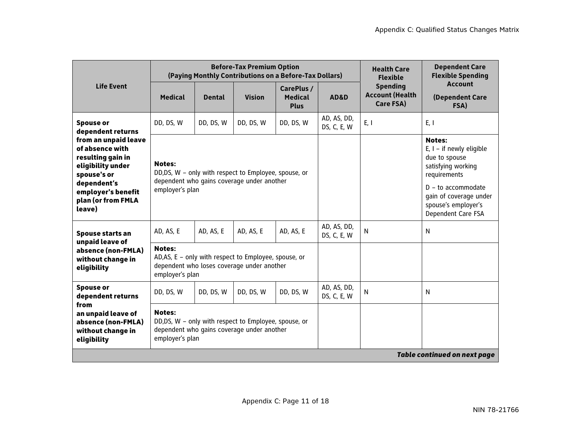|                                                                                                                                                                       |                                  |               | <b>Before-Tax Premium Option</b><br>(Paying Monthly Contributions on a Before-Tax Dollars)          |                                             | <b>Health Care</b><br><b>Flexible</b> | <b>Dependent Care</b><br><b>Flexible Spending</b>      |                                                                                                                                                                                                   |
|-----------------------------------------------------------------------------------------------------------------------------------------------------------------------|----------------------------------|---------------|-----------------------------------------------------------------------------------------------------|---------------------------------------------|---------------------------------------|--------------------------------------------------------|---------------------------------------------------------------------------------------------------------------------------------------------------------------------------------------------------|
| <b>Life Event</b>                                                                                                                                                     | <b>Medical</b>                   | <b>Dental</b> | <b>Vision</b>                                                                                       | CarePlus /<br><b>Medical</b><br><b>Plus</b> | AD&D                                  | <b>Spending</b><br><b>Account (Health</b><br>Care FSA) | <b>Account</b><br>(Dependent Care<br>FSA)                                                                                                                                                         |
| <b>Spouse or</b><br>dependent returns                                                                                                                                 | DD, DS, W                        | DD, DS, W     | DD, DS, W                                                                                           | DD, DS, W                                   | AD, AS, DD,<br>DS, C, E, W            | E, I                                                   | E, I                                                                                                                                                                                              |
| from an unpaid leave<br>of absence with<br>resulting gain in<br>eligibility under<br>spouse's or<br>dependent's<br>employer's benefit<br>plan (or from FMLA<br>leave) | <b>Notes:</b><br>employer's plan |               | DD,DS, W - only with respect to Employee, spouse, or<br>dependent who gains coverage under another  |                                             |                                       |                                                        | <b>Notes:</b><br>$E, I - if newly eligible$<br>due to spouse<br>satisfying working<br>requirements<br>$D - to accommodate$<br>qain of coverage under<br>spouse's employer's<br>Dependent Care FSA |
| Spouse starts an<br>unpaid leave of                                                                                                                                   | AD, AS, E                        | AD, AS, E     | AD, AS, E                                                                                           | AD, AS, E                                   | AD, AS, DD,<br>DS, C, E, W            | N                                                      | N                                                                                                                                                                                                 |
| absence (non-FMLA)<br>without change in<br>eligibility                                                                                                                | <b>Notes:</b><br>employer's plan |               | AD, AS, E - only with respect to Employee, spouse, or<br>dependent who loses coverage under another |                                             |                                       |                                                        |                                                                                                                                                                                                   |
| <b>Spouse or</b><br>dependent returns                                                                                                                                 | DD, DS, W                        | DD, DS, W     | DD, DS, W                                                                                           | DD, DS, W                                   | AD, AS, DD,<br>DS, C, E, W            | N                                                      | N                                                                                                                                                                                                 |
| from<br>an unpaid leave of<br>absence (non-FMLA)<br>without change in<br>eligibility                                                                                  | <b>Notes:</b><br>employer's plan |               | DD,DS, W - only with respect to Employee, spouse, or<br>dependent who gains coverage under another  |                                             |                                       |                                                        |                                                                                                                                                                                                   |
|                                                                                                                                                                       |                                  |               |                                                                                                     |                                             |                                       |                                                        | <b>Table continued on next page</b>                                                                                                                                                               |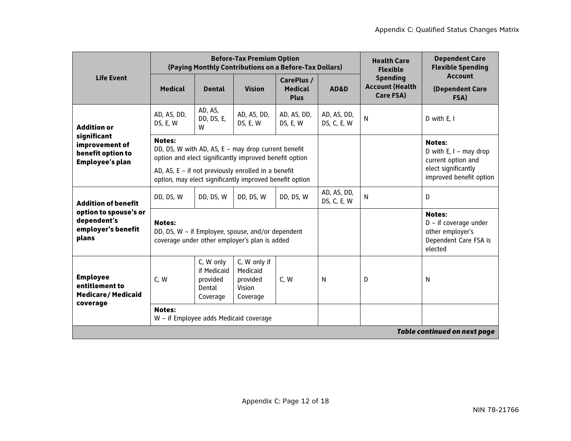|                                                                              |                                                         |                                                            | <b>Before-Tax Premium Option</b><br>(Paying Monthly Contributions on a Before-Tax Dollars)                       |                                             | <b>Health Care</b><br><b>Flexible</b> | <b>Dependent Care</b><br><b>Flexible Spending</b>      |                                                                                                  |
|------------------------------------------------------------------------------|---------------------------------------------------------|------------------------------------------------------------|------------------------------------------------------------------------------------------------------------------|---------------------------------------------|---------------------------------------|--------------------------------------------------------|--------------------------------------------------------------------------------------------------|
| <b>Life Event</b>                                                            | <b>Medical</b>                                          | <b>Dental</b>                                              | <b>Vision</b>                                                                                                    | CarePlus /<br><b>Medical</b><br><b>Plus</b> | AD&D                                  | <b>Spending</b><br><b>Account (Health</b><br>Care FSA) | <b>Account</b><br>(Dependent Care<br>FSA)                                                        |
| <b>Addition or</b>                                                           | AD, AS, DD,<br>DS, E, W                                 | AD, AS,<br>DD, DS, E,<br>W                                 | AD, AS, DD,<br>DS, E, W                                                                                          | AD, AS, DD,<br>DS, E, W                     | AD, AS, DD,<br>DS, C, E, W            | $\mathsf{N}$                                           | D with $E. I$                                                                                    |
| significant<br>improvement of<br>benefit option to<br><b>Employee's plan</b> | <b>Notes:</b>                                           |                                                            | DD, DS, W with AD, AS, E - may drop current benefit<br>option and elect significantly improved benefit option    |                                             |                                       |                                                        | <b>Notes:</b><br>D with $E, I -$ may drop<br>current option and                                  |
|                                                                              |                                                         |                                                            | AD, AS, $E - if$ not previously enrolled in a benefit<br>option, may elect significantly improved benefit option |                                             |                                       |                                                        | elect significantly<br>improved benefit option                                                   |
| <b>Addition of benefit</b>                                                   | DD, DS, W                                               | DD, DS, W                                                  | DD, DS, W                                                                                                        | DD, DS, W                                   | AD, AS, DD,<br>DS, C, E, W            | $\mathsf{N}$                                           | D                                                                                                |
| option to spouse's or<br>dependent's<br>employer's benefit<br>plans          | <b>Notes:</b>                                           |                                                            | DD, DS, W - if Employee, spouse, and/or dependent<br>coverage under other employer's plan is added               |                                             |                                       |                                                        | <b>Notes:</b><br>$D - if coverage under$<br>other employer's<br>Dependent Care FSA is<br>elected |
| <b>Employee</b><br>entitlement to<br><b>Medicare/Medicaid</b><br>coverage    | C, W                                                    | C, W only<br>if Medicaid<br>provided<br>Dental<br>Coverage | C, W only if<br>Medicaid<br>provided<br>Vision<br>Coverage                                                       | C, W                                        | N                                     | D                                                      | N                                                                                                |
|                                                                              | <b>Notes:</b><br>W - if Employee adds Medicaid coverage |                                                            |                                                                                                                  |                                             |                                       |                                                        |                                                                                                  |
|                                                                              |                                                         |                                                            |                                                                                                                  |                                             |                                       |                                                        | <b>Table continued on next page</b>                                                              |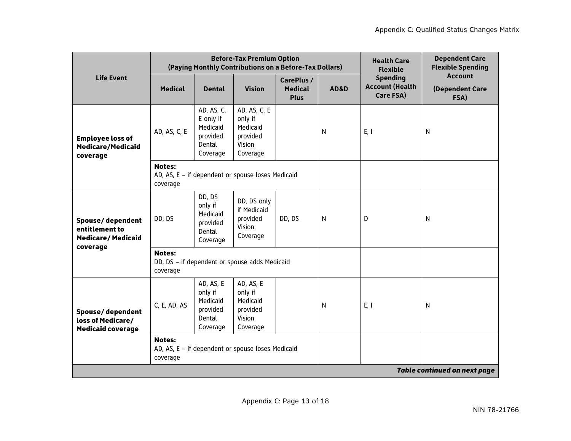|                                                                            |                           |                                                                       | <b>Before-Tax Premium Option</b><br>(Paying Monthly Contributions on a Before-Tax Dollars) | <b>Health Care</b><br><b>Flexible</b>       | <b>Dependent Care</b><br><b>Flexible Spending</b> |                                                        |                                           |
|----------------------------------------------------------------------------|---------------------------|-----------------------------------------------------------------------|--------------------------------------------------------------------------------------------|---------------------------------------------|---------------------------------------------------|--------------------------------------------------------|-------------------------------------------|
| <b>Life Event</b>                                                          | <b>Medical</b>            | <b>Dental</b>                                                         | <b>Vision</b>                                                                              | CarePlus /<br><b>Medical</b><br><b>Plus</b> | <b>AD&amp;D</b>                                   | <b>Spending</b><br><b>Account (Health</b><br>Care FSA) | <b>Account</b><br>(Dependent Care<br>FSA) |
| <b>Employee loss of</b><br>Medicare/Medicaid<br>coverage                   | AD, AS, C, E              | AD, AS, C,<br>E only if<br>Medicaid<br>provided<br>Dental<br>Coverage | AD, AS, C, E<br>only if<br>Medicaid<br>provided<br>Vision<br>Coverage                      |                                             | N                                                 | E, I                                                   | N                                         |
|                                                                            | <b>Notes:</b><br>coverage |                                                                       | AD, AS, E - if dependent or spouse loses Medicaid                                          |                                             |                                                   |                                                        |                                           |
| Spouse/dependent<br>entitlement to<br><b>Medicare/Medicaid</b><br>coverage | DD, DS                    | DD, DS<br>only if<br>Medicaid<br>provided<br>Dental<br>Coverage       | DD, DS only<br>if Medicaid<br>provided<br>Vision<br>Coverage                               | DD, DS                                      | N                                                 | D                                                      | N                                         |
|                                                                            | <b>Notes:</b><br>coverage |                                                                       | DD, DS - if dependent or spouse adds Medicaid                                              |                                             |                                                   |                                                        |                                           |
| Spouse/dependent<br>loss of Medicare/<br><b>Medicaid coverage</b>          | C, E, AD, AS              | AD, AS, E<br>only if<br>Medicaid<br>provided<br>Dental<br>Coverage    | AD, AS, E<br>only if<br>Medicaid<br>provided<br>Vision<br>Coverage                         |                                             | N                                                 | E, I                                                   | N                                         |
|                                                                            | <b>Notes:</b><br>coverage |                                                                       | AD, AS, E - if dependent or spouse loses Medicaid                                          |                                             |                                                   |                                                        |                                           |
|                                                                            |                           |                                                                       |                                                                                            |                                             |                                                   |                                                        | <b>Table continued on next page</b>       |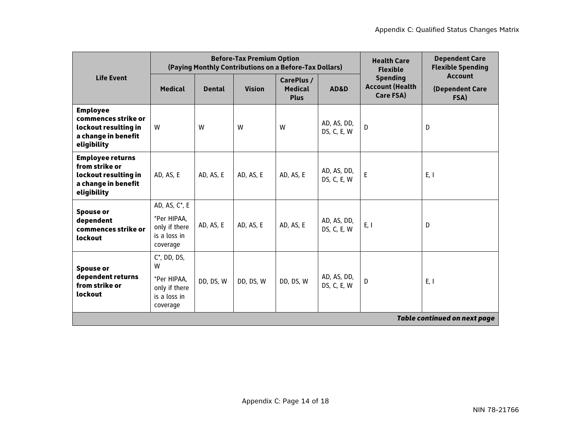|                                                                                                         |                                                                                  |               | <b>Before-Tax Premium Option</b><br>(Paying Monthly Contributions on a Before-Tax Dollars) | <b>Health Care</b><br><b>Flexible</b>       | <b>Dependent Care</b><br><b>Flexible Spending</b> |                                                        |                                           |
|---------------------------------------------------------------------------------------------------------|----------------------------------------------------------------------------------|---------------|--------------------------------------------------------------------------------------------|---------------------------------------------|---------------------------------------------------|--------------------------------------------------------|-------------------------------------------|
| <b>Life Event</b>                                                                                       | <b>Medical</b>                                                                   | <b>Dental</b> | <b>Vision</b>                                                                              | CarePlus /<br><b>Medical</b><br><b>Plus</b> | AD&D                                              | <b>Spending</b><br><b>Account (Health</b><br>Care FSA) | <b>Account</b><br>(Dependent Care<br>FSA) |
| <b>Employee</b><br>commences strike or<br>lockout resulting in<br>a change in benefit<br>eligibility    | W                                                                                | W             | W                                                                                          | W                                           | AD, AS, DD,<br>DS, C, E, W                        | D                                                      | D                                         |
| <b>Employee returns</b><br>from strike or<br>lockout resulting in<br>a change in benefit<br>eligibility | AD, AS, E                                                                        | AD, AS, E     | AD, AS, E                                                                                  | AD, AS, E                                   | AD, AS, DD,<br>DS, C, E, W                        | E                                                      | E, I                                      |
| <b>Spouse or</b><br>dependent<br>commences strike or<br>lockout                                         | AD, AS, C*, E<br>*Per HIPAA,<br>only if there<br>is a loss in<br>coverage        | AD, AS, E     | AD, AS, E                                                                                  | AD, AS, E                                   | AD, AS, DD,<br>DS, C, E, W                        | E, I                                                   | D                                         |
| <b>Spouse or</b><br>dependent returns<br>from strike or<br>lockout                                      | $C^*$ , DD, DS,<br>W<br>*Per HIPAA,<br>only if there<br>is a loss in<br>coverage | DD, DS, W     | DD, DS, W                                                                                  | DD, DS, W                                   | AD, AS, DD,<br>DS, C, E, W                        | D                                                      | E, I                                      |
|                                                                                                         |                                                                                  |               |                                                                                            |                                             |                                                   |                                                        | <b>Table continued on next page</b>       |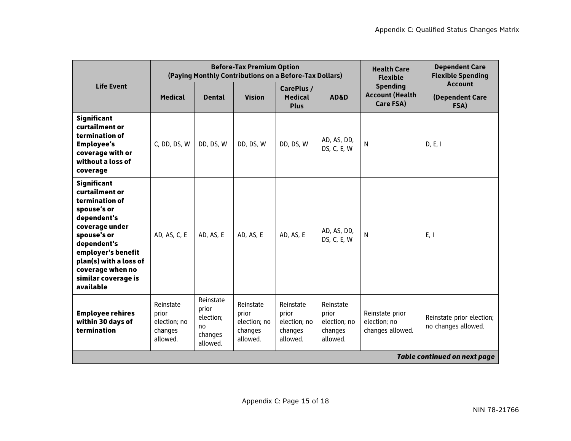|                                                                                                                                                                                                                                              |                                                           |                                                              | <b>Before-Tax Premium Option</b><br>(Paying Monthly Contributions on a Before-Tax Dollars) | <b>Health Care</b><br><b>Flexible</b>                     | <b>Dependent Care</b><br><b>Flexible Spending</b>         |                                                        |                                                  |
|----------------------------------------------------------------------------------------------------------------------------------------------------------------------------------------------------------------------------------------------|-----------------------------------------------------------|--------------------------------------------------------------|--------------------------------------------------------------------------------------------|-----------------------------------------------------------|-----------------------------------------------------------|--------------------------------------------------------|--------------------------------------------------|
| <b>Life Event</b>                                                                                                                                                                                                                            | <b>Medical</b>                                            | <b>Dental</b>                                                | <b>Vision</b>                                                                              | CarePlus /<br><b>Medical</b><br><b>Plus</b>               | AD&D                                                      | <b>Spending</b><br><b>Account (Health</b><br>Care FSA) | <b>Account</b><br>(Dependent Care<br>FSA)        |
| <b>Significant</b><br>curtailment or<br>termination of<br><b>Employee's</b><br>coverage with or<br>without a loss of<br>coverage                                                                                                             | C, DD, DS, W                                              | DD, DS, W                                                    | DD, DS, W                                                                                  | DD, DS, W                                                 | AD, AS, DD,<br>DS, C, E, W                                | N                                                      | D, E, I                                          |
| <b>Significant</b><br>curtailment or<br>termination of<br>spouse's or<br>dependent's<br>coverage under<br>spouse's or<br>dependent's<br>employer's benefit<br>plan(s) with a loss of<br>coverage when no<br>similar coverage is<br>available | AD, AS, C, E                                              | AD, AS, E                                                    | AD, AS, E                                                                                  | AD, AS, E                                                 | AD, AS, DD,<br>DS, C, E, W                                | $\mathsf{N}$                                           | E, I                                             |
| <b>Employee rehires</b><br>within 30 days of<br>termination                                                                                                                                                                                  | Reinstate<br>prior<br>election; no<br>changes<br>allowed. | Reinstate<br>prior<br>election;<br>no<br>changes<br>allowed. | Reinstate<br>prior<br>election; no<br>changes<br>allowed.                                  | Reinstate<br>prior<br>election; no<br>changes<br>allowed. | Reinstate<br>prior<br>election; no<br>changes<br>allowed. | Reinstate prior<br>election; no<br>changes allowed.    | Reinstate prior election;<br>no changes allowed. |
|                                                                                                                                                                                                                                              |                                                           |                                                              |                                                                                            |                                                           |                                                           |                                                        | <b>Table continued on next page</b>              |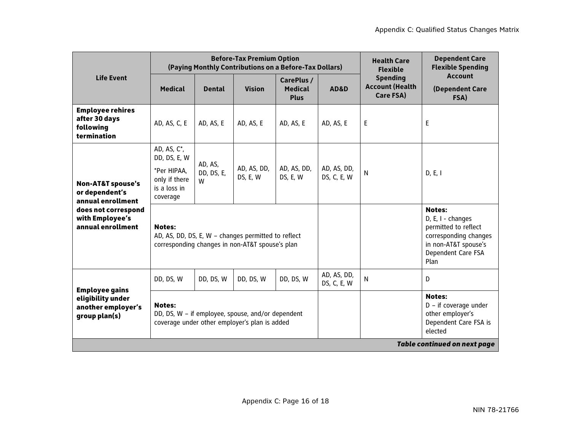|                                                                                                                                    |                                                                                             |                            | <b>Before-Tax Premium Option</b>                                                                       | (Paying Monthly Contributions on a Before-Tax Dollars) |                            | <b>Health Care</b><br><b>Flexible</b>                  | <b>Dependent Care</b><br><b>Flexible Spending</b>                                                                                         |
|------------------------------------------------------------------------------------------------------------------------------------|---------------------------------------------------------------------------------------------|----------------------------|--------------------------------------------------------------------------------------------------------|--------------------------------------------------------|----------------------------|--------------------------------------------------------|-------------------------------------------------------------------------------------------------------------------------------------------|
| <b>Life Event</b>                                                                                                                  | <b>Medical</b>                                                                              | <b>Dental</b>              | <b>Vision</b>                                                                                          | CarePlus /<br><b>Medical</b><br><b>Plus</b>            | AD&D                       | <b>Spending</b><br><b>Account (Health</b><br>Care FSA) | <b>Account</b><br>(Dependent Care<br>FSA)                                                                                                 |
| <b>Employee rehires</b><br>after 30 days<br>following<br>termination                                                               | AD, AS, C, E                                                                                | AD, AS, E                  | AD, AS, E                                                                                              | AD, AS, E                                              | AD, AS, E                  | E                                                      | E                                                                                                                                         |
| <b>Non-AT&amp;T spouse's</b><br>or dependent's<br>annual enrollment<br>does not correspond<br>with Employee's<br>annual enrollment | AD, AS, $C^*$ ,<br>DD, DS, E, W<br>*Per HIPAA,<br>only if there<br>is a loss in<br>coverage | AD, AS,<br>DD, DS, E,<br>W | AD, AS, DD,<br>DS, E, W                                                                                | AD, AS, DD,<br>DS, E, W                                | AD, AS, DD,<br>DS, C, E, W | $\mathsf{N}$                                           | D, E, I                                                                                                                                   |
|                                                                                                                                    | <b>Notes:</b>                                                                               |                            | AD, AS, DD, DS, E, W - changes permitted to reflect<br>corresponding changes in non-AT&T spouse's plan |                                                        |                            |                                                        | <b>Notes:</b><br>D, E, I - changes<br>permitted to reflect<br>corresponding changes<br>in non-AT&T spouse's<br>Dependent Care FSA<br>Plan |
|                                                                                                                                    | DD, DS, W                                                                                   | DD, DS, W                  | DD, DS, W                                                                                              | DD, DS, W                                              | AD, AS, DD,<br>DS, C, E, W | N                                                      | D                                                                                                                                         |
| <b>Employee gains</b><br>eligibility under<br>another employer's<br>group plan(s)                                                  | <b>Notes:</b>                                                                               |                            | DD, DS, W - if employee, spouse, and/or dependent<br>coverage under other employer's plan is added     |                                                        |                            |                                                        | <b>Notes:</b><br>$D - if coverage under$<br>other employer's<br>Dependent Care FSA is<br>elected                                          |
|                                                                                                                                    |                                                                                             |                            |                                                                                                        |                                                        |                            |                                                        | <b>Table continued on next page</b>                                                                                                       |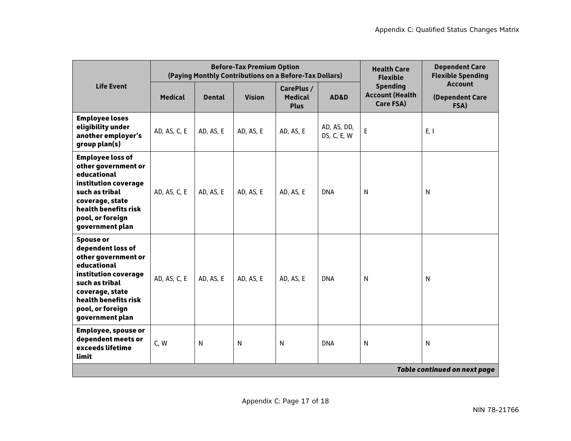|                                                                                                                                                                                                         |                |               | <b>Before-Tax Premium Option</b><br>(Paying Monthly Contributions on a Before-Tax Dollars) |                                             | <b>Health Care</b><br><b>Flexible</b> | <b>Dependent Care</b><br><b>Flexible Spending</b>      |                                           |
|---------------------------------------------------------------------------------------------------------------------------------------------------------------------------------------------------------|----------------|---------------|--------------------------------------------------------------------------------------------|---------------------------------------------|---------------------------------------|--------------------------------------------------------|-------------------------------------------|
| <b>Life Event</b>                                                                                                                                                                                       | <b>Medical</b> | <b>Dental</b> | <b>Vision</b>                                                                              | CarePlus /<br><b>Medical</b><br><b>Plus</b> | AD&D                                  | <b>Spending</b><br><b>Account (Health</b><br>Care FSA) | <b>Account</b><br>(Dependent Care<br>FSA) |
| <b>Employee loses</b><br>eligibility under<br>another employer's<br>group plan(s)                                                                                                                       | AD, AS, C, E   | AD, AS, E     | AD, AS, E                                                                                  | AD, AS, E                                   | AD, AS, DD,<br>DS, C, E, W            | E                                                      | E, I                                      |
| <b>Employee loss of</b><br>other government or<br>educational<br>institution coverage<br>such as tribal<br>coverage, state<br>health benefits risk<br>pool, or foreign<br>government plan               | AD, AS, C, E   | AD, AS, E     | AD, AS, E                                                                                  | AD, AS, E                                   | <b>DNA</b>                            | N                                                      | N                                         |
| <b>Spouse or</b><br>dependent loss of<br>other government or<br>educational<br>institution coverage<br>such as tribal<br>coverage, state<br>health benefits risk<br>pool, or foreign<br>government plan | AD, AS, C, E   | AD, AS, E     | AD, AS, E                                                                                  | AD, AS, E                                   | <b>DNA</b>                            | N                                                      | N                                         |
| <b>Employee, spouse or</b><br>dependent meets or<br>exceeds lifetime<br>limit                                                                                                                           | C, W           | N             | $\mathsf{N}$                                                                               | N                                           | <b>DNA</b>                            | $\mathsf{N}$                                           | N                                         |
|                                                                                                                                                                                                         |                |               |                                                                                            |                                             |                                       |                                                        | <b>Table continued on next page</b>       |